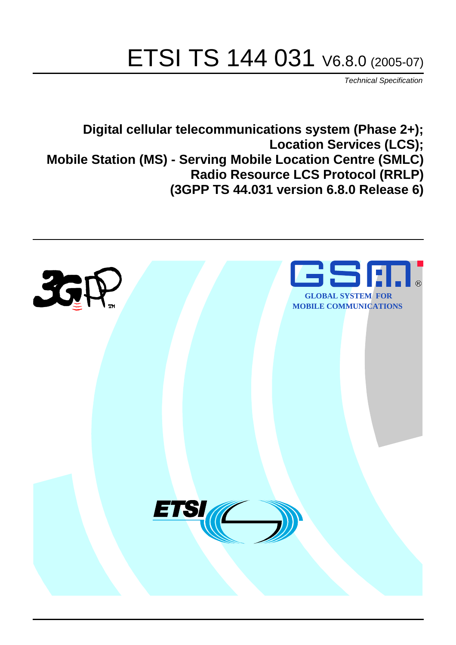# ETSI TS 144 031 V6.8.0 (2005-07)

Technical Specification

**Digital cellular telecommunications system (Phase 2+); Location Services (LCS); Mobile Station (MS) - Serving Mobile Location Centre (SMLC) Radio Resource LCS Protocol (RRLP) (3GPP TS 44.031 version 6.8.0 Release 6)**

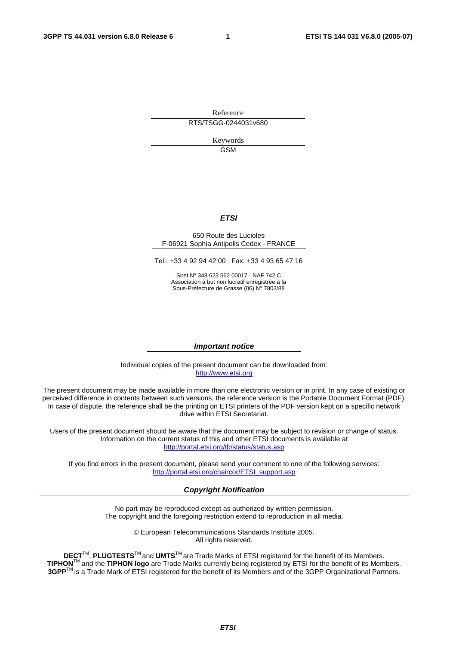Reference RTS/TSGG-0244031v680

> Keywords GSM

#### **ETSI**

#### 650 Route des Lucioles F-06921 Sophia Antipolis Cedex - FRANCE

Tel.: +33 4 92 94 42 00 Fax: +33 4 93 65 47 16

Siret N° 348 623 562 00017 - NAF 742 C Association à but non lucratif enregistrée à la Sous-Préfecture de Grasse (06) N° 7803/88

#### **Important notice**

Individual copies of the present document can be downloaded from: [http://www.etsi.org](http://www.etsi.org/)

The present document may be made available in more than one electronic version or in print. In any case of existing or perceived difference in contents between such versions, the reference version is the Portable Document Format (PDF). In case of dispute, the reference shall be the printing on ETSI printers of the PDF version kept on a specific network drive within ETSI Secretariat.

Users of the present document should be aware that the document may be subject to revision or change of status. Information on the current status of this and other ETSI documents is available at <http://portal.etsi.org/tb/status/status.asp>

If you find errors in the present document, please send your comment to one of the following services: [http://portal.etsi.org/chaircor/ETSI\\_support.asp](http://portal.etsi.org/chaircor/ETSI_support.asp)

#### **Copyright Notification**

No part may be reproduced except as authorized by written permission. The copyright and the foregoing restriction extend to reproduction in all media.

> © European Telecommunications Standards Institute 2005. All rights reserved.

**DECT**TM, **PLUGTESTS**TM and **UMTS**TM are Trade Marks of ETSI registered for the benefit of its Members. **TIPHON**TM and the **TIPHON logo** are Trade Marks currently being registered by ETSI for the benefit of its Members. **3GPP**TM is a Trade Mark of ETSI registered for the benefit of its Members and of the 3GPP Organizational Partners.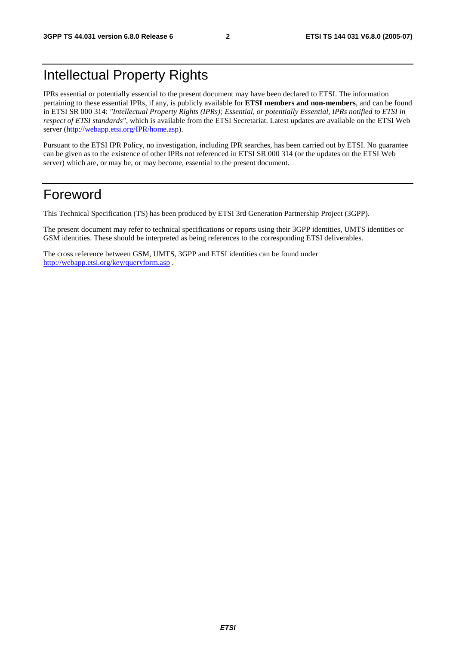# Intellectual Property Rights

IPRs essential or potentially essential to the present document may have been declared to ETSI. The information pertaining to these essential IPRs, if any, is publicly available for **ETSI members and non-members**, and can be found in ETSI SR 000 314: *"Intellectual Property Rights (IPRs); Essential, or potentially Essential, IPRs notified to ETSI in respect of ETSI standards"*, which is available from the ETSI Secretariat. Latest updates are available on the ETSI Web server ([http://webapp.etsi.org/IPR/home.asp\)](http://webapp.etsi.org/IPR/home.asp).

Pursuant to the ETSI IPR Policy, no investigation, including IPR searches, has been carried out by ETSI. No guarantee can be given as to the existence of other IPRs not referenced in ETSI SR 000 314 (or the updates on the ETSI Web server) which are, or may be, or may become, essential to the present document.

# Foreword

This Technical Specification (TS) has been produced by ETSI 3rd Generation Partnership Project (3GPP).

The present document may refer to technical specifications or reports using their 3GPP identities, UMTS identities or GSM identities. These should be interpreted as being references to the corresponding ETSI deliverables.

The cross reference between GSM, UMTS, 3GPP and ETSI identities can be found under <http://webapp.etsi.org/key/queryform.asp>.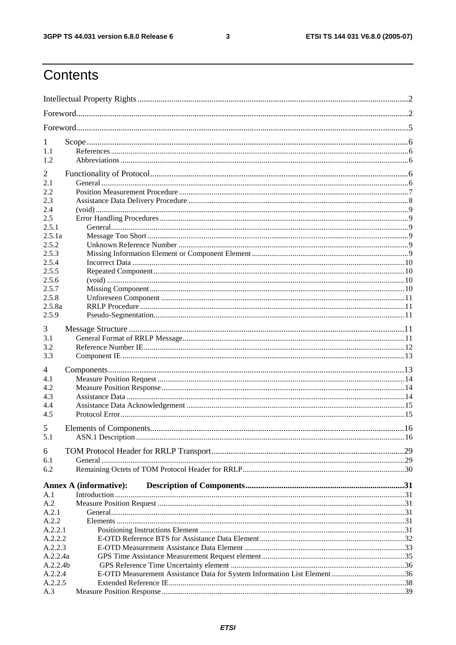$\mathbf{3}$ 

# Contents

| 1                   |                               |  |
|---------------------|-------------------------------|--|
| 1.1                 |                               |  |
| 1.2                 |                               |  |
| $\overline{2}$      |                               |  |
| 2.1                 |                               |  |
| 2.2                 |                               |  |
| 2.3                 |                               |  |
| 2.4                 |                               |  |
| 2.5                 |                               |  |
| 2.5.1               |                               |  |
| 2.5.1a              |                               |  |
| 2.5.2               |                               |  |
| 2.5.3               |                               |  |
| 2.5.4               |                               |  |
| 2.5.5               |                               |  |
| 2.5.6               |                               |  |
| 2.5.7               |                               |  |
| 2.5.8               |                               |  |
| 2.5.8a              |                               |  |
| 2.5.9               |                               |  |
| 3                   |                               |  |
| 3.1                 |                               |  |
| 3.2                 |                               |  |
| 3.3                 |                               |  |
| 4                   |                               |  |
| 4.1                 |                               |  |
| 4.2                 |                               |  |
| 4.3                 |                               |  |
| 4.4                 |                               |  |
| 4.5                 |                               |  |
| 5                   |                               |  |
| 5.1                 |                               |  |
|                     |                               |  |
| 6<br>6.1            |                               |  |
| 6.2                 |                               |  |
|                     |                               |  |
|                     | <b>Annex A (informative):</b> |  |
| A.1                 |                               |  |
| A.2                 |                               |  |
| A.2.1               |                               |  |
| A.2.2               |                               |  |
| A.2.2.1             |                               |  |
| A.2.2.2             |                               |  |
| A.2.2.3             |                               |  |
| A.2.2.4a            |                               |  |
| A.2.2.4b<br>A.2.2.4 |                               |  |
| A.2.2.5             |                               |  |
| A.3                 |                               |  |
|                     |                               |  |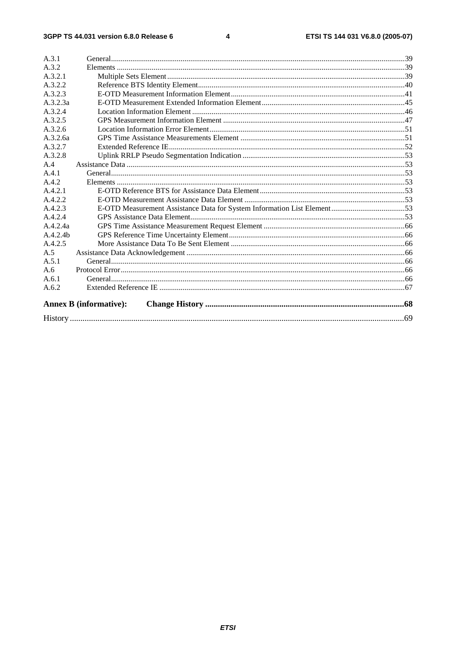| A.3.1<br>A.3.2 |                               |  |
|----------------|-------------------------------|--|
| A.3.2.1        |                               |  |
|                |                               |  |
| A.3.2.2        |                               |  |
| A.3.2.3        |                               |  |
| A.3.2.3a       |                               |  |
| A.3.2.4        |                               |  |
| A.3.2.5        |                               |  |
| A.3.2.6        |                               |  |
| A.3.2.6a       |                               |  |
| A.3.2.7        |                               |  |
| A.3.2.8        |                               |  |
| A.4            |                               |  |
| A.4.1          |                               |  |
| A.4.2          |                               |  |
| A.4.2.1        |                               |  |
| A.4.2.2        |                               |  |
| A.4.2.3        |                               |  |
| A.4.2.4        |                               |  |
| A.4.2.4a       |                               |  |
| A.4.2.4h       |                               |  |
| A.4.2.5        |                               |  |
| A.5            |                               |  |
| A.5.1          |                               |  |
| A.6            |                               |  |
| A.6.1          |                               |  |
| A.6.2          |                               |  |
|                | <b>Annex B</b> (informative): |  |
|                |                               |  |
|                |                               |  |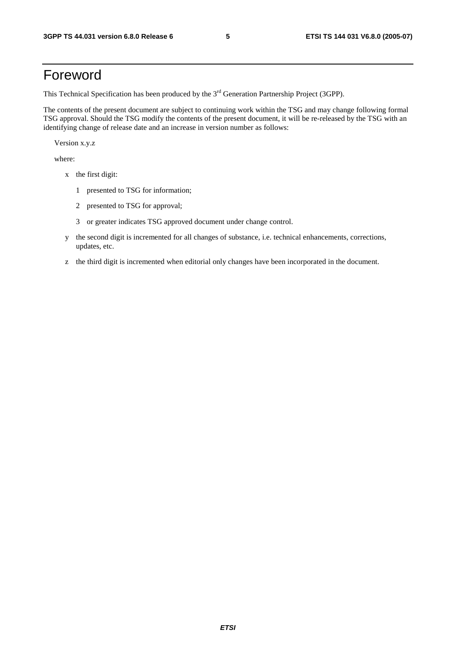# Foreword

This Technical Specification has been produced by the 3<sup>rd</sup> Generation Partnership Project (3GPP).

The contents of the present document are subject to continuing work within the TSG and may change following formal TSG approval. Should the TSG modify the contents of the present document, it will be re-released by the TSG with an identifying change of release date and an increase in version number as follows:

Version x.y.z

where:

- x the first digit:
	- 1 presented to TSG for information;
	- 2 presented to TSG for approval;
	- 3 or greater indicates TSG approved document under change control.
- y the second digit is incremented for all changes of substance, i.e. technical enhancements, corrections, updates, etc.
- z the third digit is incremented when editorial only changes have been incorporated in the document.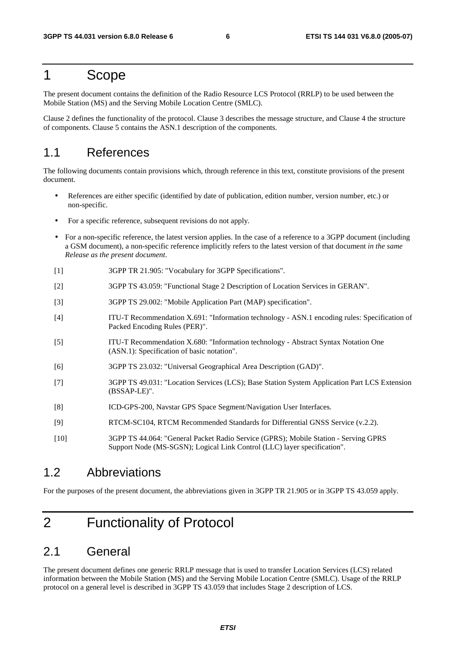# 1 Scope

The present document contains the definition of the Radio Resource LCS Protocol (RRLP) to be used between the Mobile Station (MS) and the Serving Mobile Location Centre (SMLC).

Clause 2 defines the functionality of the protocol. Clause 3 describes the message structure, and Clause 4 the structure of components. Clause 5 contains the ASN.1 description of the components.

# 1.1 References

The following documents contain provisions which, through reference in this text, constitute provisions of the present document.

- References are either specific (identified by date of publication, edition number, version number, etc.) or non-specific.
- For a specific reference, subsequent revisions do not apply.
- For a non-specific reference, the latest version applies. In the case of a reference to a 3GPP document (including a GSM document), a non-specific reference implicitly refers to the latest version of that document *in the same Release as the present document*.
- [1] 3GPP TR 21.905: "Vocabulary for 3GPP Specifications".
- [2] 3GPP TS 43.059: "Functional Stage 2 Description of Location Services in GERAN".
- [3] 3GPP TS 29.002: "Mobile Application Part (MAP) specification".
- [4] ITU-T Recommendation X.691: "Information technology ASN.1 encoding rules: Specification of Packed Encoding Rules (PER)".
- [5] ITU-T Recommendation X.680: "Information technology Abstract Syntax Notation One (ASN.1): Specification of basic notation".
- [6] 3GPP TS 23.032: "Universal Geographical Area Description (GAD)".
- [7] 3GPP TS 49.031: "Location Services (LCS); Base Station System Application Part LCS Extension (BSSAP-LE)".
- [8] ICD-GPS-200, Navstar GPS Space Segment/Navigation User Interfaces.
- [9] RTCM-SC104, RTCM Recommended Standards for Differential GNSS Service (v.2.2).
- [10] 3GPP TS 44.064: "General Packet Radio Service (GPRS); Mobile Station Serving GPRS Support Node (MS-SGSN); Logical Link Control (LLC) layer specification".

### 1.2 Abbreviations

For the purposes of the present document, the abbreviations given in 3GPP TR 21.905 or in 3GPP TS 43.059 apply.

# 2 Functionality of Protocol

# 2.1 General

The present document defines one generic RRLP message that is used to transfer Location Services (LCS) related information between the Mobile Station (MS) and the Serving Mobile Location Centre (SMLC). Usage of the RRLP protocol on a general level is described in 3GPP TS 43.059 that includes Stage 2 description of LCS.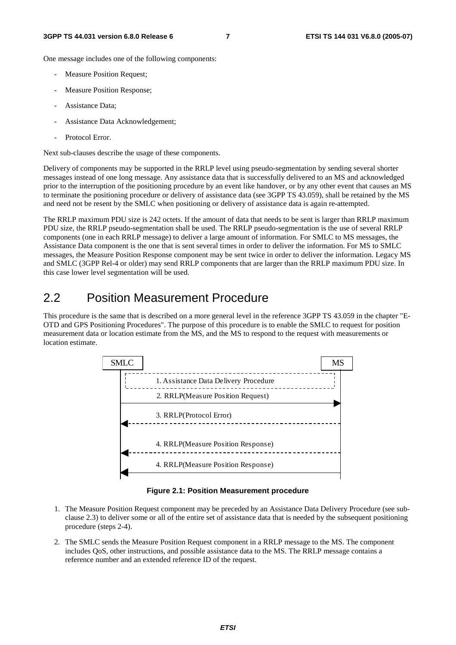One message includes one of the following components:

- Measure Position Request;
- Measure Position Response;
- Assistance Data:
- Assistance Data Acknowledgement;
- Protocol Error.

Next sub-clauses describe the usage of these components.

Delivery of components may be supported in the RRLP level using pseudo-segmentation by sending several shorter messages instead of one long message. Any assistance data that is successfully delivered to an MS and acknowledged prior to the interruption of the positioning procedure by an event like handover, or by any other event that causes an MS to terminate the positioning procedure or delivery of assistance data (see 3GPP TS 43.059), shall be retained by the MS and need not be resent by the SMLC when positioning or delivery of assistance data is again re-attempted.

The RRLP maximum PDU size is 242 octets. If the amount of data that needs to be sent is larger than RRLP maximum PDU size, the RRLP pseudo-segmentation shall be used. The RRLP pseudo-segmentation is the use of several RRLP components (one in each RRLP message) to deliver a large amount of information. For SMLC to MS messages, the Assistance Data component is the one that is sent several times in order to deliver the information. For MS to SMLC messages, the Measure Position Response component may be sent twice in order to deliver the information. Legacy MS and SMLC (3GPP Rel-4 or older) may send RRLP components that are larger than the RRLP maximum PDU size. In this case lower level segmentation will be used.

# 2.2 Position Measurement Procedure

This procedure is the same that is described on a more general level in the reference 3GPP TS 43.059 in the chapter "E-OTD and GPS Positioning Procedures". The purpose of this procedure is to enable the SMLC to request for position measurement data or location estimate from the MS, and the MS to respond to the request with measurements or location estimate.



**Figure 2.1: Position Measurement procedure** 

- 1. The Measure Position Request component may be preceded by an Assistance Data Delivery Procedure (see subclause 2.3) to deliver some or all of the entire set of assistance data that is needed by the subsequent positioning procedure (steps 2-4).
- 2. The SMLC sends the Measure Position Request component in a RRLP message to the MS. The component includes QoS, other instructions, and possible assistance data to the MS. The RRLP message contains a reference number and an extended reference ID of the request.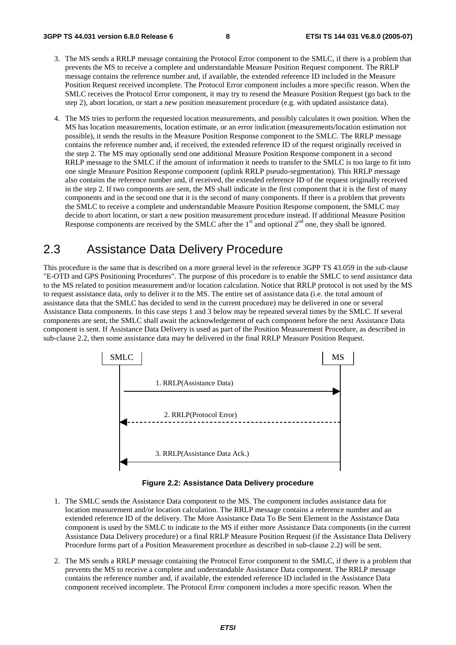- 3. The MS sends a RRLP message containing the Protocol Error component to the SMLC, if there is a problem that prevents the MS to receive a complete and understandable Measure Position Request component. The RRLP message contains the reference number and, if available, the extended reference ID included in the Measure Position Request received incomplete. The Protocol Error component includes a more specific reason. When the SMLC receives the Protocol Error component, it may try to resend the Measure Position Request (go back to the step 2), abort location, or start a new position measurement procedure (e.g. with updated assistance data).
- 4. The MS tries to perform the requested location measurements, and possibly calculates it own position. When the MS has location measurements, location estimate, or an error indication (measurements/location estimation not possible), it sends the results in the Measure Position Response component to the SMLC. The RRLP message contains the reference number and, if received, the extended reference ID of the request originally received in the step 2. The MS may optionally send one additional Measure Position Response component in a second RRLP message to the SMLC if the amount of information it needs to transfer to the SMLC is too large to fit into one single Measure Position Response component (uplink RRLP pseudo-segmentation). This RRLP message also contains the reference number and, if received, the extended reference ID of the request originally received in the step 2. If two components are sent, the MS shall indicate in the first component that it is the first of many components and in the second one that it is the second of many components. If there is a problem that prevents the SMLC to receive a complete and understandable Measure Position Response component, the SMLC may decide to abort location, or start a new position measurement procedure instead. If additional Measure Position Response components are received by the SMLC after the  $1<sup>st</sup>$  and optional  $2<sup>nd</sup>$  one, they shall be ignored.

# 2.3 Assistance Data Delivery Procedure

This procedure is the same that is described on a more general level in the reference 3GPP TS 43.059 in the sub-clause "E-OTD and GPS Positioning Procedures". The purpose of this procedure is to enable the SMLC to send assistance data to the MS related to position measurement and/or location calculation. Notice that RRLP protocol is not used by the MS to request assistance data, only to deliver it to the MS. The entire set of assistance data (i.e. the total amount of assistance data that the SMLC has decided to send in the current procedure) may be delivered in one or several Assistance Data components. In this case steps 1 and 3 below may be repeated several times by the SMLC. If several components are sent, the SMLC shall await the acknowledgement of each component before the next Assistance Data component is sent. If Assistance Data Delivery is used as part of the Position Measurement Procedure, as described in sub-clause 2.2, then some assistance data may be delivered in the final RRLP Measure Position Request.



**Figure 2.2: Assistance Data Delivery procedure** 

- 1. The SMLC sends the Assistance Data component to the MS. The component includes assistance data for location measurement and/or location calculation. The RRLP message contains a reference number and an extended reference ID of the delivery. The More Assistance Data To Be Sent Element in the Assistance Data component is used by the SMLC to indicate to the MS if either more Assistance Data components (in the current Assistance Data Delivery procedure) or a final RRLP Measure Position Request (if the Assistance Data Delivery Procedure forms part of a Position Measurement procedure as described in sub-clause 2.2) will be sent.
- 2. The MS sends a RRLP message containing the Protocol Error component to the SMLC, if there is a problem that prevents the MS to receive a complete and understandable Assistance Data component. The RRLP message contains the reference number and, if available, the extended reference ID included in the Assistance Data component received incomplete. The Protocol Error component includes a more specific reason. When the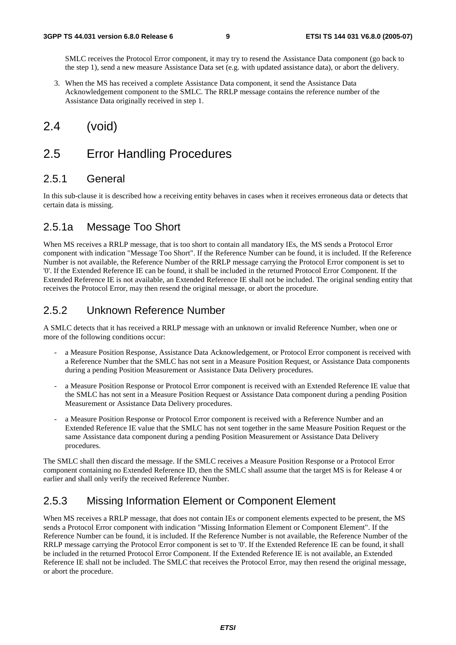SMLC receives the Protocol Error component, it may try to resend the Assistance Data component (go back to the step 1), send a new measure Assistance Data set (e.g. with updated assistance data), or abort the delivery.

3. When the MS has received a complete Assistance Data component, it send the Assistance Data Acknowledgement component to the SMLC. The RRLP message contains the reference number of the Assistance Data originally received in step 1.

# 2.4 (void)

# 2.5 Error Handling Procedures

### 2.5.1 General

In this sub-clause it is described how a receiving entity behaves in cases when it receives erroneous data or detects that certain data is missing.

### 2.5.1a Message Too Short

When MS receives a RRLP message, that is too short to contain all mandatory IEs, the MS sends a Protocol Error component with indication "Message Too Short". If the Reference Number can be found, it is included. If the Reference Number is not available, the Reference Number of the RRLP message carrying the Protocol Error component is set to '0'. If the Extended Reference IE can be found, it shall be included in the returned Protocol Error Component. If the Extended Reference IE is not available, an Extended Reference IE shall not be included. The original sending entity that receives the Protocol Error, may then resend the original message, or abort the procedure.

### 2.5.2 Unknown Reference Number

A SMLC detects that it has received a RRLP message with an unknown or invalid Reference Number, when one or more of the following conditions occur:

- a Measure Position Response, Assistance Data Acknowledgement, or Protocol Error component is received with a Reference Number that the SMLC has not sent in a Measure Position Request, or Assistance Data components during a pending Position Measurement or Assistance Data Delivery procedures.
- a Measure Position Response or Protocol Error component is received with an Extended Reference IE value that the SMLC has not sent in a Measure Position Request or Assistance Data component during a pending Position Measurement or Assistance Data Delivery procedures.
- a Measure Position Response or Protocol Error component is received with a Reference Number and an Extended Reference IE value that the SMLC has not sent together in the same Measure Position Request or the same Assistance data component during a pending Position Measurement or Assistance Data Delivery procedures.

The SMLC shall then discard the message. If the SMLC receives a Measure Position Response or a Protocol Error component containing no Extended Reference ID, then the SMLC shall assume that the target MS is for Release 4 or earlier and shall only verify the received Reference Number.

# 2.5.3 Missing Information Element or Component Element

When MS receives a RRLP message, that does not contain IEs or component elements expected to be present, the MS sends a Protocol Error component with indication "Missing Information Element or Component Element". If the Reference Number can be found, it is included. If the Reference Number is not available, the Reference Number of the RRLP message carrying the Protocol Error component is set to '0'. If the Extended Reference IE can be found, it shall be included in the returned Protocol Error Component. If the Extended Reference IE is not available, an Extended Reference IE shall not be included. The SMLC that receives the Protocol Error, may then resend the original message, or abort the procedure.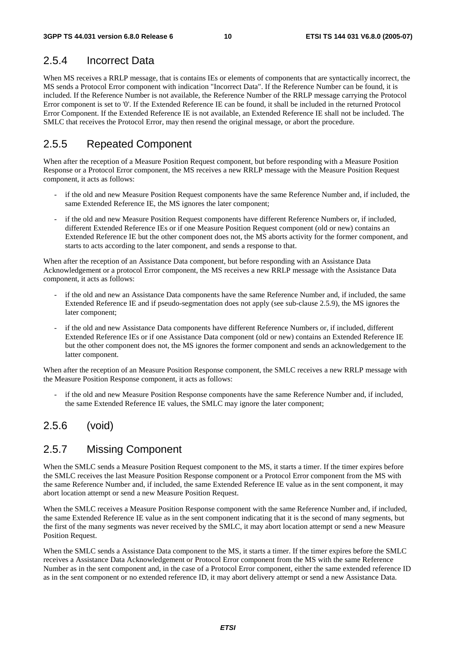# 2.5.4 Incorrect Data

When MS receives a RRLP message, that is contains IEs or elements of components that are syntactically incorrect, the MS sends a Protocol Error component with indication "Incorrect Data". If the Reference Number can be found, it is included. If the Reference Number is not available, the Reference Number of the RRLP message carrying the Protocol Error component is set to '0'. If the Extended Reference IE can be found, it shall be included in the returned Protocol Error Component. If the Extended Reference IE is not available, an Extended Reference IE shall not be included. The SMLC that receives the Protocol Error, may then resend the original message, or abort the procedure.

### 2.5.5 Repeated Component

When after the reception of a Measure Position Request component, but before responding with a Measure Position Response or a Protocol Error component, the MS receives a new RRLP message with the Measure Position Request component, it acts as follows:

- if the old and new Measure Position Request components have the same Reference Number and, if included, the same Extended Reference IE, the MS ignores the later component;
- if the old and new Measure Position Request components have different Reference Numbers or, if included, different Extended Reference IEs or if one Measure Position Request component (old or new) contains an Extended Reference IE but the other component does not, the MS aborts activity for the former component, and starts to acts according to the later component, and sends a response to that.

When after the reception of an Assistance Data component, but before responding with an Assistance Data Acknowledgement or a protocol Error component, the MS receives a new RRLP message with the Assistance Data component, it acts as follows:

- if the old and new an Assistance Data components have the same Reference Number and, if included, the same Extended Reference IE and if pseudo-segmentation does not apply (see sub-clause 2.5.9), the MS ignores the later component;
- if the old and new Assistance Data components have different Reference Numbers or, if included, different Extended Reference IEs or if one Assistance Data component (old or new) contains an Extended Reference IE but the other component does not, the MS ignores the former component and sends an acknowledgement to the latter component.

When after the reception of an Measure Position Response component, the SMLC receives a new RRLP message with the Measure Position Response component, it acts as follows:

if the old and new Measure Position Response components have the same Reference Number and, if included, the same Extended Reference IE values, the SMLC may ignore the later component;

### 2.5.6 (void)

### 2.5.7 Missing Component

When the SMLC sends a Measure Position Request component to the MS, it starts a timer. If the timer expires before the SMLC receives the last Measure Position Response component or a Protocol Error component from the MS with the same Reference Number and, if included, the same Extended Reference IE value as in the sent component, it may abort location attempt or send a new Measure Position Request.

When the SMLC receives a Measure Position Response component with the same Reference Number and, if included, the same Extended Reference IE value as in the sent component indicating that it is the second of many segments, but the first of the many segments was never received by the SMLC, it may abort location attempt or send a new Measure Position Request.

When the SMLC sends a Assistance Data component to the MS, it starts a timer. If the timer expires before the SMLC receives a Assistance Data Acknowledgement or Protocol Error component from the MS with the same Reference Number as in the sent component and, in the case of a Protocol Error component, either the same extended reference ID as in the sent component or no extended reference ID, it may abort delivery attempt or send a new Assistance Data.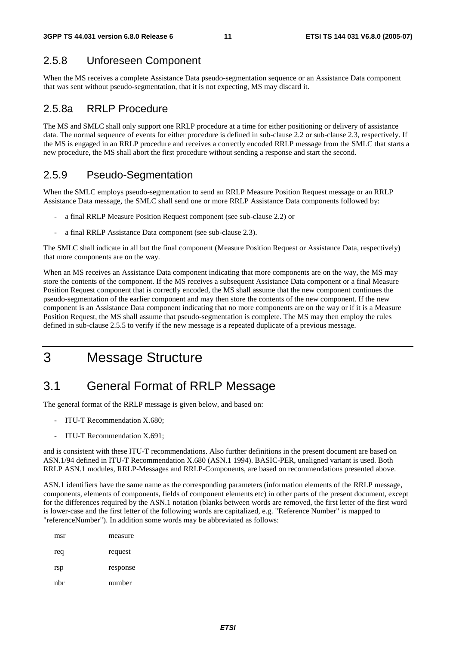### 2.5.8 Unforeseen Component

When the MS receives a complete Assistance Data pseudo-segmentation sequence or an Assistance Data component that was sent without pseudo-segmentation, that it is not expecting, MS may discard it.

### 2.5.8a RRLP Procedure

The MS and SMLC shall only support one RRLP procedure at a time for either positioning or delivery of assistance data. The normal sequence of events for either procedure is defined in sub-clause 2.2 or sub-clause 2.3, respectively. If the MS is engaged in an RRLP procedure and receives a correctly encoded RRLP message from the SMLC that starts a new procedure, the MS shall abort the first procedure without sending a response and start the second.

### 2.5.9 Pseudo-Segmentation

When the SMLC employs pseudo-segmentation to send an RRLP Measure Position Request message or an RRLP Assistance Data message, the SMLC shall send one or more RRLP Assistance Data components followed by:

- a final RRLP Measure Position Request component (see sub-clause 2.2) or
- a final RRLP Assistance Data component (see sub-clause 2.3).

The SMLC shall indicate in all but the final component (Measure Position Request or Assistance Data, respectively) that more components are on the way.

When an MS receives an Assistance Data component indicating that more components are on the way, the MS may store the contents of the component. If the MS receives a subsequent Assistance Data component or a final Measure Position Request component that is correctly encoded, the MS shall assume that the new component continues the pseudo-segmentation of the earlier component and may then store the contents of the new component. If the new component is an Assistance Data component indicating that no more components are on the way or if it is a Measure Position Request, the MS shall assume that pseudo-segmentation is complete. The MS may then employ the rules defined in sub-clause 2.5.5 to verify if the new message is a repeated duplicate of a previous message.

# 3 Message Structure

# 3.1 General Format of RRLP Message

The general format of the RRLP message is given below, and based on:

- ITU-T Recommendation X.680;
- ITU-T Recommendation X.691;

and is consistent with these ITU-T recommendations. Also further definitions in the present document are based on ASN.1/94 defined in ITU-T Recommendation X.680 (ASN.1 1994). BASIC-PER, unaligned variant is used. Both RRLP ASN.1 modules, RRLP-Messages and RRLP-Components, are based on recommendations presented above.

ASN.1 identifiers have the same name as the corresponding parameters (information elements of the RRLP message, components, elements of components, fields of component elements etc) in other parts of the present document, except for the differences required by the ASN.1 notation (blanks between words are removed, the first letter of the first word is lower-case and the first letter of the following words are capitalized, e.g. "Reference Number" is mapped to "referenceNumber"). In addition some words may be abbreviated as follows:

| msr | measure  |
|-----|----------|
| req | request  |
| rsp | response |
| nbr | number   |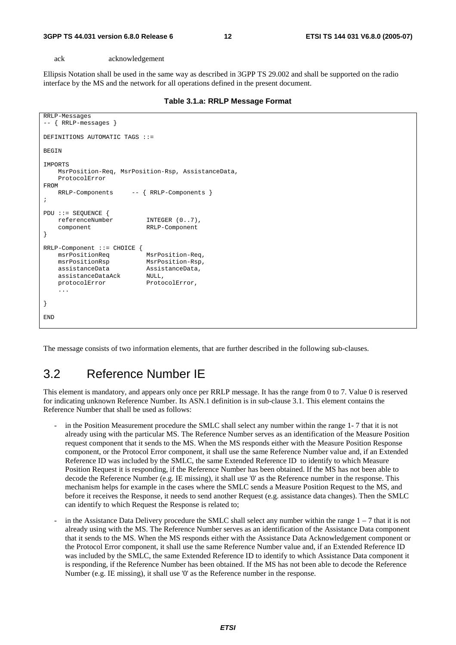ack acknowledgement

Ellipsis Notation shall be used in the same way as described in 3GPP TS 29.002 and shall be supported on the radio interface by the MS and the network for all operations defined in the present document.

| Table 3.1.a: RRLP Message Format |  |  |  |
|----------------------------------|--|--|--|
|----------------------------------|--|--|--|

```
RRLP-Messages 
-- { RRLP-messages } 
DEFINITIONS AUTOMATIC TAGS ::= 
BEGIN
IMPORTS 
     MsrPosition-Req, MsrPosition-Rsp, AssistanceData, 
     ProtocolError 
FROM 
     RRLP-Components -- { RRLP-Components } 
; 
PDU ::= SEQUENCE { 
     referenceNumber INTEGER (0..7), 
     component RRLP-Component 
} 
RRLP-Component ::= CHOICE {<br>msrPositionReq MsrPosition-Req.
   msrPositionReg msrPositionRsp MsrPosition-Rsp, 
    assistanceData AssistanceData, 
     assistanceDataAck NULL, 
    protocolError ProtocolError,
     ... 
} 
END
```
The message consists of two information elements, that are further described in the following sub-clauses.

# 3.2 Reference Number IE

This element is mandatory, and appears only once per RRLP message. It has the range from 0 to 7. Value 0 is reserved for indicating unknown Reference Number. Its ASN.1 definition is in sub-clause 3.1. This element contains the Reference Number that shall be used as follows:

- in the Position Measurement procedure the SMLC shall select any number within the range 1-7 that it is not already using with the particular MS. The Reference Number serves as an identification of the Measure Position request component that it sends to the MS. When the MS responds either with the Measure Position Response component, or the Protocol Error component, it shall use the same Reference Number value and, if an Extended Reference ID was included by the SMLC, the same Extended Reference ID to identify to which Measure Position Request it is responding, if the Reference Number has been obtained. If the MS has not been able to decode the Reference Number (e.g. IE missing), it shall use '0' as the Reference number in the response. This mechanism helps for example in the cases where the SMLC sends a Measure Position Request to the MS, and before it receives the Response, it needs to send another Request (e.g. assistance data changes). Then the SMLC can identify to which Request the Response is related to;
- in the Assistance Data Delivery procedure the SMLC shall select any number within the range  $1 7$  that it is not already using with the MS. The Reference Number serves as an identification of the Assistance Data component that it sends to the MS. When the MS responds either with the Assistance Data Acknowledgement component or the Protocol Error component, it shall use the same Reference Number value and, if an Extended Reference ID was included by the SMLC, the same Extended Reference ID to identify to which Assistance Data component it is responding, if the Reference Number has been obtained. If the MS has not been able to decode the Reference Number (e.g. IE missing), it shall use '0' as the Reference number in the response.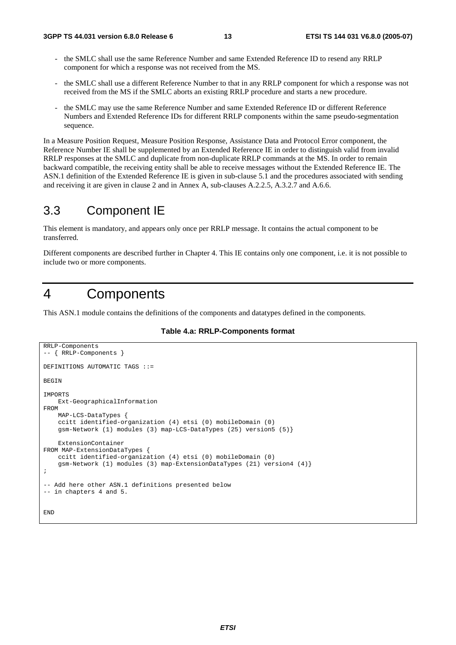- the SMLC shall use the same Reference Number and same Extended Reference ID to resend any RRLP component for which a response was not received from the MS.
- the SMLC shall use a different Reference Number to that in any RRLP component for which a response was not received from the MS if the SMLC aborts an existing RRLP procedure and starts a new procedure.
- the SMLC may use the same Reference Number and same Extended Reference ID or different Reference Numbers and Extended Reference IDs for different RRLP components within the same pseudo-segmentation sequence.

In a Measure Position Request, Measure Position Response, Assistance Data and Protocol Error component, the Reference Number IE shall be supplemented by an Extended Reference IE in order to distinguish valid from invalid RRLP responses at the SMLC and duplicate from non-duplicate RRLP commands at the MS. In order to remain backward compatible, the receiving entity shall be able to receive messages without the Extended Reference IE. The ASN.1 definition of the Extended Reference IE is given in sub-clause 5.1 and the procedures associated with sending and receiving it are given in clause 2 and in Annex A, sub-clauses A.2.2.5, A.3.2.7 and A.6.6.

# 3.3 Component IE

This element is mandatory, and appears only once per RRLP message. It contains the actual component to be transferred.

Different components are described further in Chapter 4. This IE contains only one component, i.e. it is not possible to include two or more components.

# 4 Components

This ASN.1 module contains the definitions of the components and datatypes defined in the components.

**Table 4.a: RRLP-Components format** 

```
RRLP-Components 
-- { RRLP-Components } 
DEFINITIONS AUTOMATIC TAGS ::= 
BEGIN 
IMPORTS 
     Ext-GeographicalInformation 
FROM 
     MAP-LCS-DataTypes { 
     ccitt identified-organization (4) etsi (0) mobileDomain (0) 
     gsm-Network (1) modules (3) map-LCS-DataTypes (25) version5 (5)} 
     ExtensionContainer 
FROM MAP-ExtensionDataTypes { 
     ccitt identified-organization (4) etsi (0) mobileDomain (0) 
     gsm-Network (1) modules (3) map-ExtensionDataTypes (21) version4 (4)} 
; 
-- Add here other ASN.1 definitions presented below 
-- in chapters 4 and 5. 
END
```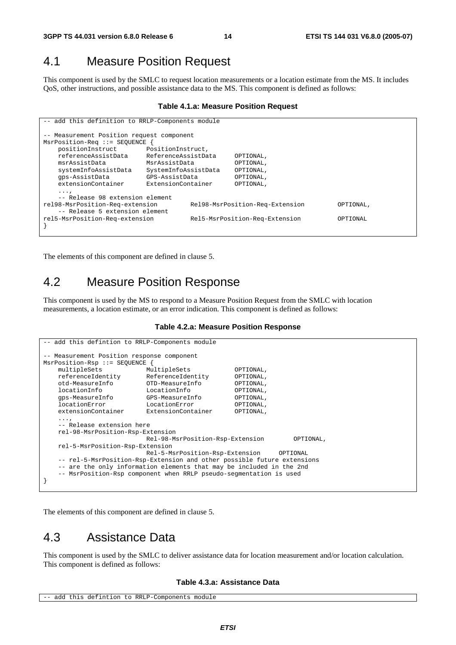# 4.1 Measure Position Request

This component is used by the SMLC to request location measurements or a location estimate from the MS. It includes QoS, other instructions, and possible assistance data to the MS. This component is defined as follows:

#### **Table 4.1.a: Measure Position Request**

```
-- add this definition to RRLP-Components module 
 -- Measurement Position request component 
MsrPosition-Req ::= SEQUENCE { 
    positionInstruct PositionInstruct, 
    referenceAssistData ReferenceAssistData OPTIONAL, 
                         MsrAssistData
    systemInfoAssistData SystemInfoAssistData OPTIONAL, 
    gps-AssistData GPS-AssistData OPTIONAL, 
    extensionContainer ExtensionContainer OPTIONAL, 
    ..., 
     -- Release 98 extension element 
rel98-MsrPosition-Req-extension Rel98-MsrPosition-Req-Extension OPTIONAL, 
    -- Release 5 extension element 
rel5-MsrPosition-Req-extension Rel5-MsrPosition-Req-Extension OPTIONAL 
}
```
The elements of this component are defined in clause 5.

# 4.2 Measure Position Response

This component is used by the MS to respond to a Measure Position Request from the SMLC with location measurements, a location estimate, or an error indication. This component is defined as follows:

#### **Table 4.2.a: Measure Position Response**

```
-- add this defintion to RRLP-Components module
-- Measurement Position response component 
MsrPosition-Rsp ::= SEQUENCE { 
   multipleSets MultipleSets OPTIONAL,<br>
referenceIdentity ReferenceIdentity OPTIONAL,
   referenceIdentity ReferenceIdentity OPTIONAL,<br>otd-MeasureInfo OTD-MeasureInfo OPTIONAL,
 otd-MeasureInfo OTD-MeasureInfo OPTIONAL, 
 locationInfo LocationInfo OPTIONAL, 
    gps-MeasureInfo GPS-MeasureInfo OPTIONAL, 
    locationError LocationError OPTIONAL, 
    extensionContainer ExtensionContainer OPTIONAL, 
...,
    -- Release extension here 
    rel-98-MsrPosition-Rsp-Extension 
                            Rel-98-MsrPosition-Rsp-Extension OPTIONAL, 
    rel-5-MsrPosition-Rsp-Extension 
                            Rel-5-MsrPosition-Rsp-Extension OPTIONAL 
     -- rel-5-MsrPosition-Rsp-Extension and other possible future extensions 
    -- are the only information elements that may be included in the 2nd 
    -- MsrPosition-Rsp component when RRLP pseudo-segmentation is used 
}
```
The elements of this component are defined in clause 5.

# 4.3 Assistance Data

This component is used by the SMLC to deliver assistance data for location measurement and/or location calculation. This component is defined as follows:

#### **Table 4.3.a: Assistance Data**

```
-- add this defintion to RRLP-Components module
```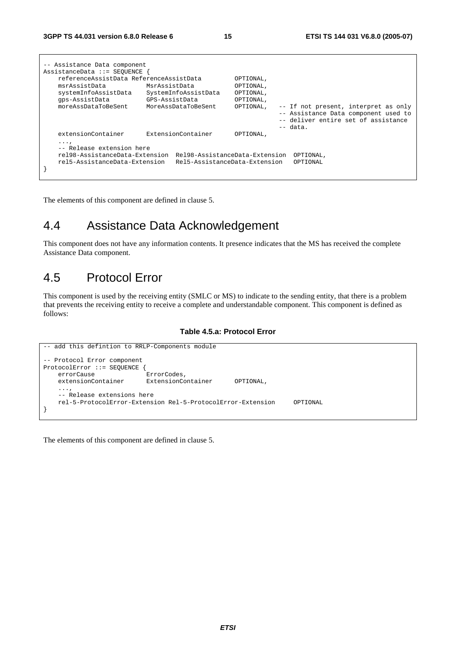| -- Assistance Data component<br>AssistanceData ::= SEOUENCE                                                               |                                                                                |                                                               |                                                                                                                                   |  |
|---------------------------------------------------------------------------------------------------------------------------|--------------------------------------------------------------------------------|---------------------------------------------------------------|-----------------------------------------------------------------------------------------------------------------------------------|--|
| referenceAssistData ReferenceAssistData<br>msrAssistData<br>systemInfoAssistData<br>qps-AssistData<br>moreAssDataToBeSent | MsrAssistData<br>SystemInfoAssistData<br>GPS-AssistData<br>MoreAssDataToBeSent | OPTIONAL,<br>OPTIONAL,<br>OPTIONAL,<br>OPTIONAL,<br>OPTIONAL, | -- If not present, interpret as only<br>-- Assistance Data component used to<br>-- deliver entire set of assistance<br>$--$ data. |  |
| extensionContainer                                                                                                        | ExtensionContainer                                                             | OPTIONAL,                                                     |                                                                                                                                   |  |
| $\cdots$<br>-- Release extension here<br>rel98-AssistanceData-Extension<br>rel5-AssistanceData-Extension                  | Rel98-AssistanceData-Extension<br>Rel5-AssistanceData-Extension                |                                                               | OPTIONAL,<br>OPTIONAL                                                                                                             |  |

The elements of this component are defined in clause 5.

# 4.4 Assistance Data Acknowledgement

This component does not have any information contents. It presence indicates that the MS has received the complete Assistance Data component.

# 4.5 Protocol Error

This component is used by the receiving entity (SMLC or MS) to indicate to the sending entity, that there is a problem that prevents the receiving entity to receive a complete and understandable component. This component is defined as follows:

#### **Table 4.5.a: Protocol Error**



The elements of this component are defined in clause 5.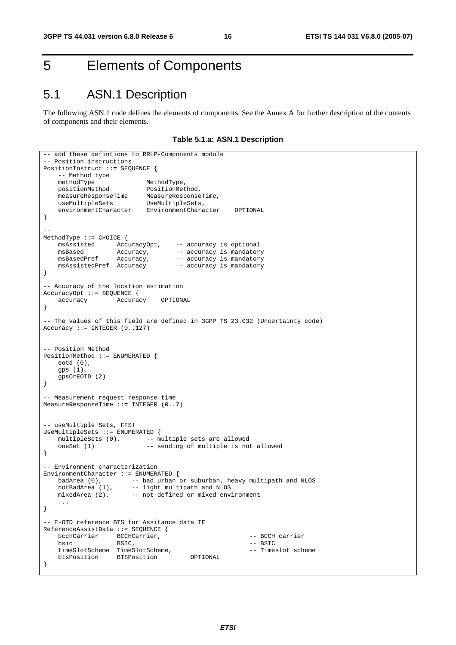# 5 Elements of Components

# 5.1 ASN.1 Description

The following ASN.1 code defines the elements of components. See the Annex A for further description of the contents of components and their elements.

**Table 5.1.a: ASN.1 Description** 

```
-- add these defintions to RRLP-Components module
-- Position instructions 
PositionInstruct ::= SEQUENCE { 
   -- Method type<br>methodType
methodType MethodType,
 positionMethod PositionMethod, 
 measureResponseTime MeasureResponseTime, 
 useMultipleSets UseMultipleSets, 
   useMultipleSets UseMultipleSets,<br>environmentCharacter EnvironmentCharacter OPTIONAL
} 
-- 
MethodType ::= CHOICE {<br>msAssisted AccuracyOpt,<br>msBased Accuracy
 msAssisted AccuracyOpt, -- accuracy is optional 
msBased Mccuracy, -- accuracy is mandatory
msBasedPref Accuracy, -- accuracy is mandatory
   msBasedPref Accuracy, -- accuracy is mandatory<br>msAssistedPref Accuracy -- accuracy is mandatory
} 
-- Accuracy of the location estimation 
AccuracyOpt ::= SEQUENCE { 
    accuracy Accuracy OPTIONAL 
} 
-- The values of this field are defined in 3GPP TS 23.032 (Uncertainty code) 
Accuracy ::= INTEGER (0..127) 
-- Position Method 
PositionMethod ::= ENUMERATED { 
    eotd (0), 
    gps (1), 
    gpsOrEOTD (2) 
} 
-- Measurement request response time 
MeasureResponseTime ::= INTEGER (0..7) 
-- useMultiple Sets, FFS! 
UseMultipleSets ::= ENUMERATED { 
   multipleSets (0), \qquad -\frac{1}{2} multiple sets are allowed
   oneSet (1) -- sending of multiple is not allowed
} 
-- Environment characterization 
EnvironmentCharacter ::= ENUMERATED {
 badArea (0), -- bad urban or suburban, heavy multipath and NLOS 
notBadArea (1), -- light multipath and NLOS
 mixedArea (2), -- not defined or mixed environment 
 ... 
} 
 -- E-OTD reference BTS for Assitance data IE 
ReferenceAssistData ::= SEQUENCE { 
   bcchCarrier BCCHCarrier, etc. The CCH carrier
bsic BSIC, and BSIC, the extent of the BSIC set of the BSIC set of the BSIC set of the BSIC
     timeSlotScheme TimeSlotScheme, -- Timeslot scheme 
    btsPosition BTSPosition OPTIONAL 
}
```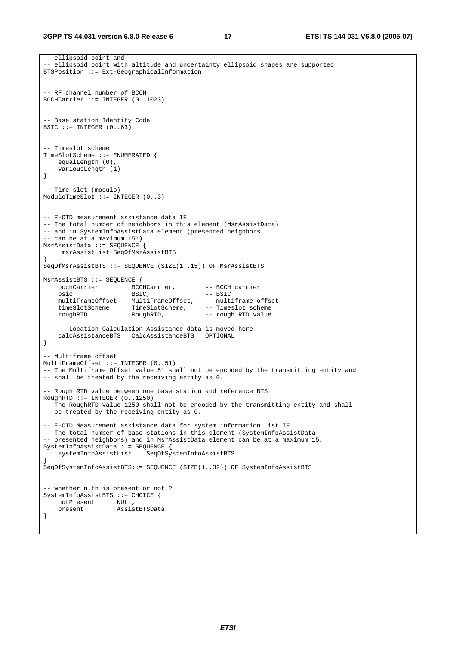```
-- ellipsoid point and 
 -- ellipsoid point with altitude and uncertainty ellipsoid shapes are supported 
BTSPosition ::= Ext-GeographicalInformation 
 -- RF channel number of BCCH 
BCCHCarrier ::= INTEGER (0..1023) 
 - Base station Identity Code
BSIC ::= INTEGER (0..63)-- Timeslot scheme 
TimeSlotScheme ::= ENUMERATED { 
    equalLength (0), 
    variousLength (1) 
} 
-- Time slot (modulo) 
ModuloTimeSlot ::= INTEGER (0..3) 
-- E-OTD measurement assistance data IE 
-- The total number of neighbors in this element (MsrAssistData) 
-- and in SystemInfoAssistData element (presented neighbors 
-- can be at a maximum 15!) 
MsrAssistData ::= SEQUENCE { 
     msrAssistList SeqOfMsrAssistBTS 
} 
SeqOfMsrAssistBTS ::= SEQUENCE (SIZE(1..15)) OF MsrAssistBTS 
MsrAssistBTS ::= SEQUENCE { 
   bcchCarrier BCCHCarrier, -- BCCH carrier
bsic BSIC, - - BSTC multiFrameOffset MultiFrameOffset, -- multiframe offset 
 timeSlotScheme TimeSlotScheme, -- Timeslot scheme 
   muitirrameoriset fuitirrameorise,<br>timeSlotScheme TimeSlotScheme, -- Timeslot scheme<br>roughRTD RoughRTD, -- rough RTD value
     -- Location Calculation Assistance data is moved here 
    calcAssistanceBTS CalcAssistanceBTS OPTIONAL 
} 
-- Multiframe offset 
MultiFrameOffset ::= INTEGER (0..51) 
-- The Multiframe Offset value 51 shall not be encoded by the transmitting entity and 
-- shall be treated by the receiving entity as 0. 
 -- Rough RTD value between one base station and reference BTS 
RoughRTD :: = INTEGR (0..1250)-- The RoughRTD value 1250 shall not be encoded by the transmitting entity and shall 
-- be treated by the receiving entity as 0. 
-- E-OTD Measurement assistance data for system information List IE 
-- The total number of base stations in this element (SystemInfoAssistData
-- presented neighbors) and in MsrAssistData element can be at a maximum 15. 
SystemInfoAssistData ::= SEQUENCE { 
    systemInfoAssistList SeqOfSystemInfoAssistBTS 
} 
SeqOfSystemInfoAssistBTS::= SEQUENCE (SIZE(1..32)) OF SystemInfoAssistBTS 
-- whether n.th is present or not ? 
SystemInfoAssistBTS ::= CHOICE { 
    notPresent NULL, 
    present AssistBTSData 
}
```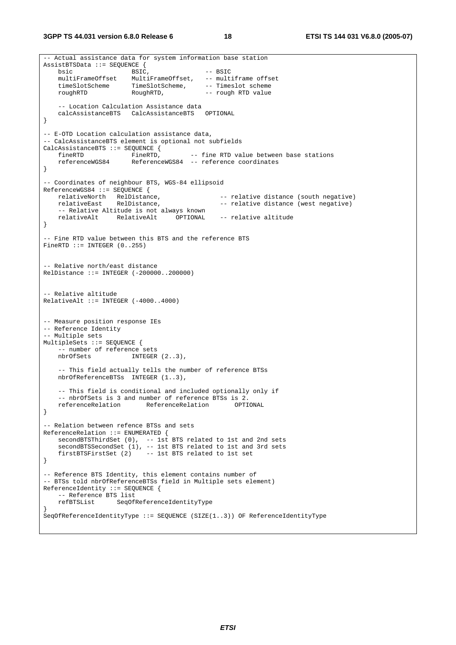**3GPP TS 44.031 version 6.8.0 Release 6 18 ETSI TS 144 031 V6.8.0 (2005-07)**

```
-- Actual assistance data for system information base station 
AssistBTSData ::= SEQUENCE { 
   \overrightarrow{B} BSIC, \overrightarrow{B} -- BSIC
    multiFrameOffset MultiFrameOffset, -- multiframe offset 
 timeSlotScheme TimeSlotScheme, -- Timeslot scheme 
 roughRTD RoughRTD, -- rough RTD value 
    -- Location Calculation Assistance data<br>calcAssistanceBTS CalcAssistanceBTS OPTIONAL
   calcAssistanceBTS CalcAssistanceBTS
} 
-- E-OTD Location calculation assistance data, 
-- CalcAssistanceBTS element is optional not subfields 
CalcAssistanceBTS ::= SEQUENCE {<br>fineRTD FineRTD,
   fineRTD FineRTD, -- fine RTD value between base stations<br>referenceWGS84 ReferenceWGS84 -- reference coordinates
                         ReferenceWGS84 -- reference coordinates
} 
-- Coordinates of neighbour BTS, WGS-84 ellipsoid 
ReferenceWGS84 ::= SEQUENCE {<br>relativeNorth RelDistance,<br>relativeEast RelDistance,
                                                   -- relative distance (south negative)
                                                   -- relative distance (west negative)
      -- Relative Altitude is not always known 
    relativeAlt RelativeAlt OPTIONAL -- relative altitude 
} 
 -- Fine RTD value between this BTS and the reference BTS 
FineRTD ::= INTEGER (0..255)-- Relative north/east distance 
RelDistance ::= INTEGER (-200000..200000) 
-- Relative altitude 
RelativeAlt ::= INTERER (-4000..4000)-- Measure position response IEs 
-- Reference Identity 
-- Multiple sets 
MultipleSets ::= SEQUENCE { 
   -- number of reference sets<br>nbrOfSets INTEGER
                         INTEGER (2..3),
     -- This field actually tells the number of reference BTSs 
    nbrOfReferenceBTSs INTEGER (1..3), 
     -- This field is conditional and included optionally only if 
    -- nbrOfSets is 3 and number of reference BTSs is 2.
    referenceRelation ReferenceRelation OPTIONAL 
} 
 -- Relation between refence BTSs and sets 
ReferenceRelation ::= ENUMERATED { 
 secondBTSThirdSet (0), -- 1st BTS related to 1st and 2nd sets 
 secondBTSSecondSet (1), -- 1st BTS related to 1st and 3rd sets 
     firstBTSFirstSet (2) -- 1st BTS related to 1st set 
} 
-- Reference BTS Identity, this element contains number of 
-- BTSs told nbrOfReferenceBTSs field in Multiple sets element) 
ReferenceIdentity ::= SEQUENCE {
     -- Reference BTS list 
     refBTSList SeqOfReferenceIdentityType 
} 
SeqOfReferenceIdentityType ::= SEQUENCE (SIZE(1..3)) OF ReferenceIdentityType
```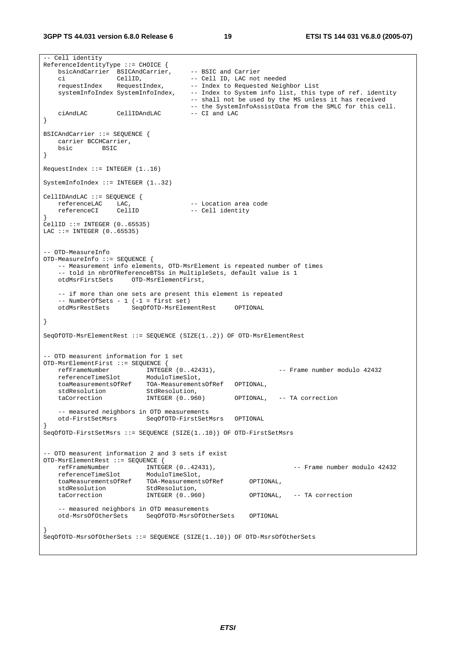**3GPP TS 44.031 version 6.8.0 Release 6 19 ETSI TS 144 031 V6.8.0 (2005-07)**

```
-- Cell identity 
ReferenceIdentityType ::= CHOICE { 
   bsicAndCarrier BSICAndCarrier,
   bsicAndCarrier BSIC and Carrier<br>ci CellID, -- BSIC and Carrier<br>ci CellID, -- Cell ID, LAC not needed<br>requestIndex RequestIndex, -- Index to Requested Neigh<br>wstemInfoIndow Quatury C
                                         -- Index to Requested Neighbor List
   systemInfoIndex SystemInfoIndex, -- Index to System info list, this type of ref. identity
                                          -- shall not be used by the MS unless it has received 
                                         -- the SystemInfoAssistData from the SMLC for this cell.<br>-- CI and LAC
   ciAndLAC CellIDAndLAC
} 
BSICAndCarrier ::= SEQUENCE { 
   carrier BCCHCarrier,<br>bsic BSIC
                bsic BSIC 
} 
RequestIndex ::= INTEGER (1..16) 
SystemInfoIndex ::= INTEGER (1..32) 
CellIDAndLAC ::= SEQUENCE {<br>referenceLAC LAC,
   referenceLAC LAC, -- Location area code<br>referenceCI CellID -- Cell identity
                                        -- Cell identity
} 
CellID ::= INTEGER (0..65535) 
LAC ::= INTEGER (0..65535)-- OTD-MeasureInfo 
OTD-MeasureInfo ::= SEQUENCE { 
    -- Measurement info elements, OTD-MsrElement is repeated number of times 
    -- told in nbrOfReferenceBTSs in MultipleSets, default value is 1 
                     OTD-MsrElementFirst,
     -- if more than one sets are present this element is repeated 
    -- NumberOfSets - 1 (-1 = first set) 
                       otd<br>SeqOfOTD-MsrElementRest OPTIONAL
} 
SeqOfOTD-MsrElementRest ::= SEQUENCE (SIZE(1..2)) OF OTD-MsrElementRest 
-- OTD measurent information for 1 set 
OTD-MsrElementFirst ::= SEQUENCE { 
 refFrameNumber INTEGER (0..42431), -- Frame number modulo 42432 
 referenceTimeSlot ModuloTimeSlot, 
    toaMeasurementsOfRef TOA-MeasurementsOfRef OPTIONAL, 
   stdResolution StdResolution,<br>taCorrection INTEGER (0..960)
                                                    OPTIONAL, -- TA correction
      -- measured neighbors in OTD measurements 
    otd-FirstSetMsrs SeqOfOTD-FirstSetMsrs OPTIONAL 
} 
SeqOfOTD-FirstSetMsrs ::= SEQUENCE (SIZE(1..10)) OF OTD-FirstSetMsrs 
 -- OTD measurent information 2 and 3 sets if exist 
OTD-MsrElementRest ::= SEQUENCE { 
 refFrameNumber INTEGER (0..42431), -- Frame number modulo 42432 
 referenceTimeSlot ModuloTimeSlot, 
 toaMeasurementsOfRef TOA-MeasurementsOfRef OPTIONAL, 
stdResolution StdResolution,
 taCorrection INTEGER (0..960) OPTIONAL, -- TA correction 
     -- measured neighbors in OTD measurements 
    otd-MsrsOfOtherSets SeqOfOTD-MsrsOfOtherSets OPTIONAL 
} 
SeqOfOTD-MsrsOfOtherSets ::= SEQUENCE (SIZE(1..10)) OF OTD-MsrsOfOtherSets
```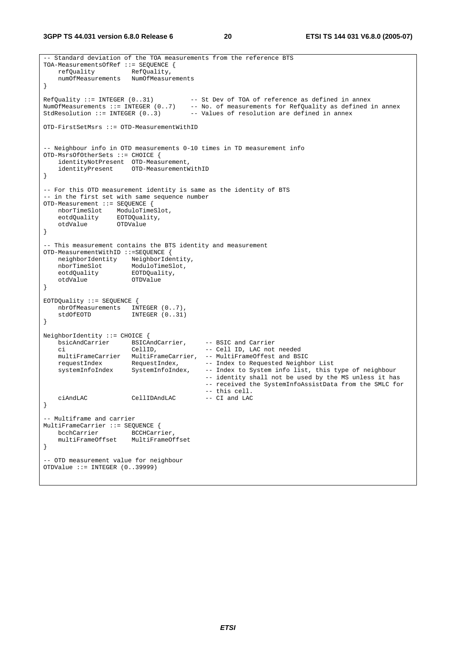**3GPP TS 44.031 version 6.8.0 Release 6 20 ETSI TS 144 031 V6.8.0 (2005-07)**

```
-- Standard deviation of the TOA measurements from the reference BTS 
TOA-MeasurementsOfRef ::= SEQUENCE {<br>refOuality RefOuality.
   refQuality RefQuality, 
    numOfMeasurements NumOfMeasurements 
} 
RefQuality ::= INTEGER (0..31) -- St Dev of TOA of reference as defined in annex 
NumOfMeasurements ::= INTEGER (0..7) -- No. of measurements for RefQuality as defined in annex 
StdResolution ::= INTEGER (0..3) -- Values of resolution are defined in annex
OTD-FirstSetMsrs ::= OTD-MeasurementWithID 
-- Neighbour info in OTD measurements 0-10 times in TD measurement info 
OTD-MsrsOfOtherSets ::= CHOICE { 
    identityNotPresent OTD-Measurement, 
    identityPresent OTD-MeasurementWithID 
} 
-- For this OTD measurement identity is same as the identity of BTS 
-- in the first set with same sequence number 
OTD-Measurement ::= SEQUENCE { 
 nborTimeSlot ModuloTimeSlot, 
 eotdQuality EOTDQuality, 
    otdValue OTDValue 
} 
-- This measurement contains the BTS identity and measurement 
OTD-MeasurementWithID ::=SEQUENCE { 
 neighborIdentity NeighborIdentity, 
nborTimeSlot ModuloTimeSlot,
 eotdQuality EOTDQuality, 
 otdValue OTDValue 
} 
EOTDQuality ::= SEQUENCE { 
  nbrOfMeasurements INTEGER (0..7),<br>stdOfEOTD INTEGER (0..31)
              INTER (0..31)} 
NeighborIdentity ::= CHOICE { 
  -<br>
bsicAndCarrier BSICAndCarrier, -- BSIC and Carrier<br>
ci -- Cell ID, LAC not needed
 ci CellID, -- Cell ID, LAC not needed 
 multiFrameCarrier MultiFrameCarrier, -- MultiFrameOffest and BSIC 
 requestIndex RequestIndex, -- Index to Requested Neighbor List 
 systemInfoIndex SystemInfoIndex, -- Index to System info list, this type of neighbour 
 -- identity shall not be used by the MS unless it has 
 -- received the SystemInfoAssistData from the SMLC for 
                                        -- this cell.<br>-- CI and LAC
   ciAndLAC CellIDAndLAC -- CI and LAC 
} 
-- Multiframe and carrier 
MultiFrameCarrier ::= SEQUENCE { 
  bcchCarrier accHCarrier,
    multiFrameOffset MultiFrameOffset 
} 
 -- OTD measurement value for neighbour 
OTDValue ::= INTEGER (0..39999)
```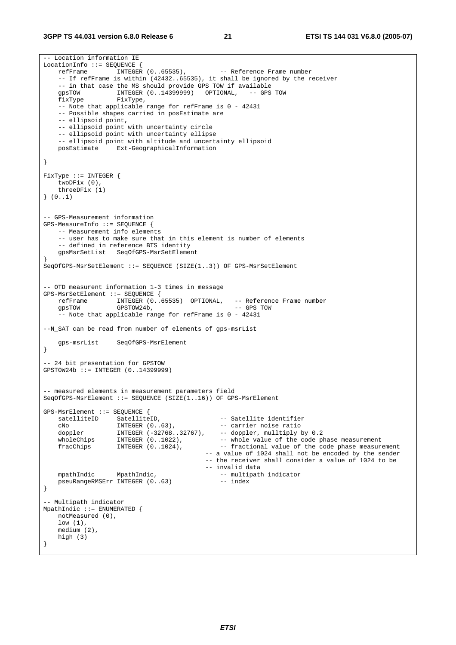#### **3GPP TS 44.031 version 6.8.0 Release 6 21 ETSI TS 144 031 V6.8.0 (2005-07)**

-- Location information IE LocationInfo ::= SEQUENCE {<br>refFrame INTEGER  $(0.65535)$ , -- Reference Frame number -- If refFrame is within (42432..65535), it shall be ignored by the receiver -- in that case the MS should provide GPS TOW if available gpsTOW INTEGER (0..14399999) OPTIONAL, -- GPS TOW fixType FixType, -- Note that applicable range for refFrame is 0 - 42431 -- Possible shapes carried in posEstimate are -- ellipsoid point, -- ellipsoid point with uncertainty circle -- ellipsoid point with uncertainty ellipse -- ellipsoid point with altitude and uncertainty ellipsoid posEstimate Ext-GeographicalInformation } FixType ::= INTEGER { twoDFix (0), threeDFix  $(1)$ } (0..1) -- GPS-Measurement information GPS-MeasureInfo ::= SEQUENCE { -- Measurement info elements -- user has to make sure that in this element is number of elements -- defined in reference BTS identity gpsMsrSetList SeqOfGPS-MsrSetElement } SeqOfGPS-MsrSetElement ::= SEQUENCE (SIZE(1..3)) OF GPS-MsrSetElement -- OTD measurent information 1-3 times in message GPS-MsrSetElement ::= SEQUENCE { refFrame INTEGER (0..65535) OPTIONAL, -- Reference Frame number<br>qpsTOW GPSTOW24b, -- GPS TOW GPSTOW24b, -- Note that applicable range for refFrame is 0 - 42431 --N\_SAT can be read from number of elements of gps-msrList gps-msrList SeqOfGPS-MsrElement } -- 24 bit presentation for GPSTOW GPSTOW24b ::= INTEGER (0..14399999) -- measured elements in measurement parameters field SeqOfGPS-MsrElement ::= SEQUENCE (SIZE(1..16)) OF GPS-MsrElement GPS-MsrElement ::= SEQUENCE { satelliteID SatelliteID, -- Satellite identifier cNo INTEGER (0..63), -- carrier noise ratio doppler INTEGER (-32768..32767), -- doppler, mulltiply by 0.2 wholeChips INTEGER (0..1022), -- whole value of the code phase measurement fracChips INTEGER (0..1024), -- fractional value of the code phase measurement -- a value of 1024 shall not be encoded by the sender -- the receiver shall consider a value of 1024 to be -- invalid data mpathIndic MpathIndic,<br>pseuRangeRMSErr INTEGER (0..63) -- index<br>-- index pseuRangeRMSErr INTEGER (0..63) } -- Multipath indicator MpathIndic ::= ENUMERATED { notMeasured (0), low (1), medium (2), high (3) }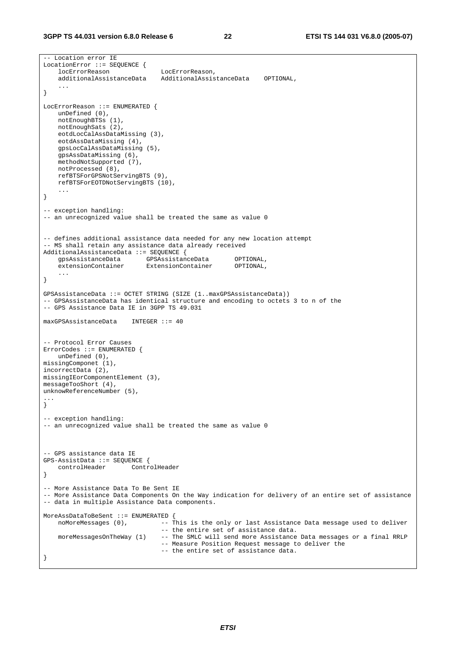```
-- Location error IE 
LocationError ::= SEQUENCE {<br>locErrorReason
                                   locErrorReason LocErrorReason, 
     additionalAssistanceData AdditionalAssistanceData OPTIONAL, 
 ... 
} 
LocErrorReason ::= ENUMERATED { 
    unDefined (0), 
     notEnoughBTSs (1), 
    notEnoughSats (2), 
    eotdLocCalAssDataMissing (3), 
     eotdAssDataMissing (4), 
    gpsLocCalAssDataMissing (5), 
    gpsAssDataMissing (6), 
    methodNotSupported (7), 
    notProcessed (8), 
     refBTSForGPSNotServingBTS (9), 
    refBTSForEOTDNotServingBTS (10), 
     ... 
} 
-- exception handling: 
-- an unrecognized value shall be treated the same as value 0
-- defines additional assistance data needed for any new location attempt 
-- MS shall retain any assistance data already received 
AdditionalAssistanceData ::= SEQUENCE { 
    gpsAssistanceData GPSAssistanceData OPTIONAL,<br>extensionContainer ExtensionContainer OPTIONAL,
                             ExtensionContainer OPTIONAL,
     ... 
} 
GPSAssistanceData ::= OCTET STRING (SIZE (1..maxGPSAssistanceData)) 
-- GPSAssistanceData has identical structure and encoding to octets 3 to n of the 
-- GPS Assistance Data IE in 3GPP TS 49.031 
maxGPSAssistanceData INTEGER ::= 40 
-- Protocol Error Causes 
ErrorCodes ::= ENUMERATED { 
     unDefined (0), 
missingComponet (1), 
incorrectData (2), 
missingIEorComponentElement (3), 
messageTooShort (4), 
unknowReferenceNumber (5), 
... 
} 
-- exception handling:
-- an unrecognized value shall be treated the same as value 0 
-- GPS assistance data IE 
GPS-AssistData ::= SEQUENCE { 
     controlHeader ControlHeader 
} 
-- More Assistance Data To Be Sent IE 
-- More Assistance Data Components On the Way indication for delivery of an entire set of assistance 
-- data in multiple Assistance Data components. 
MoreAssDataToBeSent ::= ENUMERATED {<br>noMoreMessages (0), -- T
                            -- This is the only or last Assistance Data message used to deliver
                                   -- the entire set of assistance data. 
     moreMessagesOnTheWay (1) -- The SMLC will send more Assistance Data messages or a final RRLP 
                                   -- Measure Position Request message to deliver the 
                                   -- the entire set of assistance data. 
}
```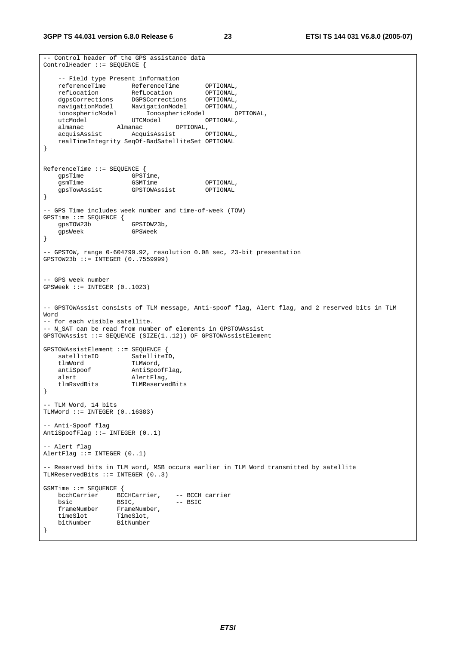```
-- Control header of the GPS assistance data 
ControlHeader ::= SEQUENCE { 
    -- Field type Present information 
   referenceTime ReferenceTime OPTIONAL,<br>
refLocation RefLocation OPTIONAL,
 refLocation RefLocation OPTIONAL, 
 dgpsCorrections DGPSCorrections OPTIONAL, 
 navigationModel NavigationModel OPTIONAL, 
 ionosphericModel IonosphericModel OPTIONAL, 
utcModel UTCModel OPTIONAL,
 almanac Almanac OPTIONAL, 
   almanac Almanac OPTIONAL,<br>acquisAssist AcquisAssist OPTIONAL,<br>acquisAssist OPTIONAL.
    realTimeIntegrity SeqOf-BadSatelliteSet OPTIONAL 
} 
ReferenceTime ::= SEQUENCE { 
gpsTime GPSTime,
gsmTime GSMTime GSMTime OPTIONAL,
    gpsTowAssist GPSTOWAssist OPTIONAL 
} 
-- GPS Time includes week number and time-of-week (TOW) 
GPSTime ::= SEQUENCE { 
   gpsTOW23b
    gpsWeek GPSWeek 
} 
-- GPSTOW, range 0-604799.92, resolution 0.08 sec, 23-bit presentation 
GPSTOW23b ::= INTEGER (0..7559999) 
-- GPS week number 
GPSWeek ::= INTEGER (0..1023) 
-- GPSTOWAssist consists of TLM message, Anti-spoof flag, Alert flag, and 2 reserved bits in TLM 
Word 
-- for each visible satellite. 
-- N_SAT can be read from number of elements in GPSTOWAssist 
GPSTOWAssist ::= SEQUENCE (SIZE(1..12)) OF GPSTOWAssistElement 
GPSTOWAssistElement ::= SEQUENCE { 
satelliteID SatelliteID,
 tlmWord TLMWord, 
   antiSpoof AntiSpoofFlag,
   alert AlertFlag,<br>tlmRsvdBits TLMReserve
                      TLMReservedBits
} 
-- TLM Word, 14 bits 
TLMWord ::= INTEGER (0..16383) 
-- Anti-Spoof flag 
AntiSpoofFlag := INTEGER (0..1)- Alert flag
AlertFlag ::= INTEGER (0..1) 
-- Reserved bits in TLM word, MSB occurs earlier in TLM Word transmitted by satellite 
TLMReservedBits ::= INTEGER (0..3) 
GSMTime ::= SEQUENCE { 
    bcchCarrier BCCHCarrier, -- BCCH carrier 
   bsic BSIC, -- BSIC<br>frameNumber FrameNumber,
                 FrameNumber,<br>TimeSlot,
   timeSlot<br>bitNumber
                  bitNumber BitNumber 
}
```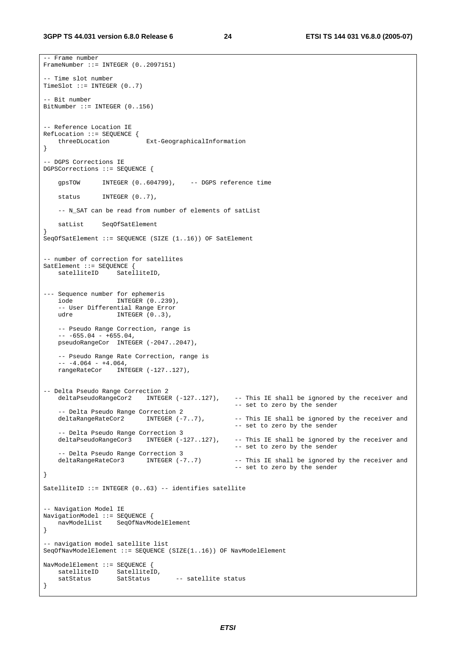-- Frame number

```
FrameNumber ::= INTEGER (0..2097151) 
-- Time slot number 
TimeSlot ::= INTEGER (0..7) 
-- Bit number 
BitNumber ::= INTEGER (0..156) 
-- Reference Location IE 
RefLocation ::= SEQUENCE { 
 threeDLocation Ext-GeographicalInformation 
} 
-- DGPS Corrections IE 
DGPSCorrections ::= SEQUENCE { 
    gpsTOW INTEGER (0..604799), -- DGPS reference time 
   status INTEGER (0..7),
     -- N_SAT can be read from number of elements of satList 
    satList SeqOfSatElement 
} 
SeqOfSatElement ::= SEQUENCE (SIZE (1..16)) OF SatElement 
-- number of correction for satellites 
SatElement ::= SEQUENCE { 
                   SatelliteID,
--- Sequence number for ephemeris 
    iode INTEGER (0..239), 
     -- User Differential Range Error 
   udre INTEGER (0..3),
    -- Pseudo Range Correction, range is 
    -- -655.04 - +655.04,pseudoRangeCor INTEGER (-2047..2047),
    -- Pseudo Range Rate Correction, range is 
    -- -4.064 - +4.064, rangeRateCor INTEGER (-127..127), 
-- Delta Pseudo Range Correction 2 
    deltaPseudoRangeCor2 INTEGER (-127..127), -- This IE shall be ignored by the receiver and 
                                                      -- set to zero by the sender 
   -- Delta Pseudo Range Correction 2<br>deltaRangeRateCor2      INTEGER (-7..7),
                                                     -- This IE shall be ignored by the receiver and
                                                      -- set to zero by the sender 
   -- Delta Pseudo Range Correction 3<br>deltaPseudoRangeCor3 INTEGER (-127..127),
                                                     -- This IE shall be ignored by the receiver and
                                                      -- set to zero by the sender 
   -- Delta Pseudo Range Correction 3<br>deltaRangeRateCor3      INTEGER (-7..7)
                                                     -- This IE shall be ignored by the receiver and
                                                      -- set to zero by the sender 
} 
SatelliteID ::= INTEGER (0..63) -- identifies satellite 
-- Navigation Model IE 
NavigationModel ::= SEQUENCE { 
    navModelList SeqOfNavModelElement 
} 
-- navigation model satellite list 
SeqOfNavModelElement ::= SEQUENCE (SIZE(1..16)) OF NavModelElement 
NavModelElement ::= SEQUENCE { 
 satelliteID SatelliteID, 
satStatus SatStatus -- satellite status
}
```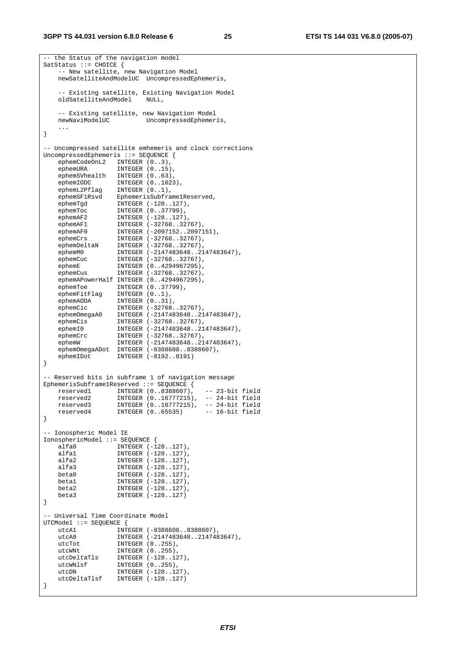#### **3GPP TS 44.031 version 6.8.0 Release 6 25 ETSI TS 144 031 V6.8.0 (2005-07)**

```
-- the Status of the navigation model 
SatStatus ::= CHOICE { 
    -- New satellite, new Navigation Model 
    newSatelliteAndModelUC UncompressedEphemeris, 
    -- Existing satellite, Existing Navigation Model 
    oldSatelliteAndModel NULL, 
   -- Existing satellite, new Navigation Model<br>newNaviModelUC UncompressedEphemer
                         UncompressedEphemeris,
 ... 
} 
-- Uncompressed satellite emhemeris and clock corrections 
UncompressedEphemeris ::= SEQUENCE { 
    ephemCodeOnL2 INTEGER (0..3), 
 ephemURA INTEGER (0..15), 
 ephemSVhealth INTEGER (0..63), 
 ephemIODC INTEGER (0..1023), 
 ephemL2Pflag INTEGER (0..1), 
 ephemSF1Rsvd EphemerisSubframe1Reserved, 
 ephemTgd INTEGER (-128..127), 
 ephemToc INTEGER (0..37799), 
ephemAF2 INTEGER (-128..127),
 ephemAF1 INTEGER (-32768..32767), 
 ephemAF0 INTEGER (-2097152..2097151), 
 ephemCrs INTEGER (-32768..32767), 
 ephemDeltaN INTEGER (-32768..32767), 
 ephemM0 INTEGER (-2147483648..2147483647), 
 ephemCuc INTEGER (-32768..32767), 
 ephemE INTEGER (0..4294967295), 
 ephemCus INTEGER (-32768..32767), 
    ephemAPowerHalf INTEGER (0..4294967295), 
 ephemToe INTEGER (0..37799), 
 ephemFitFlag INTEGER (0..1), 
 ephemAODA INTEGER (0..31), 
 ephemCic INTEGER (-32768..32767), 
 ephemOmegaA0 INTEGER (-2147483648..2147483647), 
 ephemCis INTEGER (-32768..32767), 
 ephemI0 INTEGER (-2147483648..2147483647), 
 ephemCrc INTEGER (-32768..32767), 
 ephemW INTEGER (-2147483648..2147483647), 
   ephemOmegaADot INTEGER (-8388608..8388607),
    ephemIDot INTEGER (-8192..8191) 
} 
-- Reserved bits in subframe 1 of navigation message 
EphemerisSubframe1Reserved ::= SEQUENCE { 
 reserved1 INTEGER (0..8388607), -- 23-bit field 
 reserved2 INTEGER (0..16777215), -- 24-bit field 
 reserved3 INTEGER (0..16777215), -- 24-bit field 
 reserved4 INTEGER (0..65535) -- 16-bit field 
} 
-- Ionospheric Model IE 
IonosphericModel ::= SEQUENCE { 
 alfa0 INTEGER (-128..127), 
 alfa1 INTEGER (-128..127), 
 alfa2 INTEGER (-128..127), 
 alfa3 INTEGER (-128..127), 
   beta0 <br>
beta1 <br>
INTEGER (-128..127),<br>
beta2 <br>
INTEGER (-128..127),
 beta1 INTEGER (-128..127), 
 beta2 INTEGER (-128..127), 
    beta3 INTEGER (-128..127) 
} 
 -- Universal Time Coordinate Model 
UTCModel ::= SEQUENCE { 
   utcA1 INTEGER (-8388608..8388607),
   utcA0 INTEGER (-2147483648..2147483647),<br>utcTot INTEGER (0..255),<br>utcWNt
utcTot INTEGER (0..255),
utcWNt INTEGER (0..255),
 utcDeltaTls INTEGER (-128..127), 
 utcWNlsf INTEGER (0..255), 
utcDN INTEGER (-128..127),
   utcDeltaTlsf INTEGER (-128..127)
}
```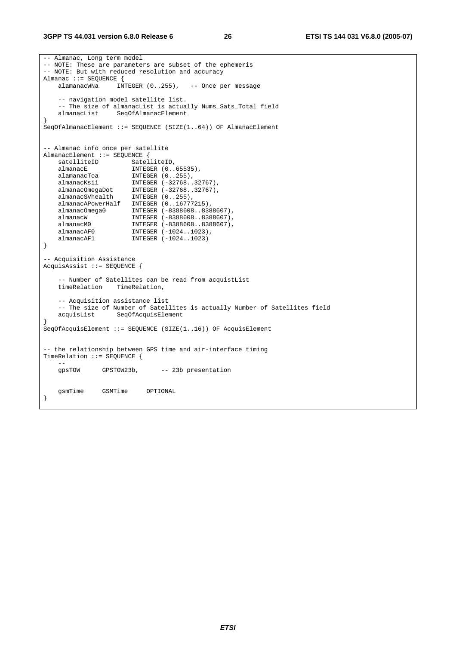#### **3GPP TS 44.031 version 6.8.0 Release 6 26 ETSI TS 144 031 V6.8.0 (2005-07)**

```
-- Almanac, Long term model 
-- NOTE: These are parameters are subset of the ephemeris 
-- NOTE: But with reduced resolution and accuracy 
Almanac ::= SEQUENCE {<br>alamanacWNa    INTEGER (0..255),
    alamanacWNa INTEGER (0..255), -- Once per message 
    -- navigation model satellite list. 
   -- The size of almanacList is actually Nums_Sats_Total field<br>almanacList SeqOfAlmanacElement
                  SeqOfAlmanacElement
} 
SeqOfAlmanacElement ::= SEQUENCE (SIZE(1..64)) OF AlmanacElement 
-- Almanac info once per satellite 
AlmanacElement ::= SEQUENCE { 
   satelliteID SatelliteID,
 almanacE INTEGER (0..65535), 
 alamanacToa INTEGER (0..255), 
 almanacKsii INTEGER (-32768..32767), 
 almanacOmegaDot INTEGER (-32768..32767), 
 almanacSVhealth INTEGER (0..255), 
    almanacAPowerHalf INTEGER (0..16777215), 
 almanacOmega0 INTEGER (-8388608..8388607), 
 almanacW INTEGER (-8388608..8388607), 
 almanacM0 INTEGER (-8388608..8388607), 
 almanacAF0 INTEGER (-1024..1023), 
 almanacAF1 INTEGER (-1024..1023) 
} 
-- Acquisition Assistance 
AcquisAssist ::= SEQUENCE { 
    -- Number of Satellites can be read from acquistList 
    timeRelation TimeRelation, 
    -- Acquisition assistance list 
    -- The size of Number of Satellites is actually Number of Satellites field 
    acquisList SeqOfAcquisElement 
} 
SeqOfAcquisElement ::= SEQUENCE (SIZE(1..16)) OF AcquisElement 
-- the relationship between GPS time and air-interface timing 
TimeRelation ::= SEQUENCE { 
 -- 
    gpsTOW GPSTOW23b, -- 23b presentation 
    gsmTime GSMTime OPTIONAL 
}
```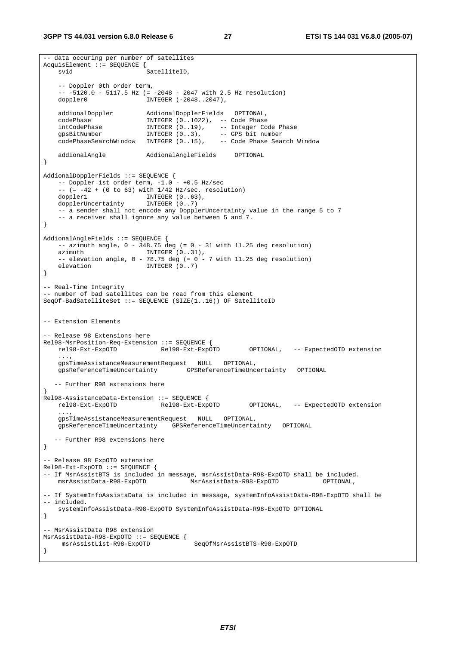```
-- data occuring per number of satellites 
AcquisElement ::= SEQUENCE { 
   svid SatelliteID.
    -- Doppler 0th order term, 
    -- -5120.0 - 5117.5 Hz (= -2048 - 2047 with 2.5 Hz resolution) 
   doppler0 INTEGER (-2048..2047),
    addionalDoppler AddionalDopplerFields OPTIONAL, 
 codePhase INTEGER (0..1022), -- Code Phase 
 intCodePhase INTEGER (0..19), -- Integer Code Phase 
 gpsBitNumber INTEGER (0..3), -- GPS bit number 
 codePhaseSearchWindow INTEGER (0..15), -- Code Phase Search Window 
    addionalAngle AddionalAngleFields OPTIONAL 
} 
AddionalDopplerFields ::= SEQUENCE { 
   -- Doppler 1st order term, -1.0 - +0.5 Hz/sec
   - - (= -42 + (0 \text{ to } 63) with 1/42 Hz/sec. resolution)
doppler1 INTEGER (0..63),
 dopplerUncertainty INTEGER (0..7) 
     -- a sender shall not encode any DopplerUncertainty value in the range 5 to 7 
    -- a receiver shall ignore any value between 5 and 7. 
} 
AddionalAngleFields ::= SEQUENCE { 
   -- azimuth angle, 0 - 348.75 deg (= 0 - 31 with 11.25 deg resolution)
   azimuth INTEGER (0..31),
    -- elevation angle, 0 - 78.75 deg (= 0 - 7 \text{ with } 11.25 deg resolution)
   elevation INTEGER (0..7)
} 
-- Real-Time Integrity 
-- number of bad satellites can be read from this element 
SeqOf-BadSatelliteSet ::= SEQUENCE (SIZE(1..16)) OF SatelliteID 
-- Extension Elements 
 -- Release 98 Extensions here 
Rel98-MsrPosition-Req-Extension ::= SEQUENCE { 
    rel98-Ext-ExpOTD Rel98-Ext-ExpOTD OPTIONAL, -- ExpectedOTD extension 
     ..., 
    gpsTimeAssistanceMeasurementRequest NULL OPTIONAL, 
                                    gpsReferenceTimeUncertainty GPSReferenceTimeUncertainty OPTIONAL 
  -- Further R98 extensions here 
} 
Rel98-AssistanceData-Extension ::= SEQUENCE { 
    rel98-Ext-ExpOTD Rel98-Ext-ExpOTD OPTIONAL, -- ExpectedOTD extension 
 ..., 
    gpsTimeAssistanceMeasurementRequest NULL OPTIONAL, 
    gpsReferenceTimeUncertainty GPSReferenceTimeUncertainty OPTIONAL 
  -- Further R98 extensions here 
} 
 -- Release 98 ExpOTD extension 
Rel98-Ext-ExpOTD ::= SEQUENCE { 
-- If MsrAssistBTS is included in message, msrAssistData-R98-ExpOTD shall be included.<br>msrAssistData-R98-ExpOTD MsrAssistData-R98-ExpOTD OPTIONAL,
                                     <code>MsrAssistData-R98-ExpOTD</code>
-- If SystemInfoAssistaData is included in message, systemInfoAssistData-R98-ExpOTD shall be 
-- included. 
    systemInfoAssistData-R98-ExpOTD SystemInfoAssistData-R98-ExpOTD OPTIONAL 
} 
-- MsrAssistData R98 extension 
MsrAssistData-R98-ExpOTD ::= SEQUENCE { 
    msrAssistList-R98-ExpOTD SeqOfMsrAssistBTS-R98-ExpOTD 
}
```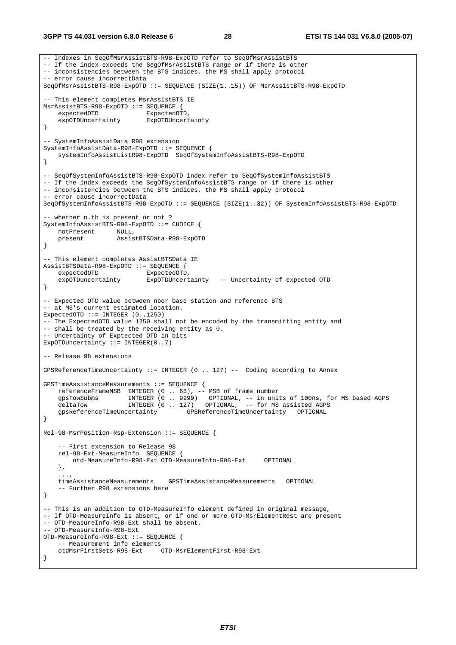#### **3GPP TS 44.031 version 6.8.0 Release 6 28 ETSI TS 144 031 V6.8.0 (2005-07)**

```
-- Indexes in SeqOfMsrAssistBTS-R98-ExpOTD refer to SeqOfMsrAssistBTS 
-- If the index exceeds the SegOfMsrAssistBTS range or if there is other 
-- inconsistencies between the BTS indices, the MS shall apply protocol 
-- error cause incorrectData 
SeqOfMsrAssistBTS-R98-ExpOTD ::= SEQUENCE (SIZE(1..15)) OF MsrAssistBTS-R98-ExpOTD 
-- This element completes MsrAssistBTS IE 
MsrAssistBTS-R98-ExpOTD ::= SEQUENCE { 
   expectedOTD ExpectedOTD,<br>expOTDUncertainty ExpOTDUncertainty
    expOTDUncertainty
} 
-- SystemInfoAssistData R98 extension 
SystemInfoAssistData-R98-ExpOTD ::= SEQUENCE { 
    systemInfoAssistListR98-ExpOTD SeqOfSystemInfoAssistBTS-R98-ExpOTD 
} 
-- SeqOfSystemInfoAssistBTS-R98-ExpOTD index refer to SeqOfSystemInfoAssistBTS 
-- If the index exceeds the SegOfSystemInfoAssistBTS range or if there is other
-- inconsistencies between the BTS indices, the MS shall apply protocol 
-- error cause incorrectData 
SeqOfSystemInfoAssistBTS-R98-ExpOTD ::= SEQUENCE (SIZE(1..32)) OF SystemInfoAssistBTS-R98-ExpOTD 
 -- whether n.th is present or not ? 
SystemInfoAssistBTS-R98-ExpOTD ::= CHOICE { 
 notPresent NULL, 
 present AssistBTSData-R98-ExpOTD 
} 
-- This element completes AssistBTSData IE 
AssistBTSData-R98-ExpOTD ::= SEQUENCE { 
    expectedOTD ExpectedOTD,<br>expOTDuncertainty ExpOTDUncert
                           ExpOTDUncertainty -- Uncertainty of expected OTD
} 
 -- Expected OTD value between nbor base station and reference BTS 
-- at MS's current estimated location. 
ExpectedOTD ::= INTEGER (0..1250) 
-- The ExpectedOTD value 1250 shall not be encoded by the transmitting entity and 
-- shall be treated by the receiving entity as 0.
 -- Uncertainty of Exptected OTD in bits 
ExpOTDUncertainty := INTEGER(0..7)
-- Release 98 extensions 
GPSReferenceTimeUncertainty ::= INTEGER (0 .. 127) -- Coding according to Annex 
GPSTimeAssistanceMeasurements ::= SEQUENCE { 
    referenceFrameMSB INTEGER (0 .. 63), -- MSB of frame number 
     gpsTowSubms INTEGER (0 .. 9999) OPTIONAL, -- in units of 100ns, for MS based AGPS 
    deltaTow INTEGER (0 .. 127) OPTIONAL, -- for MS assisted AGPS
    gpsReferenceTimeUncertainty GPSReferenceTimeUncertainty OPTIONAL 
} 
Rel-98-MsrPosition-Rsp-Extension ::= SEQUENCE { 
      -- First extension to Release 98 
    rel-98-Ext-MeasureInfo SEQUENCE { 
         otd-MeasureInfo-R98-Ext OTD-MeasureInfo-R98-Ext OPTIONAL 
     }, 
 ..., 
     timeAssistanceMeasurements GPSTimeAssistanceMeasurements OPTIONAL 
     -- Further R98 extensions here 
} 
-- This is an addition to OTD-MeasureInfo element defined in original message, 
-- If OTD-MeasureInfo is absent, or if one or more OTD-MsrElementRest are present 
-- OTD-MeasureInfo-R98-Ext shall be absent. 
-- OTD-MeasureInfo-R98-Ext 
OTD-MeasureInfo-R98-Ext ::= SEQUENCE { 
     -- Measurement info elements 
    otdMsrFirstSets-R98-Ext OTD-MsrElementFirst-R98-Ext 
}
```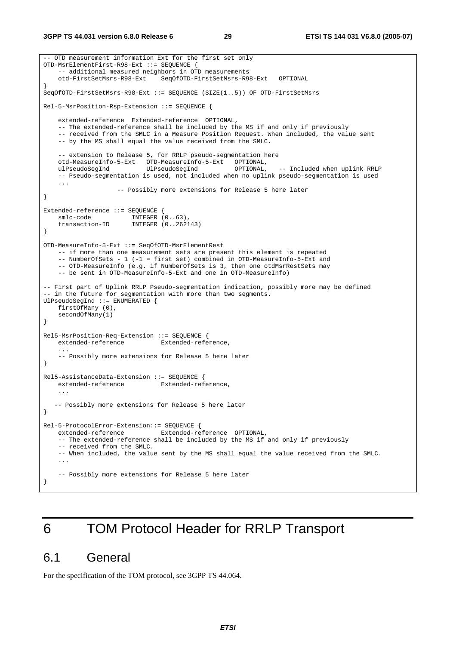```
-- OTD measurement information Ext for the first set only 
OTD-MsrElementFirst-R98-Ext ::= SEQUENCE { 
    -- additional measured neighbors in OTD measurements
     otd-FirstSetMsrs-R98-Ext SeqOfOTD-FirstSetMsrs-R98-Ext OPTIONAL 
} 
SeqOfOTD-FirstSetMsrs-R98-Ext ::= SEQUENCE (SIZE(1..5)) OF OTD-FirstSetMsrs 
Rel-5-MsrPosition-Rsp-Extension ::= SEQUENCE { 
     extended-reference Extended-reference OPTIONAL, 
     -- The extended-reference shall be included by the MS if and only if previously 
     -- received from the SMLC in a Measure Position Request. When included, the value sent 
     -- by the MS shall equal the value received from the SMLC. 
    -- extension to Release 5, for RRLP pseudo-segmentation here<br>otd-MeasureInfo-5-Ext OTD-MeasureInfo-5-Ext OPTIONAL,
    otd-MeasureInfo-5-Ext OTD-MeasureInfo-5-Ext
    ulPseudoSegInd UlPseudoSegInd OPTIONAL, -- Included when uplink RRLP 
     -- Pseudo-segmentation is used, not included when no uplink pseudo-segmentation is used 
     ... 
                     -- Possibly more extensions for Release 5 here later 
} 
Extended-reference ::= SEQUENCE { 
 smlc-code INTEGER (0..63), 
 transaction-ID INTEGER (0..262143) 
} 
OTD-MeasureInfo-5-Ext ::= SeqOfOTD-MsrElementRest 
     -- if more than one measurement sets are present this element is repeated 
     -- NumberOfSets - 1 (-1 = first set) combined in OTD-MeasureInfo-5-Ext and 
    -- OTD-MeasureInfo (e.g. if NumberOfSets is 3, then one otdMsrRestSets may
     -- be sent in OTD-MeasureInfo-5-Ext and one in OTD-MeasureInfo) 
-- First part of Uplink RRLP Pseudo-segmentation indication, possibly more may be defined 
-- in the future for segmentation with more than two segments.
UlPseudoSegInd ::= ENUMERATED { 
     firstOfMany (0), 
     secondOfMany(1) 
} 
Rel5-MsrPosition-Req-Extension ::= SEQUENCE { 
     extended-reference Extended-reference, 
 ... 
     -- Possibly more extensions for Release 5 here later 
} 
Rel5-AssistanceData-Extension ::= SEQUENCE { 
    extended-reference Extended-reference, 
 ... 
   -- Possibly more extensions for Release 5 here later 
} 
Rel-5-ProtocolError-Extension::= SEQUENCE { 
    extended-reference Extended-reference OPTIONAL, 
     -- The extended-reference shall be included by the MS if and only if previously 
     -- received from the SMLC. 
     -- When included, the value sent by the MS shall equal the value received from the SMLC. 
 ... 
     -- Possibly more extensions for Release 5 here later 
}
```
# 6 TOM Protocol Header for RRLP Transport

### 6.1 General

For the specification of the TOM protocol, see 3GPP TS 44.064.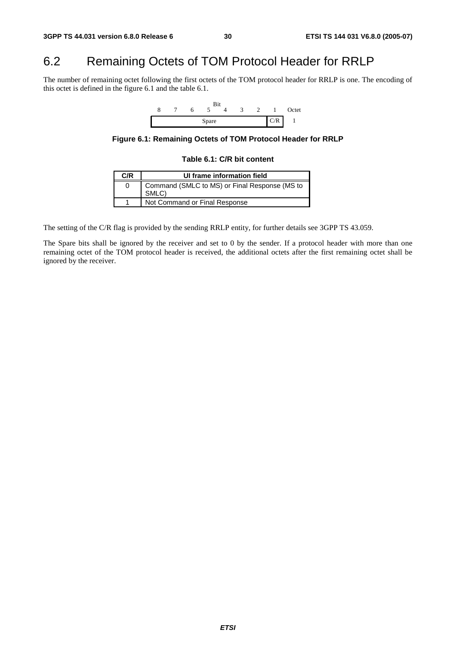# 6.2 Remaining Octets of TOM Protocol Header for RRLP

The number of remaining octet following the first octets of the TOM protocol header for RRLP is one. The encoding of this octet is defined in the figure 6.1 and the table 6.1.



**Figure 6.1: Remaining Octets of TOM Protocol Header for RRLP** 

#### **Table 6.1: C/R bit content**

| C/R | UI frame information field                             |
|-----|--------------------------------------------------------|
|     | Command (SMLC to MS) or Final Response (MS to<br>SMLC) |
|     | Not Command or Final Response                          |

The setting of the C/R flag is provided by the sending RRLP entity, for further details see 3GPP TS 43.059.

The Spare bits shall be ignored by the receiver and set to 0 by the sender. If a protocol header with more than one remaining octet of the TOM protocol header is received, the additional octets after the first remaining octet shall be ignored by the receiver.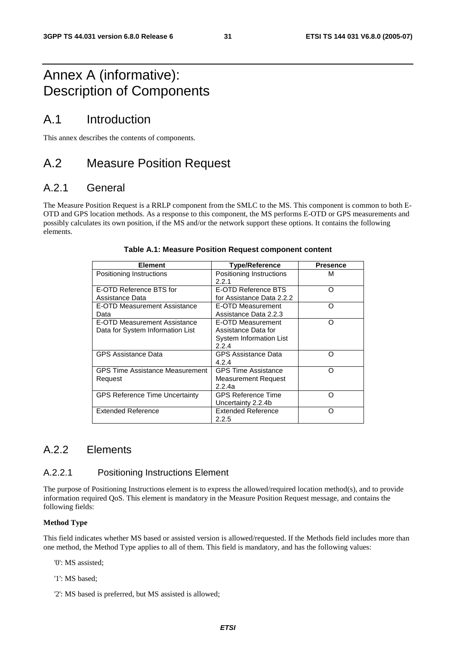# Annex A (informative): Description of Components

# A.1 Introduction

This annex describes the contents of components.

# A.2 Measure Position Request

### A.2.1 General

The Measure Position Request is a RRLP component from the SMLC to the MS. This component is common to both E-OTD and GPS location methods. As a response to this component, the MS performs E-OTD or GPS measurements and possibly calculates its own position, if the MS and/or the network support these options. It contains the following elements.

| <b>Element</b>                                                   | <b>Type/Reference</b>                                                        | <b>Presence</b> |
|------------------------------------------------------------------|------------------------------------------------------------------------------|-----------------|
| Positioning Instructions                                         | Positioning Instructions<br>2.2.1                                            | М               |
| E-OTD Reference BTS for<br>Assistance Data                       | E-OTD Reference BTS<br>for Assistance Data 2.2.2                             | O               |
| E-OTD Measurement Assistance<br>Data                             | E-OTD Measurement<br>Assistance Data 2.2.3                                   | ∩               |
| E-OTD Measurement Assistance<br>Data for System Information List | E-OTD Measurement<br>Assistance Data for<br>System Information List<br>2.2.4 | ∩               |
| <b>GPS Assistance Data</b>                                       | <b>GPS Assistance Data</b><br>4.2.4                                          | റ               |
| <b>GPS Time Assistance Measurement</b><br>Request                | <b>GPS Time Assistance</b><br><b>Measurement Request</b><br>2.2.4a           | ∩               |
| <b>GPS Reference Time Uncertainty</b>                            | <b>GPS Reference Time</b><br>Uncertainty 2.2.4b                              | റ               |
| <b>Extended Reference</b>                                        | <b>Extended Reference</b><br>2.2.5                                           | ∩               |

#### **Table A.1: Measure Position Request component content**

### A.2.2 Elements

### A.2.2.1 Positioning Instructions Element

The purpose of Positioning Instructions element is to express the allowed/required location method(s), and to provide information required QoS. This element is mandatory in the Measure Position Request message, and contains the following fields:

#### **Method Type**

This field indicates whether MS based or assisted version is allowed/requested. If the Methods field includes more than one method, the Method Type applies to all of them. This field is mandatory, and has the following values:

'0': MS assisted;

- '1': MS based;
- '2': MS based is preferred, but MS assisted is allowed;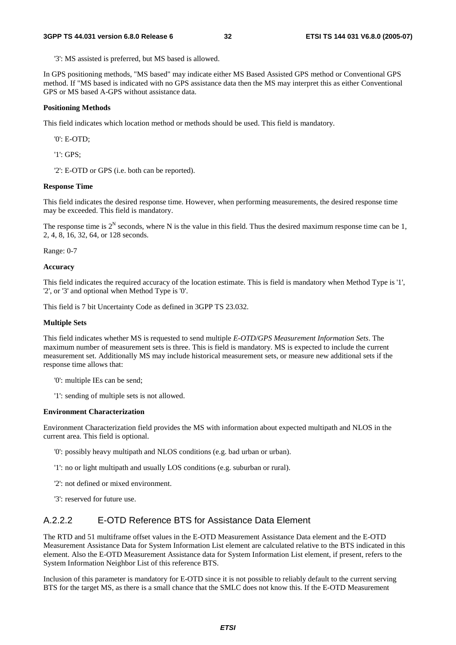'3': MS assisted is preferred, but MS based is allowed.

In GPS positioning methods, "MS based" may indicate either MS Based Assisted GPS method or Conventional GPS method. If "MS based is indicated with no GPS assistance data then the MS may interpret this as either Conventional GPS or MS based A-GPS without assistance data.

#### **Positioning Methods**

This field indicates which location method or methods should be used. This field is mandatory.

'0': E-OTD;

'1': GPS;

'2': E-OTD or GPS (i.e. both can be reported).

#### **Response Time**

This field indicates the desired response time. However, when performing measurements, the desired response time may be exceeded. This field is mandatory.

The response time is  $2^N$  seconds, where N is the value in this field. Thus the desired maximum response time can be 1, 2, 4, 8, 16, 32, 64, or 128 seconds.

Range: 0-7

#### **Accuracy**

This field indicates the required accuracy of the location estimate. This is field is mandatory when Method Type is '1', '2', or '3' and optional when Method Type is '0'.

This field is 7 bit Uncertainty Code as defined in 3GPP TS 23.032.

#### **Multiple Sets**

This field indicates whether MS is requested to send multiple *E-OTD/GPS Measurement Information Sets*. The maximum number of measurement sets is three. This is field is mandatory. MS is expected to include the current measurement set. Additionally MS may include historical measurement sets, or measure new additional sets if the response time allows that:

'0': multiple IEs can be send;

'1': sending of multiple sets is not allowed.

#### **Environment Characterization**

Environment Characterization field provides the MS with information about expected multipath and NLOS in the current area. This field is optional.

'0': possibly heavy multipath and NLOS conditions (e.g. bad urban or urban).

'1': no or light multipath and usually LOS conditions (e.g. suburban or rural).

'2': not defined or mixed environment.

'3': reserved for future use.

### A.2.2.2 E-OTD Reference BTS for Assistance Data Element

The RTD and 51 multiframe offset values in the E-OTD Measurement Assistance Data element and the E-OTD Measurement Assistance Data for System Information List element are calculated relative to the BTS indicated in this element. Also the E-OTD Measurement Assistance data for System Information List element, if present, refers to the System Information Neighbor List of this reference BTS.

Inclusion of this parameter is mandatory for E-OTD since it is not possible to reliably default to the current serving BTS for the target MS, as there is a small chance that the SMLC does not know this. If the E-OTD Measurement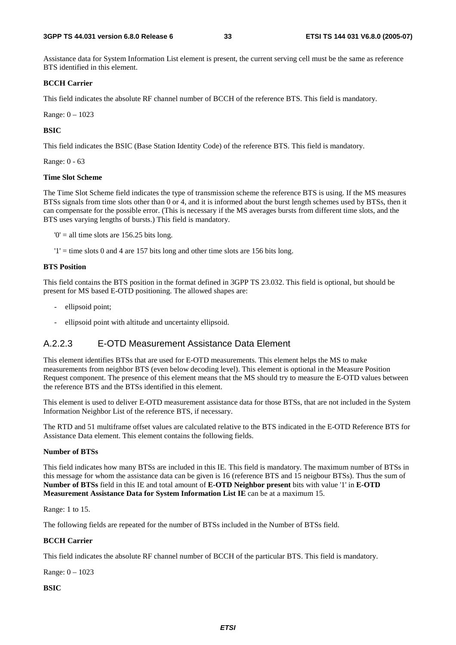#### **3GPP TS 44.031 version 6.8.0 Release 6 33 ETSI TS 144 031 V6.8.0 (2005-07)**

Assistance data for System Information List element is present, the current serving cell must be the same as reference BTS identified in this element.

#### **BCCH Carrier**

This field indicates the absolute RF channel number of BCCH of the reference BTS. This field is mandatory.

Range: 0 – 1023

#### **BSIC**

This field indicates the BSIC (Base Station Identity Code) of the reference BTS. This field is mandatory.

Range: 0 - 63

#### **Time Slot Scheme**

The Time Slot Scheme field indicates the type of transmission scheme the reference BTS is using. If the MS measures BTSs signals from time slots other than 0 or 4, and it is informed about the burst length schemes used by BTSs, then it can compensate for the possible error. (This is necessary if the MS averages bursts from different time slots, and the BTS uses varying lengths of bursts.) This field is mandatory.

 $0'$  = all time slots are 156.25 bits long.

 $'1'$  = time slots 0 and 4 are 157 bits long and other time slots are 156 bits long.

#### **BTS Position**

This field contains the BTS position in the format defined in 3GPP TS 23.032. This field is optional, but should be present for MS based E-OTD positioning. The allowed shapes are:

- ellipsoid point;
- ellipsoid point with altitude and uncertainty ellipsoid.

#### A.2.2.3 E-OTD Measurement Assistance Data Element

This element identifies BTSs that are used for E-OTD measurements. This element helps the MS to make measurements from neighbor BTS (even below decoding level). This element is optional in the Measure Position Request component. The presence of this element means that the MS should try to measure the E-OTD values between the reference BTS and the BTSs identified in this element.

This element is used to deliver E-OTD measurement assistance data for those BTSs, that are not included in the System Information Neighbor List of the reference BTS, if necessary.

The RTD and 51 multiframe offset values are calculated relative to the BTS indicated in the E-OTD Reference BTS for Assistance Data element. This element contains the following fields.

#### **Number of BTSs**

This field indicates how many BTSs are included in this IE. This field is mandatory. The maximum number of BTSs in this message for whom the assistance data can be given is 16 (reference BTS and 15 neigbour BTSs). Thus the sum of **Number of BTSs** field in this IE and total amount of **E-OTD Neighbor present** bits with value '1' in **E-OTD Measurement Assistance Data for System Information List IE** can be at a maximum 15.

Range: 1 to 15.

The following fields are repeated for the number of BTSs included in the Number of BTSs field.

#### **BCCH Carrier**

This field indicates the absolute RF channel number of BCCH of the particular BTS. This field is mandatory.

Range: 0 – 1023

#### **BSIC**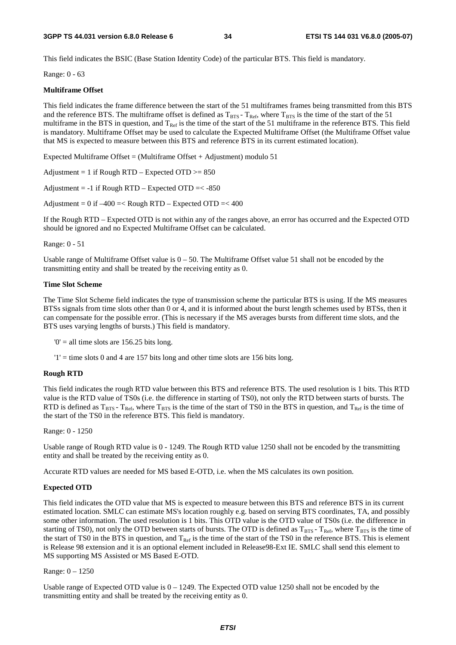This field indicates the BSIC (Base Station Identity Code) of the particular BTS. This field is mandatory.

Range: 0 - 63

#### **Multiframe Offset**

This field indicates the frame difference between the start of the 51 multiframes frames being transmitted from this BTS and the reference BTS. The multiframe offset is defined as  $T_{\text{BTS}}$  -  $T_{\text{Ref}}$ , where  $T_{\text{BTS}}$  is the time of the start of the 51 multiframe in the BTS in question, and  $T_{Ref}$  is the time of the start of the 51 multiframe in the reference BTS. This field is mandatory. Multiframe Offset may be used to calculate the Expected Multiframe Offset (the Multiframe Offset value that MS is expected to measure between this BTS and reference BTS in its current estimated location).

Expected Multiframe Offset = (Multiframe Offset + Adjustment) modulo  $51$ 

Adjustment = 1 if Rough RTD – Expected OTD  $>= 850$ 

Adjustment =  $-1$  if Rough RTD – Expected OTD =  $<-850$ 

Adjustment =  $0$  if  $-400$  =  $<$  Rough RTD – Expected OTD =  $<$  400

If the Rough RTD – Expected OTD is not within any of the ranges above, an error has occurred and the Expected OTD should be ignored and no Expected Multiframe Offset can be calculated.

Range: 0 - 51

Usable range of Multiframe Offset value is  $0 - 50$ . The Multiframe Offset value 51 shall not be encoded by the transmitting entity and shall be treated by the receiving entity as 0.

#### **Time Slot Scheme**

The Time Slot Scheme field indicates the type of transmission scheme the particular BTS is using. If the MS measures BTSs signals from time slots other than 0 or 4, and it is informed about the burst length schemes used by BTSs, then it can compensate for the possible error. (This is necessary if the MS averages bursts from different time slots, and the BTS uses varying lengths of bursts.) This field is mandatory.

 $0'$  = all time slots are 156.25 bits long.

 $'1'$  = time slots 0 and 4 are 157 bits long and other time slots are 156 bits long.

#### **Rough RTD**

This field indicates the rough RTD value between this BTS and reference BTS. The used resolution is 1 bits. This RTD value is the RTD value of TS0s (i.e. the difference in starting of TS0), not only the RTD between starts of bursts. The RTD is defined as  $T_{BTS}$  -  $T_{Ret}$ , where  $T_{BTS}$  is the time of the start of TS0 in the BTS in question, and  $T_{Ref}$  is the time of the start of the TS0 in the reference BTS. This field is mandatory.

Range: 0 - 1250

Usable range of Rough RTD value is 0 - 1249. The Rough RTD value 1250 shall not be encoded by the transmitting entity and shall be treated by the receiving entity as 0.

Accurate RTD values are needed for MS based E-OTD, i.e. when the MS calculates its own position.

#### **Expected OTD**

This field indicates the OTD value that MS is expected to measure between this BTS and reference BTS in its current estimated location. SMLC can estimate MS's location roughly e.g. based on serving BTS coordinates, TA, and possibly some other information. The used resolution is 1 bits. This OTD value is the OTD value of TS0s (i.e. the difference in starting of TS0), not only the OTD between starts of bursts. The OTD is defined as  $T_{BTS}$  -  $T_{Ref}$ , where  $T_{BTS}$  is the time of the start of TS0 in the BTS in question, and  $T_{Ref}$  is the time of the start of the TS0 in the reference BTS. This is element is Release 98 extension and it is an optional element included in Release98-Ext IE. SMLC shall send this element to MS supporting MS Assisted or MS Based E-OTD.

Range: 0 – 1250

Usable range of Expected OTD value is  $0 - 1249$ . The Expected OTD value 1250 shall not be encoded by the transmitting entity and shall be treated by the receiving entity as 0.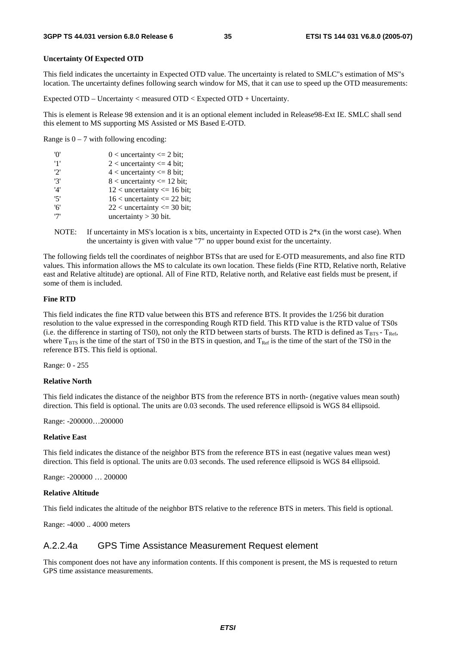#### **Uncertainty Of Expected OTD**

This field indicates the uncertainty in Expected OTD value. The uncertainty is related to SMLC"s estimation of MS"s location. The uncertainty defines following search window for MS, that it can use to speed up the OTD measurements:

Expected OTD – Uncertainty < measured OTD < Expected OTD + Uncertainty.

This is element is Release 98 extension and it is an optional element included in Release98-Ext IE. SMLC shall send this element to MS supporting MS Assisted or MS Based E-OTD.

Range is  $0 - 7$  with following encoding:

| 'O' | $0$ < uncertainty <= 2 bit;      |
|-----|----------------------------------|
| '1' | $2$ < uncertainty $\leq$ 4 bit;  |
| 2'  | $4$ < uncertainty $\leq 8$ bit;  |
| '3' | $8$ < uncertainty $\leq 12$ bit; |
| '4' | $12$ < uncertainty <= 16 bit;    |
| '5' | $16$ < uncertainty <= 22 bit;    |
| '6' | $22$ < uncertainty <= 30 bit;    |
| י7' | uncertainty $>$ 30 bit.          |

NOTE: If uncertainty in MS's location is x bits, uncertainty in Expected OTD is  $2*x$  (in the worst case). When the uncertainty is given with value "7" no upper bound exist for the uncertainty.

The following fields tell the coordinates of neighbor BTSs that are used for E-OTD measurements, and also fine RTD values. This information allows the MS to calculate its own location. These fields (Fine RTD, Relative north, Relative east and Relative altitude) are optional. All of Fine RTD, Relative north, and Relative east fields must be present, if some of them is included.

#### **Fine RTD**

This field indicates the fine RTD value between this BTS and reference BTS. It provides the 1/256 bit duration resolution to the value expressed in the corresponding Rough RTD field. This RTD value is the RTD value of TS0s (i.e. the difference in starting of TS0), not only the RTD between starts of bursts. The RTD is defined as  $T_{BTS}$  -  $T_{Ref}$ , where  $T_{BTS}$  is the time of the start of TS0 in the BTS in question, and  $T_{\text{Ref}}$  is the time of the start of the TS0 in the reference BTS. This field is optional.

Range: 0 - 255

#### **Relative North**

This field indicates the distance of the neighbor BTS from the reference BTS in north- (negative values mean south) direction. This field is optional. The units are 0.03 seconds. The used reference ellipsoid is WGS 84 ellipsoid.

Range: -200000…200000

#### **Relative East**

This field indicates the distance of the neighbor BTS from the reference BTS in east (negative values mean west) direction. This field is optional. The units are 0.03 seconds. The used reference ellipsoid is WGS 84 ellipsoid.

Range: -200000 … 200000

#### **Relative Altitude**

This field indicates the altitude of the neighbor BTS relative to the reference BTS in meters. This field is optional.

Range: -4000 .. 4000 meters

#### A.2.2.4a GPS Time Assistance Measurement Request element

This component does not have any information contents. If this component is present, the MS is requested to return GPS time assistance measurements.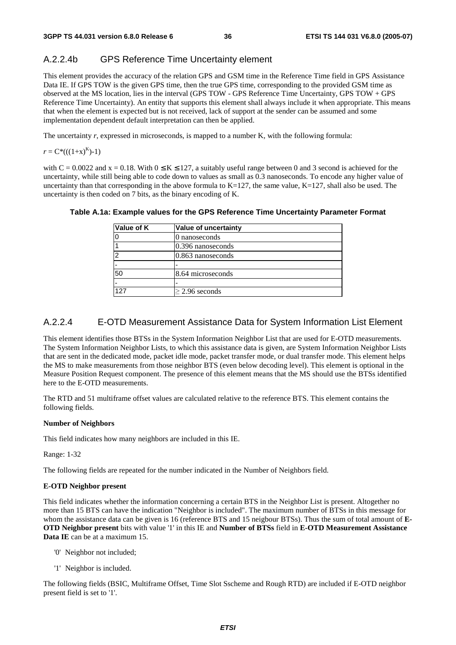### A.2.2.4b GPS Reference Time Uncertainty element

This element provides the accuracy of the relation GPS and GSM time in the Reference Time field in GPS Assistance Data IE. If GPS TOW is the given GPS time, then the true GPS time, corresponding to the provided GSM time as observed at the MS location, lies in the interval (GPS TOW - GPS Reference Time Uncertainty, GPS TOW + GPS Reference Time Uncertainty). An entity that supports this element shall always include it when appropriate. This means that when the element is expected but is not received, lack of support at the sender can be assumed and some implementation dependent default interpretation can then be applied.

The uncertainty *r*, expressed in microseconds, is mapped to a number K, with the following formula:

$$
r = C^*(( (1+x)^K )-1)
$$

with  $C = 0.0022$  and  $x = 0.18$ . With  $0 \le K \le 127$ , a suitably useful range between 0 and 3 second is achieved for the uncertainty, while still being able to code down to values as small as 0.3 nanoseconds. To encode any higher value of uncertainty than that corresponding in the above formula to  $K=127$ , the same value,  $K=127$ , shall also be used. The uncertainty is then coded on 7 bits, as the binary encoding of K.

| Value of K | Value of uncertainty |
|------------|----------------------|
|            | 0 nanoseconds        |
|            | $0.396$ nanoseconds  |
| 2          | 0.863 nanoseconds    |
|            |                      |
| 50         | 8.64 microseconds    |
|            |                      |
| 127        | $\geq$ 2.96 seconds  |

#### **Table A.1a: Example values for the GPS Reference Time Uncertainty Parameter Format**

### A.2.2.4 E-OTD Measurement Assistance Data for System Information List Element

This element identifies those BTSs in the System Information Neighbor List that are used for E-OTD measurements. The System Information Neighbor Lists, to which this assistance data is given, are System Information Neighbor Lists that are sent in the dedicated mode, packet idle mode, packet transfer mode, or dual transfer mode. This element helps the MS to make measurements from those neighbor BTS (even below decoding level). This element is optional in the Measure Position Request component. The presence of this element means that the MS should use the BTSs identified here to the E-OTD measurements.

The RTD and 51 multiframe offset values are calculated relative to the reference BTS. This element contains the following fields.

#### **Number of Neighbors**

This field indicates how many neighbors are included in this IE.

Range: 1-32

The following fields are repeated for the number indicated in the Number of Neighbors field.

#### **E-OTD Neighbor present**

This field indicates whether the information concerning a certain BTS in the Neighbor List is present. Altogether no more than 15 BTS can have the indication "Neighbor is included". The maximum number of BTSs in this message for whom the assistance data can be given is 16 (reference BTS and 15 neigbour BTSs). Thus the sum of total amount of **E-OTD Neighbor present** bits with value '1' in this IE and **Number of BTSs** field in **E-OTD Measurement Assistance Data IE** can be at a maximum 15.

- '0' Neighbor not included;
- '1' Neighbor is included.

The following fields (BSIC, Multiframe Offset, Time Slot Sscheme and Rough RTD) are included if E-OTD neighbor present field is set to '1'.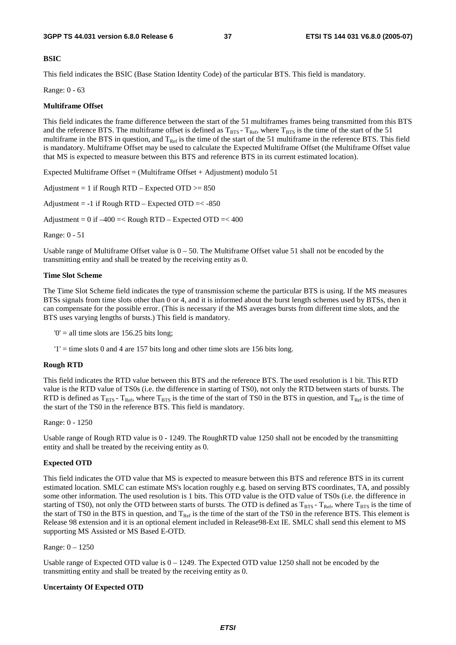#### **BSIC**

This field indicates the BSIC (Base Station Identity Code) of the particular BTS. This field is mandatory.

Range: 0 - 63

#### **Multiframe Offset**

This field indicates the frame difference between the start of the 51 multiframes frames being transmitted from this BTS and the reference BTS. The multiframe offset is defined as  $T_{\text{RFS}}$  -  $T_{\text{Ref}}$ , where  $T_{\text{RTS}}$  is the time of the start of the 51 multiframe in the BTS in question, and  $T_{\text{Ref}}$  is the time of the start of the 51 multiframe in the reference BTS. This field is mandatory. Multiframe Offset may be used to calculate the Expected Multiframe Offset (the Multiframe Offset value that MS is expected to measure between this BTS and reference BTS in its current estimated location).

Expected Multiframe Offset = (Multiframe Offset + Adjustment) modulo 51

Adjustment = 1 if Rough RTD – Expected OTD  $>= 850$ 

Adjustment =  $-1$  if Rough RTD – Expected OTD =  $< -850$ 

Adjustment =  $0$  if  $-400$  =< Rough RTD – Expected OTD =<  $400$ 

Range: 0 - 51

Usable range of Multiframe Offset value is  $0 - 50$ . The Multiframe Offset value 51 shall not be encoded by the transmitting entity and shall be treated by the receiving entity as 0.

#### **Time Slot Scheme**

The Time Slot Scheme field indicates the type of transmission scheme the particular BTS is using. If the MS measures BTSs signals from time slots other than 0 or 4, and it is informed about the burst length schemes used by BTSs, then it can compensate for the possible error. (This is necessary if the MS averages bursts from different time slots, and the BTS uses varying lengths of bursts.) This field is mandatory.

 $0'$  = all time slots are 156.25 bits long;

 $'1'$  = time slots 0 and 4 are 157 bits long and other time slots are 156 bits long.

#### **Rough RTD**

This field indicates the RTD value between this BTS and the reference BTS. The used resolution is 1 bit. This RTD value is the RTD value of TS0s (i.e. the difference in starting of TS0), not only the RTD between starts of bursts. The RTD is defined as  $T_{BTS}$  -  $T_{Ref}$ , where  $T_{BTS}$  is the time of the start of TS0 in the BTS in question, and  $T_{Ref}$  is the time of the start of the TS0 in the reference BTS. This field is mandatory.

#### Range: 0 - 1250

Usable range of Rough RTD value is 0 - 1249. The RoughRTD value 1250 shall not be encoded by the transmitting entity and shall be treated by the receiving entity as 0.

#### **Expected OTD**

This field indicates the OTD value that MS is expected to measure between this BTS and reference BTS in its current estimated location. SMLC can estimate MS's location roughly e.g. based on serving BTS coordinates, TA, and possibly some other information. The used resolution is 1 bits. This OTD value is the OTD value of TS0s (i.e. the difference in starting of TS0), not only the OTD between starts of bursts. The OTD is defined as  $T_{BTS}$ -  $T_{Ref}$ , where  $T_{BTS}$  is the time of the start of TS0 in the BTS in question, and  $T_{\text{Ref}}$  is the time of the start of the TS0 in the reference BTS. This element is Release 98 extension and it is an optional element included in Release98-Ext IE. SMLC shall send this element to MS supporting MS Assisted or MS Based E-OTD.

Range: 0 – 1250

Usable range of Expected OTD value is  $0 - 1249$ . The Expected OTD value 1250 shall not be encoded by the transmitting entity and shall be treated by the receiving entity as 0.

#### **Uncertainty Of Expected OTD**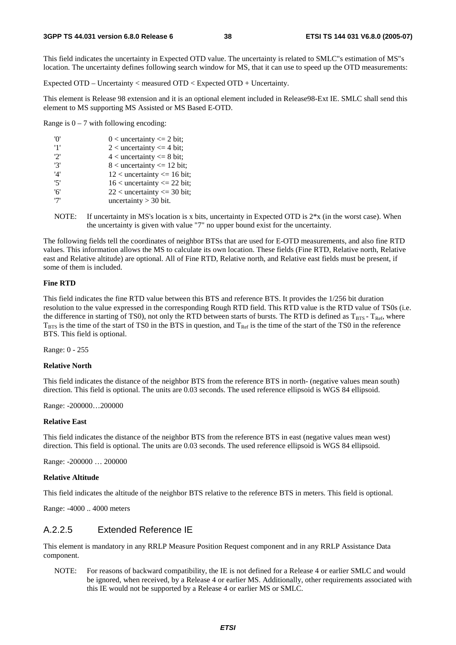This field indicates the uncertainty in Expected OTD value. The uncertainty is related to SMLC"s estimation of MS"s location. The uncertainty defines following search window for MS, that it can use to speed up the OTD measurements:

Expected OTD – Uncertainty < measured OTD < Expected OTD + Uncertainty.

This element is Release 98 extension and it is an optional element included in Release98-Ext IE. SMLC shall send this element to MS supporting MS Assisted or MS Based E-OTD.

Range is  $0 - 7$  with following encoding:

| 'n' | $0$ < uncertainty <= 2 bit;     |
|-----|---------------------------------|
| '1' | 2 < uncertainty $\leq$ 4 bit;   |
| '2' | $4$ < uncertainty $\leq 8$ bit; |
| '3' | $8$ < uncertainty <= 12 bit;    |
| '4' | $12$ < uncertainty <= 16 bit;   |
| 5'  | $16$ < uncertainty <= 22 bit;   |
| '6' | $22$ < uncertainty <= 30 bit;   |
| '7' | uncertainty $>$ 30 bit.         |
|     |                                 |

NOTE: If uncertainty in MS's location is x bits, uncertainty in Expected OTD is  $2*x$  (in the worst case). When the uncertainty is given with value "7" no upper bound exist for the uncertainty.

The following fields tell the coordinates of neighbor BTSs that are used for E-OTD measurements, and also fine RTD values. This information allows the MS to calculate its own location. These fields (Fine RTD, Relative north, Relative east and Relative altitude) are optional. All of Fine RTD, Relative north, and Relative east fields must be present, if some of them is included.

#### **Fine RTD**

This field indicates the fine RTD value between this BTS and reference BTS. It provides the 1/256 bit duration resolution to the value expressed in the corresponding Rough RTD field. This RTD value is the RTD value of TS0s (i.e. the difference in starting of TS0), not only the RTD between starts of bursts. The RTD is defined as  $T_{BTS}$  -  $T_{Ref}$ , where  $T_{\text{BTS}}$  is the time of the start of TS0 in the BTS in question, and  $T_{\text{Ref}}$  is the time of the start of the TS0 in the reference BTS. This field is optional.

Range: 0 - 255

#### **Relative North**

This field indicates the distance of the neighbor BTS from the reference BTS in north- (negative values mean south) direction. This field is optional. The units are 0.03 seconds. The used reference ellipsoid is WGS 84 ellipsoid.

Range: -200000…200000

#### **Relative East**

This field indicates the distance of the neighbor BTS from the reference BTS in east (negative values mean west) direction. This field is optional. The units are 0.03 seconds. The used reference ellipsoid is WGS 84 ellipsoid.

Range: -200000 … 200000

#### **Relative Altitude**

This field indicates the altitude of the neighbor BTS relative to the reference BTS in meters. This field is optional.

Range: -4000 .. 4000 meters

#### A.2.2.5 Extended Reference IE

This element is mandatory in any RRLP Measure Position Request component and in any RRLP Assistance Data component.

NOTE: For reasons of backward compatibility, the IE is not defined for a Release 4 or earlier SMLC and would be ignored, when received, by a Release 4 or earlier MS. Additionally, other requirements associated with this IE would not be supported by a Release 4 or earlier MS or SMLC.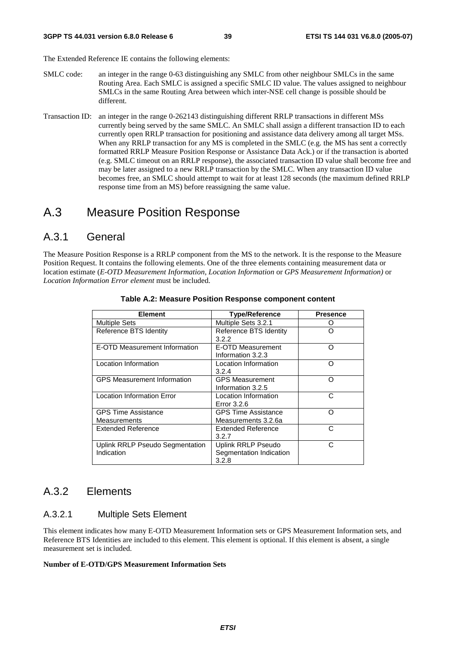The Extended Reference IE contains the following elements:

- SMLC code: an integer in the range 0-63 distinguishing any SMLC from other neighbour SMLCs in the same Routing Area. Each SMLC is assigned a specific SMLC ID value. The values assigned to neighbour SMLCs in the same Routing Area between which inter-NSE cell change is possible should be different.
- Transaction ID: an integer in the range 0-262143 distinguishing different RRLP transactions in different MSs currently being served by the same SMLC. An SMLC shall assign a different transaction ID to each currently open RRLP transaction for positioning and assistance data delivery among all target MSs. When any RRLP transaction for any MS is completed in the SMLC (e.g. the MS has sent a correctly formatted RRLP Measure Position Response or Assistance Data Ack.) or if the transaction is aborted (e.g. SMLC timeout on an RRLP response), the associated transaction ID value shall become free and may be later assigned to a new RRLP transaction by the SMLC. When any transaction ID value becomes free, an SMLC should attempt to wait for at least 128 seconds (the maximum defined RRLP response time from an MS) before reassigning the same value.

# A.3 Measure Position Response

### A.3.1 General

The Measure Position Response is a RRLP component from the MS to the network. It is the response to the Measure Position Request. It contains the following elements. One of the three elements containing measurement data or location estimate (*E-OTD Measurement Information*, *Location Information* or *GPS Measurement Information)* or *Location Information Error element* must be included.

| <b>Element</b>                     | <b>Type/Reference</b>      | <b>Presence</b> |
|------------------------------------|----------------------------|-----------------|
| <b>Multiple Sets</b>               | Multiple Sets 3.2.1        |                 |
| Reference BTS Identity             | Reference BTS Identity     | ∩               |
|                                    | 3.2.2                      |                 |
| E-OTD Measurement Information      | E-OTD Measurement          | ∩               |
|                                    | Information 3.2.3          |                 |
| Location Information               | Location Information       | ∩               |
|                                    | 3.2.4                      |                 |
| <b>GPS Measurement Information</b> | <b>GPS Measurement</b>     | Ω               |
|                                    | Information 3.2.5          |                 |
| <b>Location Information Error</b>  | Location Information       | C               |
|                                    | Error 3.2.6                |                 |
| <b>GPS Time Assistance</b>         | <b>GPS Time Assistance</b> | ∩               |
| Measurements                       | Measurements 3.2.6a        |                 |
| Extended Reference                 | Extended Reference         | C               |
|                                    | 3.2.7                      |                 |
| Uplink RRLP Pseudo Segmentation    | Uplink RRLP Pseudo         | C               |
| Indication                         | Segmentation Indication    |                 |
|                                    | 3.2.8                      |                 |

#### **Table A.2: Measure Position Response component content**

### A.3.2 Elements

#### A.3.2.1 Multiple Sets Element

This element indicates how many E-OTD Measurement Information sets or GPS Measurement Information sets, and Reference BTS Identities are included to this element. This element is optional. If this element is absent, a single measurement set is included.

#### **Number of E-OTD/GPS Measurement Information Sets**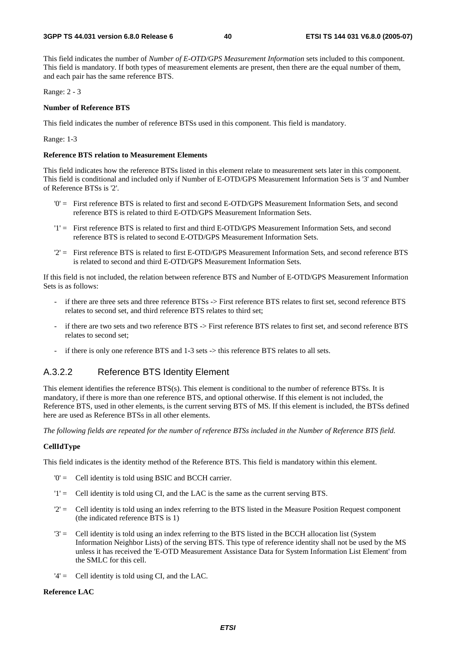This field indicates the number of *Number of E-OTD/GPS Measurement Information* sets included to this component. This field is mandatory. If both types of measurement elements are present, then there are the equal number of them, and each pair has the same reference BTS.

Range: 2 - 3

#### **Number of Reference BTS**

This field indicates the number of reference BTSs used in this component. This field is mandatory.

Range: 1-3

#### **Reference BTS relation to Measurement Elements**

This field indicates how the reference BTSs listed in this element relate to measurement sets later in this component. This field is conditional and included only if Number of E-OTD/GPS Measurement Information Sets is '3' and Number of Reference BTSs is '2'.

- '0' = First reference BTS is related to first and second E-OTD/GPS Measurement Information Sets, and second reference BTS is related to third E-OTD/GPS Measurement Information Sets.
- '1' = First reference BTS is related to first and third E-OTD/GPS Measurement Information Sets, and second reference BTS is related to second E-OTD/GPS Measurement Information Sets.
- '2' = First reference BTS is related to first E-OTD/GPS Measurement Information Sets, and second reference BTS is related to second and third E-OTD/GPS Measurement Information Sets.

If this field is not included, the relation between reference BTS and Number of E-OTD/GPS Measurement Information Sets is as follows:

- if there are three sets and three reference BTSs -> First reference BTS relates to first set, second reference BTS relates to second set, and third reference BTS relates to third set;
- if there are two sets and two reference BTS -> First reference BTS relates to first set, and second reference BTS relates to second set;
- if there is only one reference BTS and 1-3 sets -> this reference BTS relates to all sets.

### A.3.2.2 Reference BTS Identity Element

This element identifies the reference BTS(s). This element is conditional to the number of reference BTSs. It is mandatory, if there is more than one reference BTS, and optional otherwise. If this element is not included, the Reference BTS, used in other elements, is the current serving BTS of MS. If this element is included, the BTSs defined here are used as Reference BTSs in all other elements.

*The following fields are repeated for the number of reference BTSs included in the Number of Reference BTS field.* 

#### **CellIdType**

This field indicates is the identity method of the Reference BTS. This field is mandatory within this element.

- '0' = Cell identity is told using BSIC and BCCH carrier.
- '1' = Cell identity is told using CI, and the LAC is the same as the current serving BTS.
- '2' = Cell identity is told using an index referring to the BTS listed in the Measure Position Request component (the indicated reference BTS is 1)
- '3' = Cell identity is told using an index referring to the BTS listed in the BCCH allocation list (System Information Neighbor Lists) of the serving BTS. This type of reference identity shall not be used by the MS unless it has received the 'E-OTD Measurement Assistance Data for System Information List Element' from the SMLC for this cell.
- $'4' =$  Cell identity is told using CI, and the LAC.

#### **Reference LAC**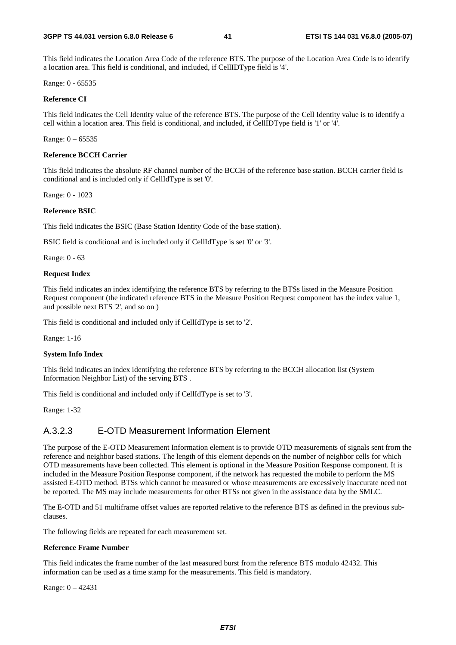This field indicates the Location Area Code of the reference BTS. The purpose of the Location Area Code is to identify a location area. This field is conditional, and included, if CellIDType field is '4'.

Range: 0 - 65535

#### **Reference CI**

This field indicates the Cell Identity value of the reference BTS. The purpose of the Cell Identity value is to identify a cell within a location area. This field is conditional, and included, if CellIDType field is '1' or '4'.

Range:  $0 - 65535$ 

#### **Reference BCCH Carrier**

This field indicates the absolute RF channel number of the BCCH of the reference base station. BCCH carrier field is conditional and is included only if CellIdType is set '0'.

Range: 0 - 1023

#### **Reference BSIC**

This field indicates the BSIC (Base Station Identity Code of the base station).

BSIC field is conditional and is included only if CellIdType is set '0' or '3'.

Range: 0 - 63

#### **Request Index**

This field indicates an index identifying the reference BTS by referring to the BTSs listed in the Measure Position Request component (the indicated reference BTS in the Measure Position Request component has the index value 1, and possible next BTS '2', and so on )

This field is conditional and included only if CellIdType is set to '2'.

Range: 1-16

#### **System Info Index**

This field indicates an index identifying the reference BTS by referring to the BCCH allocation list (System Information Neighbor List) of the serving BTS .

This field is conditional and included only if CellIdType is set to '3'.

Range: 1-32

#### A.3.2.3 E-OTD Measurement Information Element

The purpose of the E-OTD Measurement Information element is to provide OTD measurements of signals sent from the reference and neighbor based stations. The length of this element depends on the number of neighbor cells for which OTD measurements have been collected. This element is optional in the Measure Position Response component. It is included in the Measure Position Response component, if the network has requested the mobile to perform the MS assisted E-OTD method. BTSs which cannot be measured or whose measurements are excessively inaccurate need not be reported. The MS may include measurements for other BTSs not given in the assistance data by the SMLC.

The E-OTD and 51 multiframe offset values are reported relative to the reference BTS as defined in the previous subclauses.

The following fields are repeated for each measurement set.

#### **Reference Frame Number**

This field indicates the frame number of the last measured burst from the reference BTS modulo 42432. This information can be used as a time stamp for the measurements. This field is mandatory.

Range: 0 – 42431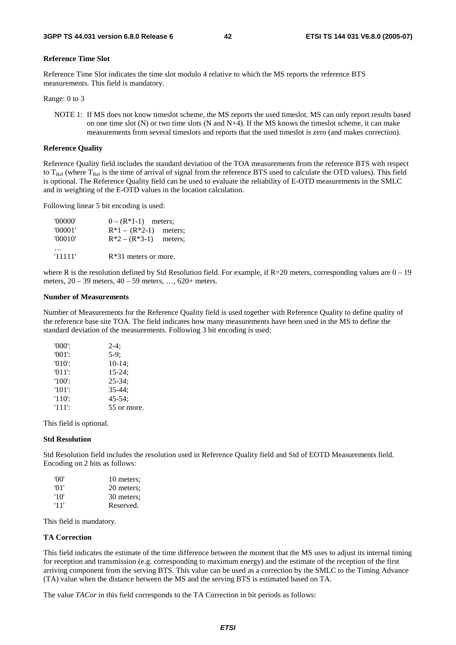#### **Reference Time Slot**

Reference Time Slot indicates the time slot modulo 4 relative to which the MS reports the reference BTS measurements. This field is mandatory.

Range: 0 to 3

NOTE 1: If MS does not know timeslot scheme, the MS reports the used timeslot. MS can only report results based on one time slot  $(N)$  or two time slots  $(N \text{ and } N+4)$ . If the MS knows the timeslot scheme, it can make measurements from several timeslots and reports that the used timeslot is zero (and makes correction).

#### **Reference Quality**

Reference Quality field includes the standard deviation of the TOA measurements from the reference BTS with respect to  $T_{\text{Ref}}$  (where  $T_{\text{Ref}}$  is the time of arrival of signal from the reference BTS used to calculate the OTD values). This field is optional. The Reference Quality field can be used to evaluate the reliability of E-OTD measurements in the SMLC and in weighting of the E-OTD values in the location calculation.

Following linear 5 bit encoding is used:

| '00000' | $0 - (R*1-1)$ meters;   |         |
|---------|-------------------------|---------|
| '00001' | $R*1 - (R*2-1)$ meters; |         |
| '00010' | $R^*2 - (R^*3-1)$       | meters; |
|         |                         |         |
| '11111' | $R*31$ meters or more.  |         |

where R is the resolution defined by Std Resolution field. For example, if  $R=20$  meters, corresponding values are  $0-19$ meters, 20 – 39 meters, 40 – 59 meters, …, 620+ meters.

#### **Number of Measurements**

Number of Measurements for the Reference Quality field is used together with Reference Quality to define quality of the reference base site TOA. The field indicates how many measurements have been used in the MS to define the standard deviation of the measurements. Following 3 bit encoding is used:

| $'000$ .  | $2-4:$      |
|-----------|-------------|
| $'001'$ : | $5-9$ ;     |
| $'010'$ : | $10-14$ ;   |
| $'011'$ : | $15 - 24$ ; |
| $'100'$ : | $25 - 34$ ; |
| $'101'$ : | $35 - 44:$  |
| $'110'$ : | $45 - 54$ ; |
| $'111'$ : | 55 or more. |

This field is optional.

#### **Std Resolution**

Std Resolution field includes the resolution used in Reference Quality field and Std of EOTD Measurements field. Encoding on 2 bits as follows:

| 'OO' | 10 meters; |
|------|------------|
| '01' | 20 meters; |
| '10' | 30 meters; |
| '11' | Reserved.  |

This field is mandatory.

#### **TA Correction**

This field indicates the estimate of the time difference between the moment that the MS uses to adjust its internal timing for reception and transmission (e.g. corresponding to maximum energy) and the estimate of the reception of the first arriving component from the serving BTS. This value can be used as a correction by the SMLC to the Timing Advance (TA) value when the distance between the MS and the serving BTS is estimated based on TA.

The value *TACor* in this field corresponds to the TA Correction in bit periods as follows: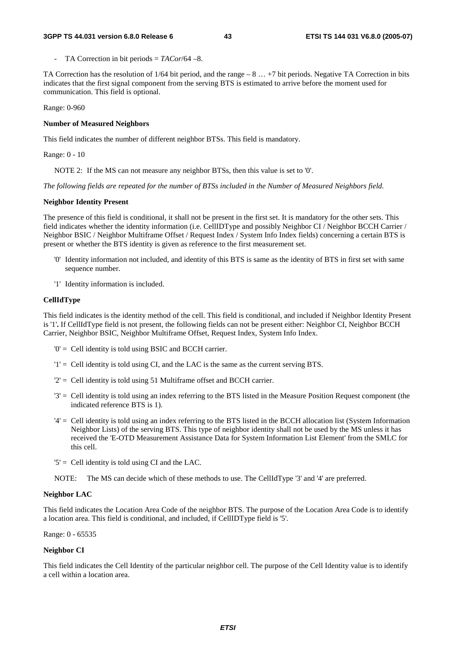- TA Correction in bit periods = *TACor*/64 –8.

TA Correction has the resolution of 1/64 bit period, and the range – 8 … +7 bit periods. Negative TA Correction in bits indicates that the first signal component from the serving BTS is estimated to arrive before the moment used for communication. This field is optional.

Range: 0-960

#### **Number of Measured Neighbors**

This field indicates the number of different neighbor BTSs. This field is mandatory.

Range: 0 - 10

NOTE 2: If the MS can not measure any neighbor BTSs, then this value is set to '0'.

*The following fields are repeated for the number of BTSs included in the Number of Measured Neighbors field.* 

#### **Neighbor Identity Present**

The presence of this field is conditional, it shall not be present in the first set. It is mandatory for the other sets. This field indicates whether the identity information (i.e. CellIDType and possibly Neighbor CI / Neighbor BCCH Carrier / Neighbor BSIC / Neighbor Multiframe Offset / Request Index / System Info Index fields) concerning a certain BTS is present or whether the BTS identity is given as reference to the first measurement set.

- '0' Identity information not included, and identity of this BTS is same as the identity of BTS in first set with same sequence number.
- '1' Identity information is included.

#### **CellIdType**

This field indicates is the identity method of the cell. This field is conditional, and included if Neighbor Identity Present is '1'**.** If CellIdType field is not present, the following fields can not be present either: Neighbor CI, Neighbor BCCH Carrier, Neighbor BSIC, Neighbor Multiframe Offset, Request Index, System Info Index.

- '0' = Cell identity is told using BSIC and BCCH carrier.
- '1' = Cell identity is told using CI, and the LAC is the same as the current serving BTS.
- '2' = Cell identity is told using 51 Multiframe offset and BCCH carrier.
- '3' = Cell identity is told using an index referring to the BTS listed in the Measure Position Request component (the indicated reference BTS is 1).
- '4' = Cell identity is told using an index referring to the BTS listed in the BCCH allocation list (System Information Neighbor Lists) of the serving BTS. This type of neighbor identity shall not be used by the MS unless it has received the 'E-OTD Measurement Assistance Data for System Information List Element' from the SMLC for this cell.
- '5' = Cell identity is told using CI and the LAC.

NOTE: The MS can decide which of these methods to use. The CellIdType '3' and '4' are preferred.

#### **Neighbor LAC**

This field indicates the Location Area Code of the neighbor BTS. The purpose of the Location Area Code is to identify a location area. This field is conditional, and included, if CellIDType field is '5'.

Range: 0 - 65535

#### **Neighbor CI**

This field indicates the Cell Identity of the particular neighbor cell. The purpose of the Cell Identity value is to identify a cell within a location area.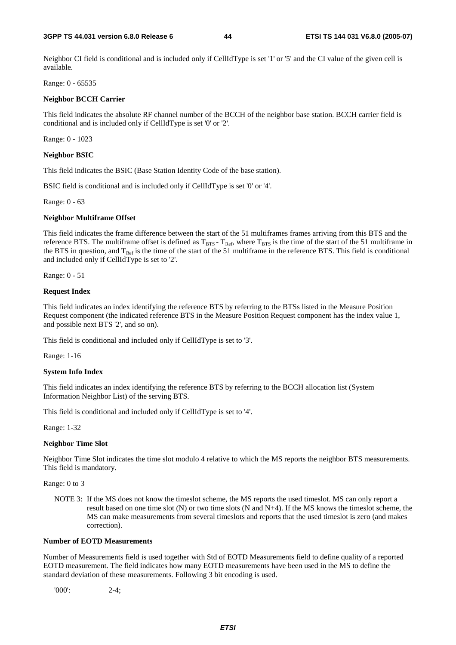#### **3GPP TS 44.031 version 6.8.0 Release 6 44 ETSI TS 144 031 V6.8.0 (2005-07)**

Neighbor CI field is conditional and is included only if CellIdType is set '1' or '5' and the CI value of the given cell is available.

Range: 0 - 65535

#### **Neighbor BCCH Carrier**

This field indicates the absolute RF channel number of the BCCH of the neighbor base station. BCCH carrier field is conditional and is included only if CellIdType is set '0' or '2'.

Range: 0 - 1023

#### **Neighbor BSIC**

This field indicates the BSIC (Base Station Identity Code of the base station).

BSIC field is conditional and is included only if CellIdType is set '0' or '4'.

Range: 0 - 63

#### **Neighbor Multiframe Offset**

This field indicates the frame difference between the start of the 51 multiframes frames arriving from this BTS and the reference BTS. The multiframe offset is defined as  $T_{BTS}$  -  $T_{Ref}$ , where  $T_{BTS}$  is the time of the start of the 51 multiframe in the BTS in question, and  $T_{Ref}$  is the time of the start of the 51 multiframe in the reference BTS. This field is conditional and included only if CellIdType is set to '2'.

Range: 0 - 51

#### **Request Index**

This field indicates an index identifying the reference BTS by referring to the BTSs listed in the Measure Position Request component (the indicated reference BTS in the Measure Position Request component has the index value 1, and possible next BTS '2', and so on).

This field is conditional and included only if CellIdType is set to '3'.

Range: 1-16

#### **System Info Index**

This field indicates an index identifying the reference BTS by referring to the BCCH allocation list (System Information Neighbor List) of the serving BTS.

This field is conditional and included only if CellIdType is set to '4'.

Range: 1-32

#### **Neighbor Time Slot**

Neighbor Time Slot indicates the time slot modulo 4 relative to which the MS reports the neighbor BTS measurements. This field is mandatory.

Range: 0 to 3

NOTE 3: If the MS does not know the timeslot scheme, the MS reports the used timeslot. MS can only report a result based on one time slot (N) or two time slots (N and N+4). If the MS knows the timeslot scheme, the MS can make measurements from several timeslots and reports that the used timeslot is zero (and makes correction).

#### **Number of EOTD Measurements**

Number of Measurements field is used together with Std of EOTD Measurements field to define quality of a reported EOTD measurement. The field indicates how many EOTD measurements have been used in the MS to define the standard deviation of these measurements. Following 3 bit encoding is used.

'000': 2-4;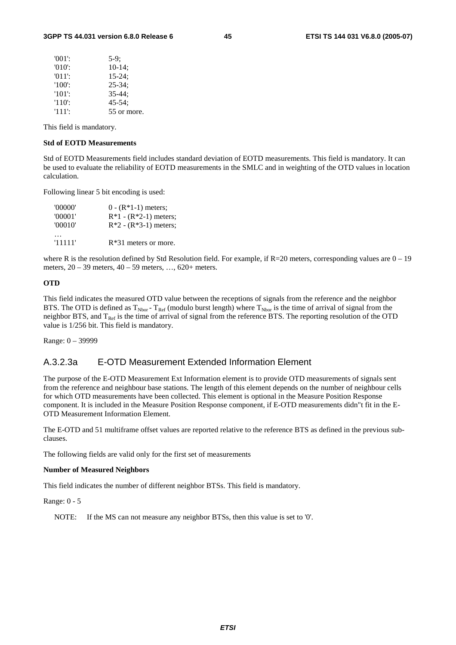| $'001'$ : | $5-9$ :     |
|-----------|-------------|
| $'010'$ : | $10-14$ ;   |
| $'011'$ : | $15-24;$    |
| $'100'$ : | $25 - 34$ : |
| $'101'$ : | $35 - 44:$  |
| $'110'$ : | $45 - 54$ : |
| '111':    | 55 or more. |

This field is mandatory.

#### **Std of EOTD Measurements**

Std of EOTD Measurements field includes standard deviation of EOTD measurements. This field is mandatory. It can be used to evaluate the reliability of EOTD measurements in the SMLC and in weighting of the OTD values in location calculation.

Following linear 5 bit encoding is used:

| '00000' | $0 - (R*1-1)$ meters;   |
|---------|-------------------------|
| '00001' | $R*1 - (R*2-1)$ meters; |
| '00010' | $R*2 - (R*3-1)$ meters; |
| '11111' | $R*31$ meters or more.  |

where R is the resolution defined by Std Resolution field. For example, if  $R=20$  meters, corresponding values are  $0-19$ meters, 20 – 39 meters, 40 – 59 meters, …, 620+ meters.

#### **OTD**

This field indicates the measured OTD value between the receptions of signals from the reference and the neighbor BTS. The OTD is defined as  $T_{Nbor}$  -  $T_{Ref}$  (modulo burst length) where  $T_{Nbor}$  is the time of arrival of signal from the neighbor BTS, and  $T_{Ref}$  is the time of arrival of signal from the reference BTS. The reporting resolution of the OTD value is 1/256 bit. This field is mandatory.

Range: 0 – 39999

#### A.3.2.3a E-OTD Measurement Extended Information Element

The purpose of the E-OTD Measurement Ext Information element is to provide OTD measurements of signals sent from the reference and neighbour base stations. The length of this element depends on the number of neighbour cells for which OTD measurements have been collected. This element is optional in the Measure Position Response component. It is included in the Measure Position Response component, if E-OTD measurements didn"t fit in the E-OTD Measurement Information Element.

The E-OTD and 51 multiframe offset values are reported relative to the reference BTS as defined in the previous subclauses.

The following fields are valid only for the first set of measurements

#### **Number of Measured Neighbors**

This field indicates the number of different neighbor BTSs. This field is mandatory.

Range: 0 - 5

NOTE: If the MS can not measure any neighbor BTSs, then this value is set to '0'.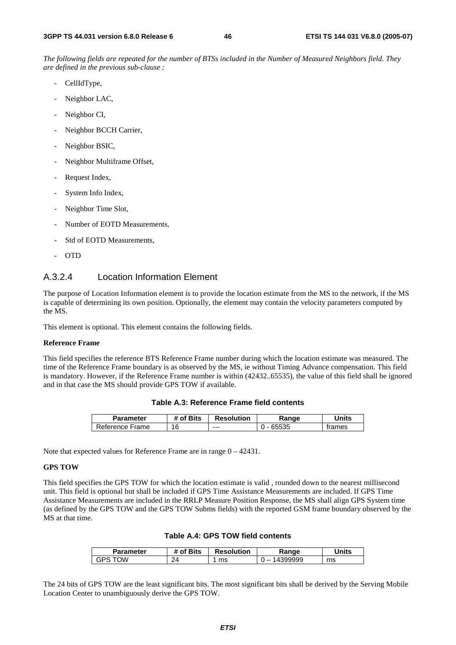*The following fields are repeated for the number of BTSs included in the Number of Measured Neighbors field. They are defined in the previous sub-clause :*

- CellIdType,
- Neighbor LAC,
- Neighbor CI,
- Neighbor BCCH Carrier,
- Neighbor BSIC,
- Neighbor Multiframe Offset,
- Request Index,
- System Info Index,
- Neighbor Time Slot,
- Number of EOTD Measurements,
- Std of EOTD Measurements,
- OTD

### A.3.2.4 Location Information Element

The purpose of Location Information element is to provide the location estimate from the MS to the network, if the MS is capable of determining its own position. Optionally, the element may contain the velocity parameters computed by the MS.

This element is optional. This element contains the following fields.

#### **Reference Frame**

This field specifies the reference BTS Reference Frame number during which the location estimate was measured. The time of the Reference Frame boundary is as observed by the MS, ie without Timing Advance compensation. This field is mandatory. However, if the Reference Frame number is within (42432..65535), the value of this field shall be ignored and in that case the MS should provide GPS TOW if available.

|  | Table A.3: Reference Frame field contents |  |  |
|--|-------------------------------------------|--|--|
|--|-------------------------------------------|--|--|

| Parameter       | # of Bits | <b>Resolution</b> | Range | Jnits  |
|-----------------|-----------|-------------------|-------|--------|
| Reference Frame | 16        | ---               | 65535 | trames |

Note that expected values for Reference Frame are in range 0 – 42431.

#### **GPS TOW**

This field specifies the GPS TOW for which the location estimate is valid , rounded down to the nearest millisecond unit. This field is optional but shall be included if GPS Time Assistance Measurements are included. If GPS Time Assistance Measurements are included in the RRLP Measure Position Response, the MS shall align GPS System time (as defined by the GPS TOW and the GPS TOW Subms fields) with the reported GSM frame boundary observed by the MS at that time.

| Table A.4: GPS TOW field contents |
|-----------------------------------|
|                                   |

| Parameter       | <b># of Bits</b> | <b>Resolution</b> | Range        | Units |
|-----------------|------------------|-------------------|--------------|-------|
| OW<br>⊃טי<br>⊣ت | 24               | ms                | 4399999<br>_ | ms    |

The 24 bits of GPS TOW are the least significant bits. The most significant bits shall be derived by the Serving Mobile Location Center to unambiguously derive the GPS TOW.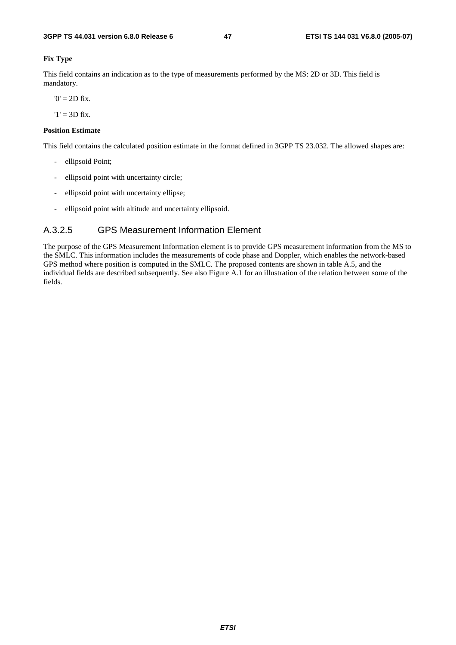#### **Fix Type**

This field contains an indication as to the type of measurements performed by the MS: 2D or 3D. This field is mandatory.

 $0' = 2D$  fix.

 $'1' = 3D$  fix.

#### **Position Estimate**

This field contains the calculated position estimate in the format defined in 3GPP TS 23.032. The allowed shapes are:

- ellipsoid Point;
- ellipsoid point with uncertainty circle;
- ellipsoid point with uncertainty ellipse;
- ellipsoid point with altitude and uncertainty ellipsoid.

### A.3.2.5 GPS Measurement Information Element

The purpose of the GPS Measurement Information element is to provide GPS measurement information from the MS to the SMLC. This information includes the measurements of code phase and Doppler, which enables the network-based GPS method where position is computed in the SMLC. The proposed contents are shown in table A.5, and the individual fields are described subsequently. See also Figure A.1 for an illustration of the relation between some of the fields.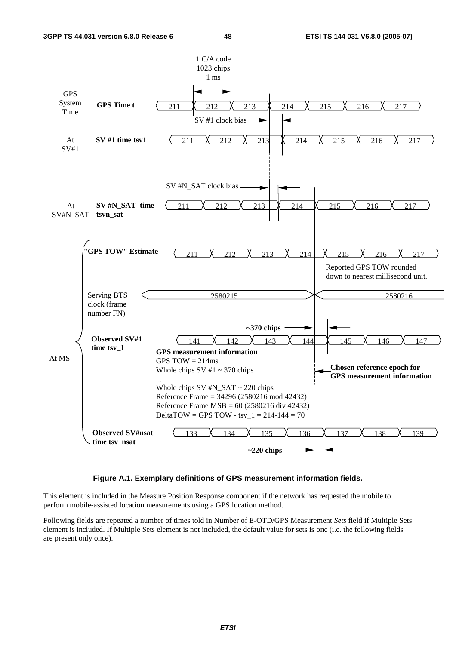

#### **Figure A.1. Exemplary definitions of GPS measurement information fields.**

This element is included in the Measure Position Response component if the network has requested the mobile to perform mobile-assisted location measurements using a GPS location method.

Following fields are repeated a number of times told in Number of E-OTD/GPS Measurement *Sets* field if Multiple Sets element is included. If Multiple Sets element is not included, the default value for sets is one (i.e. the following fields are present only once).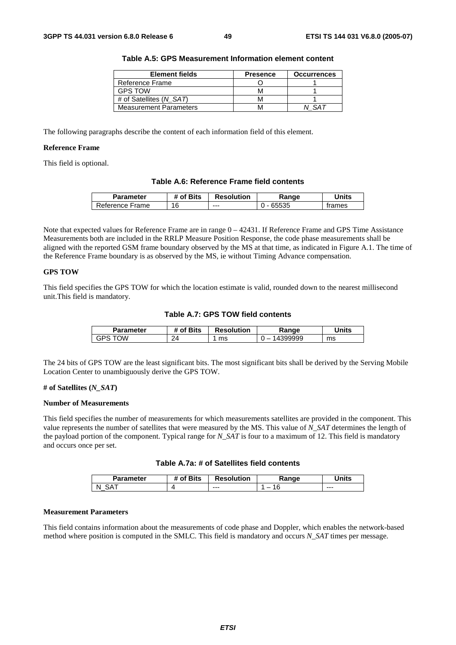| <b>Element fields</b>         | <b>Presence</b> | <b>Occurrences</b> |
|-------------------------------|-----------------|--------------------|
| Reference Frame               |                 |                    |
| <b>GPS TOW</b>                | M               |                    |
| # of Satellites (N SAT)       | M               |                    |
| <b>Measurement Parameters</b> |                 |                    |

**Table A.5: GPS Measurement Information element content** 

The following paragraphs describe the content of each information field of this element.

#### **Reference Frame**

This field is optional.

| Table A.6: Reference Frame field contents |
|-------------------------------------------|
|-------------------------------------------|

| <b>Parameter</b> | of Bits | <b>Resolution</b> | Range | <b>Inits</b> |
|------------------|---------|-------------------|-------|--------------|
| Reference Frame  | 16      | $--$              | 65535 | trames       |

Note that expected values for Reference Frame are in range  $0 - 42431$ . If Reference Frame and GPS Time Assistance Measurements both are included in the RRLP Measure Position Response, the code phase measurements shall be aligned with the reported GSM frame boundary observed by the MS at that time, as indicated in Figure A.1. The time of the Reference Frame boundary is as observed by the MS, ie without Timing Advance compensation.

#### **GPS TOW**

This field specifies the GPS TOW for which the location estimate is valid, rounded down to the nearest millisecond unit.This field is mandatory.

**Table A.7: GPS TOW field contents** 

| Parameter  | of Bits | <b>Resolution</b> | Ranqe                              | <b>Jnits</b> |
|------------|---------|-------------------|------------------------------------|--------------|
| ⊤∩W<br>خ⊬ت | 24      | ms                | 399999<br>$\overline{\phantom{a}}$ | ms           |

The 24 bits of GPS TOW are the least significant bits. The most significant bits shall be derived by the Serving Mobile Location Center to unambiguously derive the GPS TOW.

#### **# of Satellites (***N\_SAT***)**

#### **Number of Measurements**

This field specifies the number of measurements for which measurements satellites are provided in the component. This value represents the number of satellites that were measured by the MS. This value of *N\_SAT* determines the length of the payload portion of the component. Typical range for *N\_SAT* is four to a maximum of 12. This field is mandatory and occurs once per set.

| Table A.7a: # of Satellites field contents |  |  |
|--------------------------------------------|--|--|
|--------------------------------------------|--|--|

| Parameter | <b>Bits</b><br>Οt | <b>Resolution</b> | .⊀anqe | <b>Inits</b> |
|-----------|-------------------|-------------------|--------|--------------|
| N         |                   | $- - -$           | -<br>U | $- - -$      |

#### **Measurement Parameters**

This field contains information about the measurements of code phase and Doppler, which enables the network-based method where position is computed in the SMLC. This field is mandatory and occurs *N\_SAT* times per message.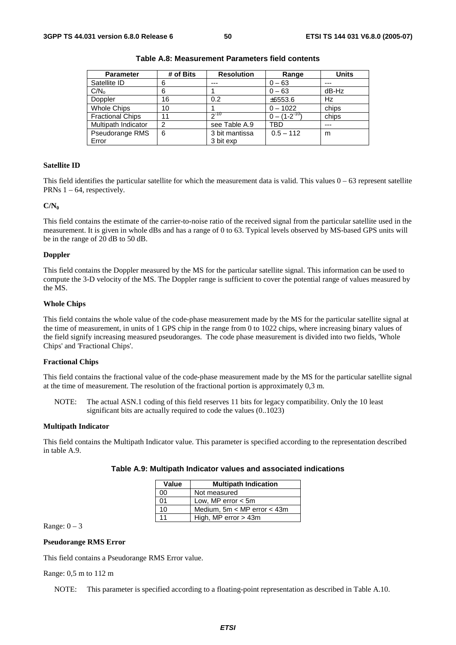| <b>Parameter</b>        | # of Bits      | <b>Resolution</b> | Range               | <b>Units</b> |
|-------------------------|----------------|-------------------|---------------------|--------------|
| Satellite ID            | 6              | $- - -$           | $0 - 63$            | $- - -$      |
| C/N <sub>o</sub>        | 6              |                   | $0 - 63$            | dB-Hz        |
| Doppler                 | 16             | 0.2               | ±6553.6             | Hz           |
| <b>Whole Chips</b>      | 10             |                   | $0 - 1022$          | chips        |
| <b>Fractional Chips</b> | 11             | $2^{-10}$         | $0 - (1 - 2^{-10})$ | chips        |
| Multipath Indicator     | $\overline{2}$ | see Table A.9     | TBD                 | $---$        |
| Pseudorange RMS         | 6              | 3 bit mantissa    | $0.5 - 112$         | m            |
| Error                   |                | 3 bit exp         |                     |              |

**Table A.8: Measurement Parameters field contents** 

#### **Satellite ID**

This field identifies the particular satellite for which the measurement data is valid. This values  $0 - 63$  represent satellite PRNs  $1 - 64$ , respectively.

#### $C/N_0$

This field contains the estimate of the carrier-to-noise ratio of the received signal from the particular satellite used in the measurement. It is given in whole dBs and has a range of 0 to 63. Typical levels observed by MS-based GPS units will be in the range of 20 dB to 50 dB.

#### **Doppler**

This field contains the Doppler measured by the MS for the particular satellite signal. This information can be used to compute the 3-D velocity of the MS. The Doppler range is sufficient to cover the potential range of values measured by the MS.

#### **Whole Chips**

This field contains the whole value of the code-phase measurement made by the MS for the particular satellite signal at the time of measurement, in units of 1 GPS chip in the range from 0 to 1022 chips, where increasing binary values of the field signify increasing measured pseudoranges. The code phase measurement is divided into two fields, 'Whole Chips' and 'Fractional Chips'.

#### **Fractional Chips**

This field contains the fractional value of the code-phase measurement made by the MS for the particular satellite signal at the time of measurement. The resolution of the fractional portion is approximately 0,3 m.

NOTE: The actual ASN.1 coding of this field reserves 11 bits for legacy compatibility. Only the 10 least significant bits are actually required to code the values (0..1023)

#### **Multipath Indicator**

This field contains the Multipath Indicator value. This parameter is specified according to the representation described in table A.9.

|  | Table A.9: Multipath Indicator values and associated indications |
|--|------------------------------------------------------------------|
|--|------------------------------------------------------------------|

| Value | <b>Multipath Indication</b>     |  |  |
|-------|---------------------------------|--|--|
| 00    | Not measured                    |  |  |
| 01    | Low, MP error $<$ 5m            |  |  |
| 10    | Medium, $5m < MP$ error $<$ 43m |  |  |
| 11    | High, MP error $>$ 43m          |  |  |

Range:  $0 - 3$ 

#### **Pseudorange RMS Error**

This field contains a Pseudorange RMS Error value.

Range: 0,5 m to 112 m

NOTE: This parameter is specified according to a floating-point representation as described in Table A.10.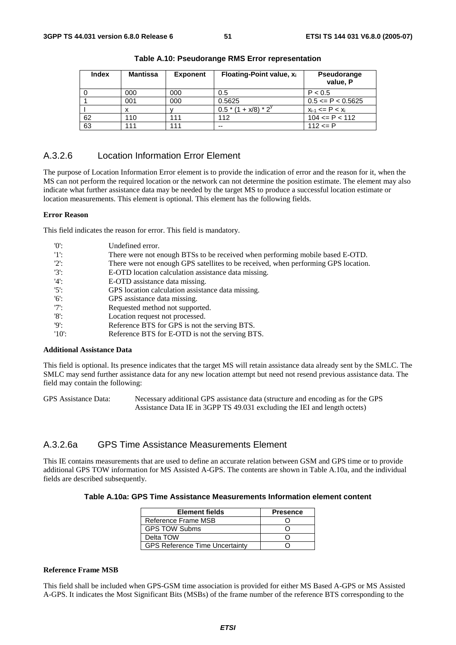| <b>Index</b> | <b>Mantissa</b> | <b>Exponent</b> | Floating-Point value, x <sub>i</sub> | Pseudorange<br>value, P  |
|--------------|-----------------|-----------------|--------------------------------------|--------------------------|
|              | 000             | 000             | 0.5                                  | P < 0.5                  |
|              | 001             | 000             | 0.5625                               | $0.5 \leq P \leq 0.5625$ |
|              |                 |                 | $0.5*(1 + x/8)*2^y$                  | $x_{i-1}$ <= P < $x_i$   |
| 62           | 110             | 111             | 112                                  | $104 \leq P \leq 112$    |
| 63           | 111             | 111             | $- -$                                | $112 \le P$              |

**Table A.10: Pseudorange RMS Error representation** 

### A.3.2.6 Location Information Error Element

The purpose of Location Information Error element is to provide the indication of error and the reason for it, when the MS can not perform the required location or the network can not determine the position estimate. The element may also indicate what further assistance data may be needed by the target MS to produce a successful location estimate or location measurements. This element is optional. This element has the following fields.

#### **Error Reason**

This field indicates the reason for error. This field is mandatory.

| '0'      | Undefined error.                                                                   |
|----------|------------------------------------------------------------------------------------|
| -'1':    | There were not enough BTSs to be received when performing mobile based E-OTD.      |
| $'2$ :   | There were not enough GPS satellites to be received, when performing GPS location. |
| $'3'$ :  | E-OTD location calculation assistance data missing.                                |
| $'4$ :   | E-OTD assistance data missing.                                                     |
| $'5$ :   | GPS location calculation assistance data missing.                                  |
| $'6$ :   | GPS assistance data missing.                                                       |
| $'7$ :   | Requested method not supported.                                                    |
| '8       | Location request not processed.                                                    |
| 'Q':     | Reference BTS for GPS is not the serving BTS.                                      |
| $'10'$ : | Reference BTS for E-OTD is not the serving BTS.                                    |

#### **Additional Assistance Data**

This field is optional. Its presence indicates that the target MS will retain assistance data already sent by the SMLC. The SMLC may send further assistance data for any new location attempt but need not resend previous assistance data. The field may contain the following:

GPS Assistance Data: Necessary additional GPS assistance data (structure and encoding as for the GPS Assistance Data IE in 3GPP TS 49.031 excluding the IEI and length octets)

### A.3.2.6a GPS Time Assistance Measurements Element

This IE contains measurements that are used to define an accurate relation between GSM and GPS time or to provide additional GPS TOW information for MS Assisted A-GPS. The contents are shown in Table A.10a, and the individual fields are described subsequently.

#### **Table A.10a: GPS Time Assistance Measurements Information element content**

| <b>Element fields</b>                 | <b>Presence</b> |
|---------------------------------------|-----------------|
| Reference Frame MSB                   |                 |
| <b>GPS TOW Subms</b>                  |                 |
| Delta TOW                             |                 |
| <b>GPS Reference Time Uncertainty</b> |                 |

#### **Reference Frame MSB**

This field shall be included when GPS-GSM time association is provided for either MS Based A-GPS or MS Assisted A-GPS. It indicates the Most Significant Bits (MSBs) of the frame number of the reference BTS corresponding to the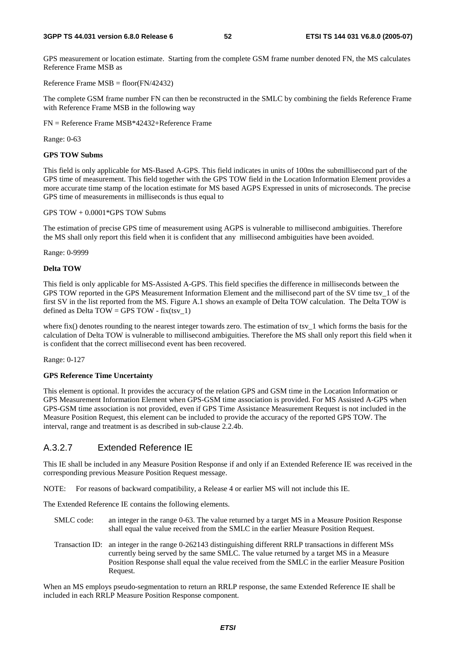#### **3GPP TS 44.031 version 6.8.0 Release 6 52 ETSI TS 144 031 V6.8.0 (2005-07)**

GPS measurement or location estimate. Starting from the complete GSM frame number denoted FN, the MS calculates Reference Frame MSB as

Reference Frame  $MSB = floor(FN/42432)$ 

The complete GSM frame number FN can then be reconstructed in the SMLC by combining the fields Reference Frame with Reference Frame MSB in the following way

FN = Reference Frame MSB\*42432+Reference Frame

Range: 0-63

#### **GPS TOW Subms**

This field is only applicable for MS-Based A-GPS. This field indicates in units of 100ns the submillisecond part of the GPS time of measurement. This field together with the GPS TOW field in the Location Information Element provides a more accurate time stamp of the location estimate for MS based AGPS Expressed in units of microseconds. The precise GPS time of measurements in milliseconds is thus equal to

#### GPS TOW + 0.0001\*GPS TOW Subms

The estimation of precise GPS time of measurement using AGPS is vulnerable to millisecond ambiguities. Therefore the MS shall only report this field when it is confident that any millisecond ambiguities have been avoided.

Range: 0-9999

#### **Delta TOW**

This field is only applicable for MS-Assisted A-GPS. This field specifies the difference in milliseconds between the GPS TOW reported in the GPS Measurement Information Element and the millisecond part of the SV time tsv\_1 of the first SV in the list reported from the MS. Figure A.1 shows an example of Delta TOW calculation. The Delta TOW is defined as Delta  $TOW = GPS$  TOW - fix(tsv\_1)

where fix() denotes rounding to the nearest integer towards zero. The estimation of tsv\_1 which forms the basis for the calculation of Delta TOW is vulnerable to millisecond ambiguities. Therefore the MS shall only report this field when it is confident that the correct millisecond event has been recovered.

Range: 0-127

#### **GPS Reference Time Uncertainty**

This element is optional. It provides the accuracy of the relation GPS and GSM time in the Location Information or GPS Measurement Information Element when GPS-GSM time association is provided. For MS Assisted A-GPS when GPS-GSM time association is not provided, even if GPS Time Assistance Measurement Request is not included in the Measure Position Request, this element can be included to provide the accuracy of the reported GPS TOW. The interval, range and treatment is as described in sub-clause 2.2.4b.

### A.3.2.7 Extended Reference IE

This IE shall be included in any Measure Position Response if and only if an Extended Reference IE was received in the corresponding previous Measure Position Request message.

NOTE: For reasons of backward compatibility, a Release 4 or earlier MS will not include this IE.

The Extended Reference IE contains the following elements.

- SMLC code: an integer in the range 0-63. The value returned by a target MS in a Measure Position Response shall equal the value received from the SMLC in the earlier Measure Position Request.
- Transaction ID: an integer in the range 0-262143 distinguishing different RRLP transactions in different MSs currently being served by the same SMLC. The value returned by a target MS in a Measure Position Response shall equal the value received from the SMLC in the earlier Measure Position Request.

When an MS employs pseudo-segmentation to return an RRLP response, the same Extended Reference IE shall be included in each RRLP Measure Position Response component.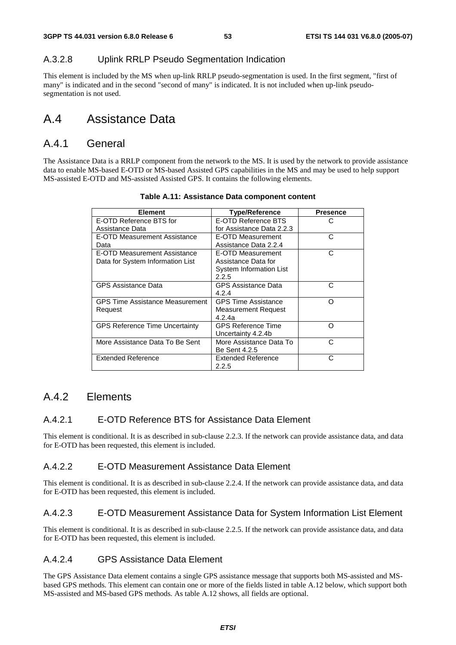### A.3.2.8 Uplink RRLP Pseudo Segmentation Indication

This element is included by the MS when up-link RRLP pseudo-segmentation is used. In the first segment, "first of many" is indicated and in the second "second of many" is indicated. It is not included when up-link pseudosegmentation is not used.

# A.4 Assistance Data

### A.4.1 General

The Assistance Data is a RRLP component from the network to the MS. It is used by the network to provide assistance data to enable MS-based E-OTD or MS-based Assisted GPS capabilities in the MS and may be used to help support MS-assisted E-OTD and MS-assisted Assisted GPS. It contains the following elements.

| <b>Element</b>                        | <b>Type/Reference</b>      | <b>Presence</b> |
|---------------------------------------|----------------------------|-----------------|
| E-OTD Reference BTS for               | E-OTD Reference BTS        | C               |
| Assistance Data                       | for Assistance Data 2.2.3  |                 |
| E-OTD Measurement Assistance          | E-OTD Measurement          | C               |
| Data                                  | Assistance Data 2.2.4      |                 |
| E-OTD Measurement Assistance          | E-OTD Measurement          | C               |
| Data for System Information List      | Assistance Data for        |                 |
|                                       | System Information List    |                 |
|                                       | 2.2.5                      |                 |
| <b>GPS Assistance Data</b>            | <b>GPS Assistance Data</b> | С               |
|                                       | 4.2.4                      |                 |
| GPS Time Assistance Measurement       | <b>GPS Time Assistance</b> | ∩               |
| Request                               | Measurement Request        |                 |
|                                       | 4.2.4a                     |                 |
| <b>GPS Reference Time Uncertainty</b> | <b>GPS Reference Time</b>  | ∩               |
|                                       | Uncertainty 4.2.4b         |                 |
| More Assistance Data To Be Sent       | More Assistance Data To    | C               |
|                                       | Be Sent 4.2.5              |                 |
| <b>Extended Reference</b>             | <b>Extended Reference</b>  | C               |
|                                       | 2.2.5                      |                 |

#### **Table A.11: Assistance Data component content**

### A.4.2 Elements

#### A.4.2.1 E-OTD Reference BTS for Assistance Data Element

This element is conditional. It is as described in sub-clause 2.2.3. If the network can provide assistance data, and data for E-OTD has been requested, this element is included.

#### A.4.2.2 E-OTD Measurement Assistance Data Element

This element is conditional. It is as described in sub-clause 2.2.4. If the network can provide assistance data, and data for E-OTD has been requested, this element is included.

#### A.4.2.3 E-OTD Measurement Assistance Data for System Information List Element

This element is conditional. It is as described in sub-clause 2.2.5. If the network can provide assistance data, and data for E-OTD has been requested, this element is included.

### A.4.2.4 GPS Assistance Data Element

The GPS Assistance Data element contains a single GPS assistance message that supports both MS-assisted and MSbased GPS methods. This element can contain one or more of the fields listed in table A.12 below, which support both MS-assisted and MS-based GPS methods. As table A.12 shows, all fields are optional.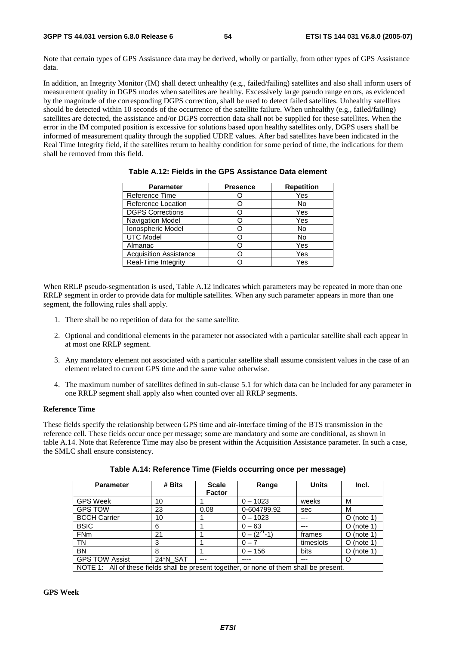Note that certain types of GPS Assistance data may be derived, wholly or partially, from other types of GPS Assistance data.

In addition, an Integrity Monitor (IM) shall detect unhealthy (e.g., failed/failing) satellites and also shall inform users of measurement quality in DGPS modes when satellites are healthy. Excessively large pseudo range errors, as evidenced by the magnitude of the corresponding DGPS correction, shall be used to detect failed satellites. Unhealthy satellites should be detected within 10 seconds of the occurrence of the satellite failure. When unhealthy (e.g., failed/failing) satellites are detected, the assistance and/or DGPS correction data shall not be supplied for these satellites. When the error in the IM computed position is excessive for solutions based upon healthy satellites only, DGPS users shall be informed of measurement quality through the supplied UDRE values. After bad satellites have been indicated in the Real Time Integrity field, if the satellites return to healthy condition for some period of time, the indications for them shall be removed from this field.

| <b>Parameter</b>              | <b>Presence</b> | <b>Repetition</b> |
|-------------------------------|-----------------|-------------------|
| Reference Time                |                 | Yes               |
| Reference Location            |                 | No                |
| <b>DGPS Corrections</b>       |                 | Yes               |
| Navigation Model              |                 | Yes               |
| Ionospheric Model             |                 | No                |
| <b>UTC Model</b>              |                 | No                |
| Almanac                       |                 | Yes               |
| <b>Acquisition Assistance</b> |                 | Yes               |
| Real-Time Integrity           |                 | Yes               |

**Table A.12: Fields in the GPS Assistance Data element** 

When RRLP pseudo-segmentation is used, Table A.12 indicates which parameters may be repeated in more than one RRLP segment in order to provide data for multiple satellites. When any such parameter appears in more than one segment, the following rules shall apply.

- 1. There shall be no repetition of data for the same satellite.
- 2. Optional and conditional elements in the parameter not associated with a particular satellite shall each appear in at most one RRLP segment.
- 3. Any mandatory element not associated with a particular satellite shall assume consistent values in the case of an element related to current GPS time and the same value otherwise.
- 4. The maximum number of satellites defined in sub-clause 5.1 for which data can be included for any parameter in one RRLP segment shall apply also when counted over all RRLP segments.

#### **Reference Time**

These fields specify the relationship between GPS time and air-interface timing of the BTS transmission in the reference cell. These fields occur once per message; some are mandatory and some are conditional, as shown in table A.14. Note that Reference Time may also be present within the Acquisition Assistance parameter. In such a case, the SMLC shall ensure consistency.

| <b>Parameter</b>                                                                         | # Bits   | <b>Scale</b><br><b>Factor</b> | Range              | <b>Units</b> | Incl.         |
|------------------------------------------------------------------------------------------|----------|-------------------------------|--------------------|--------------|---------------|
| <b>GPS Week</b>                                                                          | 10       |                               | $0 - 1023$         | weeks        | M             |
| <b>GPS TOW</b>                                                                           | 23       | 0.08                          | 0-604799.92        | sec          | м             |
| <b>BCCH Carrier</b>                                                                      | 10       |                               | $0 - 1023$         |              | $O$ (note 1)  |
| <b>BSIC</b>                                                                              | 6        |                               | $0 - 63$           | ---          | $O$ (note 1)  |
| <b>FNm</b>                                                                               | 21       |                               | $0 - (2^{27} - 1)$ | frames       | $O$ (note 1)  |
| TN                                                                                       | 3        |                               | $0 - 7$            | timeslots    | $O$ (note 1)  |
| <b>BN</b>                                                                                | 8        |                               | $0 - 156$          | bits         | (note 1)<br>O |
| <b>GPS TOW Assist</b>                                                                    | 24*N SAT | ---                           |                    | ---          | O             |
| NOTE 1: All of these fields shall be present together, or none of them shall be present. |          |                               |                    |              |               |

| Table A.14: Reference Time (Fields occurring once per message) |  |  |
|----------------------------------------------------------------|--|--|
|----------------------------------------------------------------|--|--|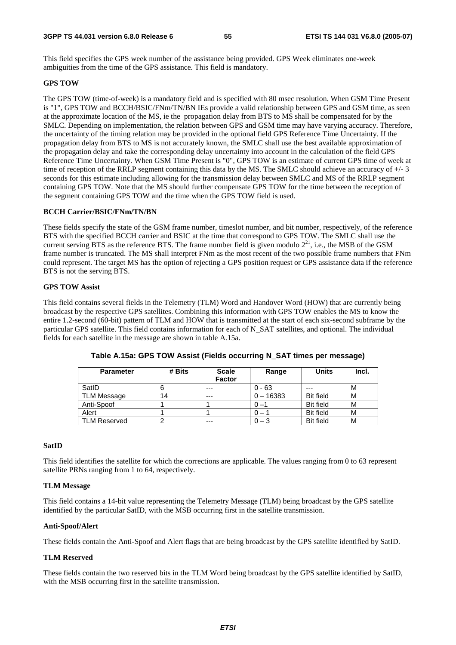This field specifies the GPS week number of the assistance being provided. GPS Week eliminates one-week ambiguities from the time of the GPS assistance. This field is mandatory.

#### **GPS TOW**

The GPS TOW (time-of-week) is a mandatory field and is specified with 80 msec resolution. When GSM Time Present is "1", GPS TOW and BCCH/BSIC/FNm/TN/BN IEs provide a valid relationship between GPS and GSM time, as seen at the approximate location of the MS, ie the propagation delay from BTS to MS shall be compensated for by the SMLC. Depending on implementation, the relation between GPS and GSM time may have varying accuracy. Therefore, the uncertainty of the timing relation may be provided in the optional field GPS Reference Time Uncertainty. If the propagation delay from BTS to MS is not accurately known, the SMLC shall use the best available approximation of the propagation delay and take the corresponding delay uncertainty into account in the calculation of the field GPS Reference Time Uncertainty. When GSM Time Present is "0", GPS TOW is an estimate of current GPS time of week at time of reception of the RRLP segment containing this data by the MS. The SMLC should achieve an accuracy of +/- 3 seconds for this estimate including allowing for the transmission delay between SMLC and MS of the RRLP segment containing GPS TOW. Note that the MS should further compensate GPS TOW for the time between the reception of the segment containing GPS TOW and the time when the GPS TOW field is used.

#### **BCCH Carrier/BSIC/FNm/TN/BN**

These fields specify the state of the GSM frame number, timeslot number, and bit number, respectively, of the reference BTS with the specified BCCH carrier and BSIC at the time that correspond to GPS TOW. The SMLC shall use the current serving BTS as the reference BTS. The frame number field is given modulo  $2^{21}$ , i.e., the MSB of the GSM frame number is truncated. The MS shall interpret FNm as the most recent of the two possible frame numbers that FNm could represent. The target MS has the option of rejecting a GPS position request or GPS assistance data if the reference BTS is not the serving BTS.

#### **GPS TOW Assist**

This field contains several fields in the Telemetry (TLM) Word and Handover Word (HOW) that are currently being broadcast by the respective GPS satellites. Combining this information with GPS TOW enables the MS to know the entire 1.2-second (60-bit) pattern of TLM and HOW that is transmitted at the start of each six-second subframe by the particular GPS satellite. This field contains information for each of N\_SAT satellites, and optional. The individual fields for each satellite in the message are shown in table A.15a.

| <b>Parameter</b>    | # Bits | <b>Scale</b><br><b>Factor</b> | Range                        | <b>Units</b>     | Incl. |
|---------------------|--------|-------------------------------|------------------------------|------------------|-------|
| SatID               |        | $---$                         | $0 - 63$                     | ---              | M     |
| <b>TLM Message</b>  | 14     | $- - -$                       | $0 - 16383$                  | <b>Bit field</b> | M     |
| Anti-Spoof          |        |                               | $0 - 1$                      | <b>Bit field</b> | M     |
| Alert               |        |                               | $\qquad \qquad \blacksquare$ | <b>Bit field</b> | M     |
| <b>TLM Reserved</b> |        | $--$                          | $0 - 3$                      | <b>Bit field</b> | M     |

**Table A.15a: GPS TOW Assist (Fields occurring N\_SAT times per message)** 

#### **SatID**

This field identifies the satellite for which the corrections are applicable. The values ranging from 0 to 63 represent satellite PRNs ranging from 1 to 64, respectively.

#### **TLM Message**

This field contains a 14-bit value representing the Telemetry Message (TLM) being broadcast by the GPS satellite identified by the particular SatID, with the MSB occurring first in the satellite transmission.

#### **Anti-Spoof/Alert**

These fields contain the Anti-Spoof and Alert flags that are being broadcast by the GPS satellite identified by SatID.

#### **TLM Reserved**

These fields contain the two reserved bits in the TLM Word being broadcast by the GPS satellite identified by SatID, with the MSB occurring first in the satellite transmission.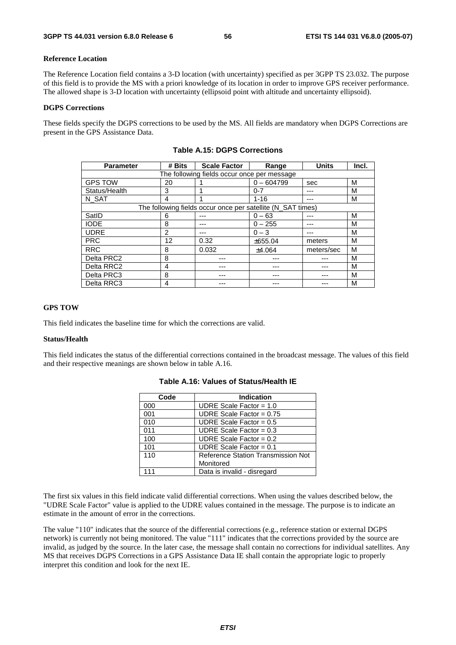#### **Reference Location**

The Reference Location field contains a 3-D location (with uncertainty) specified as per 3GPP TS 23.032. The purpose of this field is to provide the MS with a priori knowledge of its location in order to improve GPS receiver performance. The allowed shape is 3-D location with uncertainty (ellipsoid point with altitude and uncertainty ellipsoid).

#### **DGPS Corrections**

These fields specify the DGPS corrections to be used by the MS. All fields are mandatory when DGPS Corrections are present in the GPS Assistance Data.

| <b>Parameter</b> | # Bits                                      | <b>Scale Factor</b>                                         | Range        | <b>Units</b> | Incl. |  |  |  |
|------------------|---------------------------------------------|-------------------------------------------------------------|--------------|--------------|-------|--|--|--|
|                  | The following fields occur once per message |                                                             |              |              |       |  |  |  |
| <b>GPS TOW</b>   | 20                                          |                                                             | $0 - 604799$ | sec          | M     |  |  |  |
| Status/Health    | 3                                           |                                                             | $0 - 7$      | ---          | М     |  |  |  |
| N SAT            | 4                                           |                                                             | $1 - 16$     |              | M     |  |  |  |
|                  |                                             | The following fields occur once per satellite (N_SAT times) |              |              |       |  |  |  |
| SatID            | 6                                           |                                                             | $0 - 63$     | ---          | М     |  |  |  |
| <b>IODE</b>      | 8                                           |                                                             | $0 - 255$    | ---          | М     |  |  |  |
| <b>UDRE</b>      | 2                                           |                                                             | $0 - 3$      |              | м     |  |  |  |
| <b>PRC</b>       | 12                                          | 0.32                                                        | ±655.04      | meters       | М     |  |  |  |
| <b>RRC</b>       | 8                                           | 0.032                                                       | ±4.064       | meters/sec   | M     |  |  |  |
| Delta PRC2       | 8                                           |                                                             |              |              | M     |  |  |  |
| Delta RRC2       | 4                                           |                                                             |              |              | М     |  |  |  |
| Delta PRC3       | 8                                           |                                                             |              |              | М     |  |  |  |
| Delta RRC3       | 4                                           |                                                             |              |              | М     |  |  |  |

**Table A.15: DGPS Corrections** 

#### **GPS TOW**

This field indicates the baseline time for which the corrections are valid.

#### **Status/Health**

This field indicates the status of the differential corrections contained in the broadcast message. The values of this field and their respective meanings are shown below in table A.16.

| Code | <b>Indication</b>                  |
|------|------------------------------------|
| 000  | UDRE Scale Factor = $1.0$          |
| 001  | UDRE Scale Factor = $0.75$         |
| 010  | UDRE Scale Factor = $0.5$          |
| 011  | UDRE Scale Factor = $0.3$          |
| 100  | UDRE Scale Factor = $0.2$          |
| 101  | UDRE Scale Factor = $0.1$          |
| 110  | Reference Station Transmission Not |
|      | Monitored                          |
| 111  | Data is invalid - disregard        |

|  |  |  | Table A.16: Values of Status/Health IE |  |
|--|--|--|----------------------------------------|--|
|--|--|--|----------------------------------------|--|

The first six values in this field indicate valid differential corrections. When using the values described below, the "UDRE Scale Factor" value is applied to the UDRE values contained in the message. The purpose is to indicate an estimate in the amount of error in the corrections.

The value "110" indicates that the source of the differential corrections (e.g., reference station or external DGPS network) is currently not being monitored. The value "111" indicates that the corrections provided by the source are invalid, as judged by the source. In the later case, the message shall contain no corrections for individual satellites. Any MS that receives DGPS Corrections in a GPS Assistance Data IE shall contain the appropriate logic to properly interpret this condition and look for the next IE.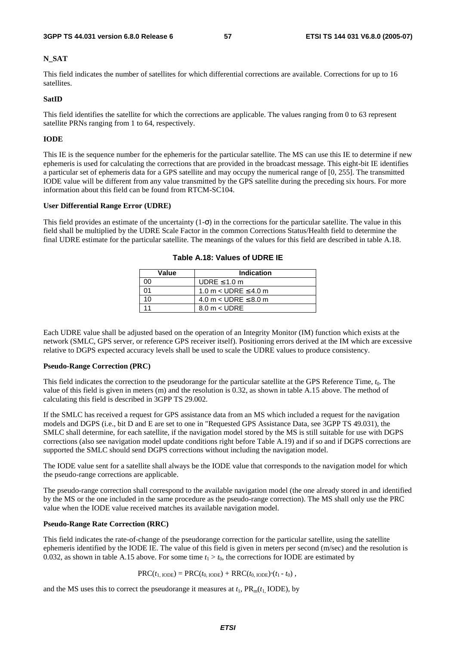#### **N\_SAT**

This field indicates the number of satellites for which differential corrections are available. Corrections for up to 16 satellites.

#### **SatID**

This field identifies the satellite for which the corrections are applicable. The values ranging from 0 to 63 represent satellite PRNs ranging from 1 to 64, respectively.

#### **IODE**

This IE is the sequence number for the ephemeris for the particular satellite. The MS can use this IE to determine if new ephemeris is used for calculating the corrections that are provided in the broadcast message. This eight-bit IE identifies a particular set of ephemeris data for a GPS satellite and may occupy the numerical range of [0, 255]. The transmitted IODE value will be different from any value transmitted by the GPS satellite during the preceding six hours. For more information about this field can be found from RTCM-SC104.

#### **User Differential Range Error (UDRE)**

This field provides an estimate of the uncertainty  $(1-\sigma)$  in the corrections for the particular satellite. The value in this field shall be multiplied by the UDRE Scale Factor in the common Corrections Status/Health field to determine the final UDRE estimate for the particular satellite. The meanings of the values for this field are described in table A.18.

| Value | <b>Indication</b>           |
|-------|-----------------------------|
| 00    | UDRE $\leq 1.0$ m           |
| 01    | 1.0 m $<$ UDRE $\leq$ 4.0 m |
| 10    | 4.0 m $<$ UDRE $\leq$ 8.0 m |
|       | $8.0 m <$ UDRE              |

**Table A.18: Values of UDRE IE** 

Each UDRE value shall be adjusted based on the operation of an Integrity Monitor (IM) function which exists at the network (SMLC, GPS server, or reference GPS receiver itself). Positioning errors derived at the IM which are excessive relative to DGPS expected accuracy levels shall be used to scale the UDRE values to produce consistency.

#### **Pseudo-Range Correction (PRC)**

This field indicates the correction to the pseudorange for the particular satellite at the GPS Reference Time, *t*0. The value of this field is given in meters (m) and the resolution is 0.32, as shown in table A.15 above. The method of calculating this field is described in 3GPP TS 29.002.

If the SMLC has received a request for GPS assistance data from an MS which included a request for the navigation models and DGPS (i.e., bit D and E are set to one in "Requested GPS Assistance Data, see 3GPP TS 49.031), the SMLC shall determine, for each satellite, if the navigation model stored by the MS is still suitable for use with DGPS corrections (also see navigation model update conditions right before Table A.19) and if so and if DGPS corrections are supported the SMLC should send DGPS corrections without including the navigation model.

The IODE value sent for a satellite shall always be the IODE value that corresponds to the navigation model for which the pseudo-range corrections are applicable.

The pseudo-range correction shall correspond to the available navigation model (the one already stored in and identified by the MS or the one included in the same procedure as the pseudo-range correction). The MS shall only use the PRC value when the IODE value received matches its available navigation model.

#### **Pseudo-Range Rate Correction (RRC)**

This field indicates the rate-of-change of the pseudorange correction for the particular satellite, using the satellite ephemeris identified by the IODE IE. The value of this field is given in meters per second (m/sec) and the resolution is 0.032, as shown in table A.15 above. For some time  $t_1 > t_0$ , the corrections for IODE are estimated by

 $PRC(t_{1, \text{IODE}}) = PRC(t_{0, \text{IODE}}) + RRC(t_{0, \text{IODE}}) \cdot (t_1 - t_0)$ ,

and the MS uses this to correct the pseudorange it measures at  $t_1$ ,  $PR_m(t_1 \text{ IODE})$ , by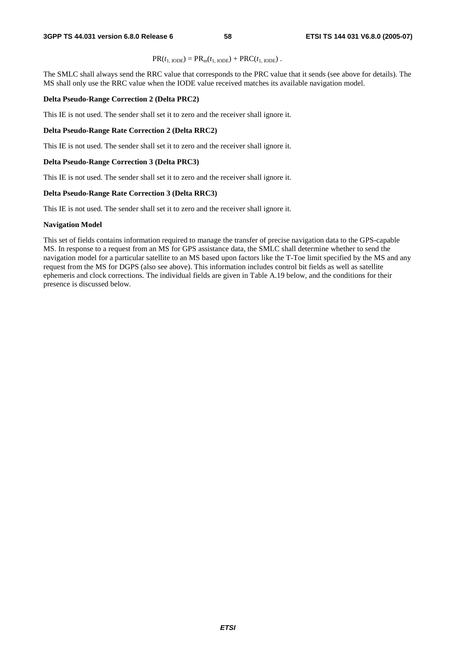$$
PR(t_{1,\text{IODE}}) = PR_{m}(t_{1,\text{IODE}}) + PRC(t_{1,\text{IODE}}).
$$

The SMLC shall always send the RRC value that corresponds to the PRC value that it sends (see above for details). The MS shall only use the RRC value when the IODE value received matches its available navigation model.

#### **Delta Pseudo-Range Correction 2 (Delta PRC2)**

This IE is not used. The sender shall set it to zero and the receiver shall ignore it.

#### **Delta Pseudo-Range Rate Correction 2 (Delta RRC2)**

This IE is not used. The sender shall set it to zero and the receiver shall ignore it.

#### **Delta Pseudo-Range Correction 3 (Delta PRC3)**

This IE is not used. The sender shall set it to zero and the receiver shall ignore it.

#### **Delta Pseudo-Range Rate Correction 3 (Delta RRC3)**

This IE is not used. The sender shall set it to zero and the receiver shall ignore it.

#### **Navigation Model**

This set of fields contains information required to manage the transfer of precise navigation data to the GPS-capable MS. In response to a request from an MS for GPS assistance data, the SMLC shall determine whether to send the navigation model for a particular satellite to an MS based upon factors like the T-Toe limit specified by the MS and any request from the MS for DGPS (also see above). This information includes control bit fields as well as satellite ephemeris and clock corrections. The individual fields are given in Table A.19 below, and the conditions for their presence is discussed below.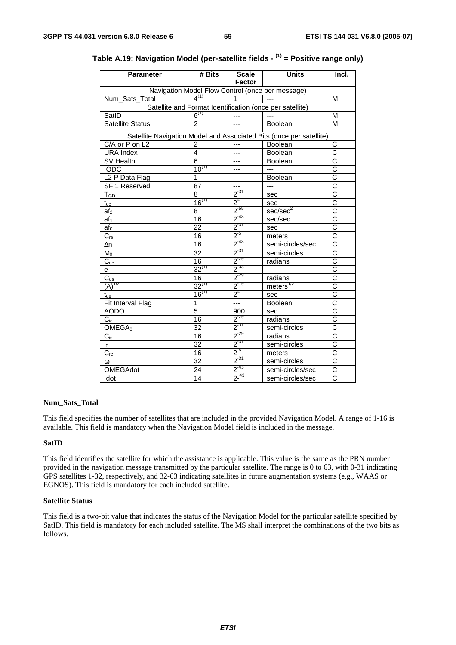| <b>Parameter</b>                      | # Bits          | <b>Scale</b><br><b>Factor</b>                  | <b>Units</b>                                                        | Incl.                            |
|---------------------------------------|-----------------|------------------------------------------------|---------------------------------------------------------------------|----------------------------------|
|                                       |                 |                                                | Navigation Model Flow Control (once per message)                    |                                  |
| Num_Sats_Total                        | $4^{(1)}$       | 1                                              |                                                                     | М                                |
|                                       |                 |                                                | Satellite and Format Identification (once per satellite)            |                                  |
| SatID                                 | $6^{(1)}$       | $---$                                          |                                                                     | М                                |
| <b>Satellite Status</b>               | $\overline{2}$  | $---$                                          | Boolean                                                             | M                                |
|                                       |                 |                                                | Satellite Navigation Model and Associated Bits (once per satellite) |                                  |
| C/A or P on L2                        | 2               | ---                                            | Boolean                                                             | C                                |
| <b>URA Index</b>                      | 4               | ---                                            | Boolean                                                             | Ć                                |
| SV Health                             | 6               | ---                                            | <b>Boolean</b>                                                      | $\overline{\text{c}}$            |
| <b>IODC</b>                           | $10^{(1)}$      | ---                                            | $---$                                                               | $\overline{\text{c}}$            |
| L <sub>2</sub> P Data Flag            | 1               | ---                                            | Boolean                                                             | $\overline{\text{c}}$            |
| SF 1 Reserved                         | 87              | ---                                            | $---$                                                               | $\overline{\text{c}}$            |
| $T_{GD}$                              | 8               |                                                | sec                                                                 | $\overline{\overline{\text{c}}}$ |
| $t_{\rm oc}$                          | $16^{(1)}$      |                                                | sec                                                                 | $\overline{C}$                   |
| af <sub>2</sub>                       | $\overline{8}$  | $\frac{2^{37}}{2^4}$<br>$\frac{2^{4}}{2^{55}}$ | sec/sec <sup>2</sup>                                                | $\overline{\rm c}$               |
| af <sub>1</sub>                       | 16              | $2^{-43}$                                      | sec/sec                                                             | $\overline{\rm c}$               |
| $af_0$                                | $\overline{22}$ | $\frac{1}{2}$ <sup>-31</sup>                   | sec                                                                 | $\overline{\text{c}}$            |
| $C_{rs}$                              | 16              | $\frac{1}{2}$ <sup>-5</sup>                    | meters                                                              | $\overline{\text{c}}$            |
| $\Delta n$                            | 16              | $\frac{1}{2}$ <sup>-43</sup>                   | semi-circles/sec                                                    | $\overline{\text{c}}$            |
| $M_0$                                 | $\overline{32}$ | $2^{-31}$                                      | semi-circles                                                        | $\overline{\text{c}}$            |
| $C_{\underline{\mathsf{uc}}}$         | 16              | $2^{-29}$                                      | radians                                                             | $\overline{\text{c}}$            |
| е                                     | $32^{(1)}$      | $2^{-33}$                                      | ---                                                                 | $\overline{\text{c}}$            |
| $C_{us}$                              | $\overline{16}$ | $2^{-29}$                                      | radians                                                             | $\overline{\text{c}}$            |
| $\overrightarrow{(\mathbf{A})}^{1/2}$ | $32^{(1)}$      | $2^{-19}$                                      | meters <sup>1/2</sup>                                               | $\overline{\text{c}}$            |
| $t_{oe}$                              | $16^{(1)}$      | 2 <sup>4</sup>                                 | sec                                                                 | $\overline{\rm c}$               |
| Fit Interval Flag                     | $\overline{1}$  | $\overline{a}$                                 | Boolean                                                             | $\overline{\text{c}}$            |
| <b>AODO</b>                           | $\overline{5}$  | 900                                            | sec                                                                 | $\overline{\text{c}}$            |
| $C_{ic}$                              | 16              | $2^{-29}$                                      | radians                                                             | $\overline{\text{c}}$            |
| OMEGA <sub>0</sub>                    | 32              | $2^{31}$                                       | semi-circles                                                        | $\overline{\text{c}}$            |
| $C_{is}$                              | 16              | $2^{-29}$                                      | radians                                                             | $\overline{\text{c}}$            |
| $i_0$                                 | 32              | $2^{-31}$                                      | semi-circles                                                        | C                                |
| $C_{rc}$                              | 16              | $2^{5}$                                        | meters                                                              | $\overline{\text{c}}$            |
| $\omega$                              | 32              | $2^{31}$                                       | semi-circles                                                        | $\overline{\rm c}$               |
| <b>OMEGAdot</b>                       | 24              | $2^{-43}$                                      | semi-circles/sec                                                    | $\overline{C}$                   |
| Idot                                  | 14              | $2^{-43}$                                      | semi-circles/sec                                                    | $\overline{\text{c}}$            |

**Table A.19: Navigation Model (per-satellite fields - (1) = Positive range only)** 

#### **Num\_Sats\_Total**

This field specifies the number of satellites that are included in the provided Navigation Model. A range of 1-16 is available. This field is mandatory when the Navigation Model field is included in the message.

#### **SatID**

This field identifies the satellite for which the assistance is applicable. This value is the same as the PRN number provided in the navigation message transmitted by the particular satellite. The range is 0 to 63, with 0-31 indicating GPS satellites 1-32, respectively, and 32-63 indicating satellites in future augmentation systems (e.g., WAAS or EGNOS). This field is mandatory for each included satellite.

#### **Satellite Status**

This field is a two-bit value that indicates the status of the Navigation Model for the particular satellite specified by SatID. This field is mandatory for each included satellite. The MS shall interpret the combinations of the two bits as follows.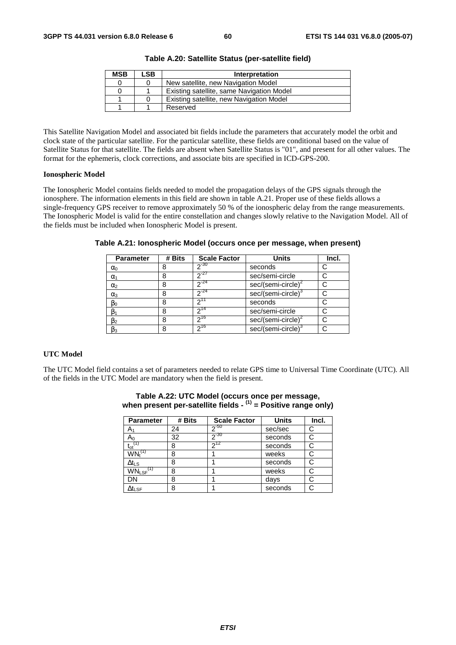| <b>MSB</b> | LSB | Interpretation                            |
|------------|-----|-------------------------------------------|
|            |     | New satellite, new Navigation Model       |
|            |     | Existing satellite, same Navigation Model |
|            |     | Existing satellite, new Navigation Model  |
|            |     | Reserved                                  |

**Table A.20: Satellite Status (per-satellite field)** 

This Satellite Navigation Model and associated bit fields include the parameters that accurately model the orbit and clock state of the particular satellite. For the particular satellite, these fields are conditional based on the value of Satellite Status for that satellite. The fields are absent when Satellite Status is "01", and present for all other values. The format for the ephemeris, clock corrections, and associate bits are specified in ICD-GPS-200.

#### **Ionospheric Model**

The Ionospheric Model contains fields needed to model the propagation delays of the GPS signals through the ionosphere. The information elements in this field are shown in table A.21. Proper use of these fields allows a single-frequency GPS receiver to remove approximately 50 % of the ionospheric delay from the range measurements. The Ionospheric Model is valid for the entire constellation and changes slowly relative to the Navigation Model. All of the fields must be included when Ionospheric Model is present.

| <b>Parameter</b> | # Bits | <b>Scale Factor</b> | <b>Units</b>                   | Incl. |
|------------------|--------|---------------------|--------------------------------|-------|
| $\alpha_0$       |        | $2^{-30}$           | seconds                        |       |
| $\alpha_1$       |        | $2^{27}$            | sec/semi-circle                |       |
| $\alpha_2$       |        | $2^{24}$            | sec/(semi-circle) <sup>4</sup> |       |
| $\alpha_3$       |        | $2^{-24}$           | sec/(semi-circle) <sup>®</sup> |       |
| $\beta_0$        |        |                     | seconds                        |       |
| $\beta_1$        | 8      | $2^{14}$            | sec/semi-circle                |       |
| $\beta_2$        | 8      | $7^{16}$            | $sec/(semi-circle)^2$          |       |
| $\beta_3$        |        | $2^{16}$            | $sec/(semi-circle)3$           |       |

**Table A.21: Ionospheric Model (occurs once per message, when present)** 

#### **UTC Model**

The UTC Model field contains a set of parameters needed to relate GPS time to Universal Time Coordinate (UTC). All of the fields in the UTC Model are mandatory when the field is present.

| <b>Parameter</b>          | # Bits | <b>Scale Factor</b> | <b>Units</b> | Incl. |
|---------------------------|--------|---------------------|--------------|-------|
| $A_1$                     | 24     | $2^{-50}$           | sec/sec      | C     |
| A <sub>0</sub>            | 32     | $2^{-30}$           | seconds      | C     |
| $t_{ot}$ <sup>(1)</sup>   | 8      | $2^{12}$            | seconds      | C     |
| $WN_t^{(1)}$              | 8      |                     | weeks        |       |
| $\Delta t_{LS}$           | 8      |                     | seconds      |       |
| $WN_{LSF}$ <sup>(1)</sup> | 8      |                     | weeks        |       |
| DN                        | 8      |                     | days         |       |
| $\Delta t_{\text{LSF}}$   | 8      |                     | seconds      |       |

#### **Table A.22: UTC Model (occurs once per message, when present per-satellite fields - (1) = Positive range only)**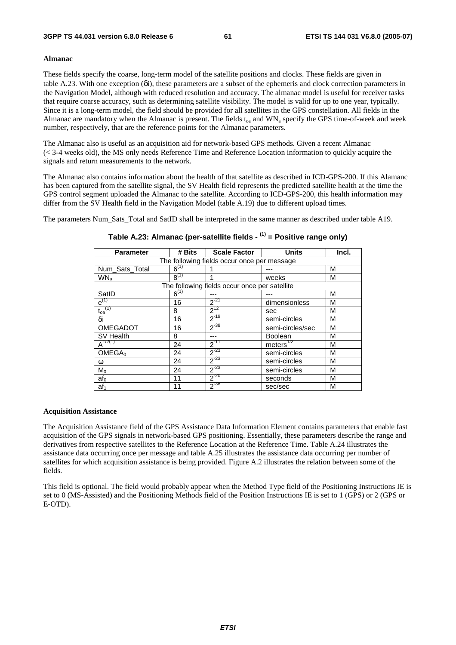#### **Almanac**

These fields specify the coarse, long-term model of the satellite positions and clocks. These fields are given in table A.23. With one exception (δi), these parameters are a subset of the ephemeris and clock correction parameters in the Navigation Model, although with reduced resolution and accuracy. The almanac model is useful for receiver tasks that require coarse accuracy, such as determining satellite visibility. The model is valid for up to one year, typically. Since it is a long-term model, the field should be provided for all satellites in the GPS constellation. All fields in the Almanac are mandatory when the Almanac is present. The fields  $t_{oa}$  and  $WN_a$  specify the GPS time-of-week and week number, respectively, that are the reference points for the Almanac parameters.

The Almanac also is useful as an acquisition aid for network-based GPS methods. Given a recent Almanac (< 3-4 weeks old), the MS only needs Reference Time and Reference Location information to quickly acquire the signals and return measurements to the network.

The Almanac also contains information about the health of that satellite as described in ICD-GPS-200. If this Alamanc has been captured from the satellite signal, the SV Health field represents the predicted satellite health at the time the GPS control segment uploaded the Almanac to the satellite. According to ICD-GPS-200, this health information may differ from the SV Health field in the Navigation Model (table A.19) due to different upload times.

The parameters Num Sats Total and SatID shall be interpreted in the same manner as described under table A19.

| <b>Parameter</b>                 | # Bits    | <b>Scale Factor</b>                           | <b>Units</b>     | Incl. |
|----------------------------------|-----------|-----------------------------------------------|------------------|-------|
|                                  |           | The following fields occur once per message   |                  |       |
| Num_Sats_Total                   | $6^{(1)}$ |                                               |                  | M     |
| WN <sub>a</sub>                  | $8^{(1)}$ |                                               | weeks            | М     |
|                                  |           | The following fields occur once per satellite |                  |       |
| SatID                            | $6^{(1)}$ |                                               |                  | M     |
| $e^{(1)}$                        | 16        | $2^{-21}$                                     | dimensionless    | M     |
| $\mathfrak{t}_{\text{oa}}^{(1)}$ | 8         | $2^{12}$                                      | sec              | M     |
| δi                               | 16        | $2^{-19}$                                     | semi-circles     | M     |
| <b>OMEGADOT</b>                  | 16        | $2^{-38}$                                     | semi-circles/sec | M     |
| SV Health                        | 8         |                                               | <b>Boolean</b>   | M     |
| $A^{1/2(1)}$                     | 24        | $2^{-11}$                                     | meters $^{1/2}$  | М     |
| OMEGA <sub>0</sub>               | 24        | $2^{-23}$                                     | semi-circles     | М     |
| ω                                | 24        | $2^{-23}$                                     | semi-circles     | M     |
| $M_0$                            | 24        | $2^{-23}$                                     | semi-circles     | M     |
| af <sub>0</sub>                  | 11        | $2^{-20}$                                     | seconds          | M     |
| af <sub>1</sub>                  | 11        | $2^{-38}$                                     | sec/sec          | M     |

#### **Table A.23: Almanac (per-satellite fields - (1) = Positive range only)**

#### **Acquisition Assistance**

The Acquisition Assistance field of the GPS Assistance Data Information Element contains parameters that enable fast acquisition of the GPS signals in network-based GPS positioning. Essentially, these parameters describe the range and derivatives from respective satellites to the Reference Location at the Reference Time. Table A.24 illustrates the assistance data occurring once per message and table A.25 illustrates the assistance data occurring per number of satellites for which acquisition assistance is being provided. Figure A.2 illustrates the relation between some of the fields.

This field is optional. The field would probably appear when the Method Type field of the Positioning Instructions IE is set to 0 (MS-Assisted) and the Positioning Methods field of the Position Instructions IE is set to 1 (GPS) or 2 (GPS or E-OTD).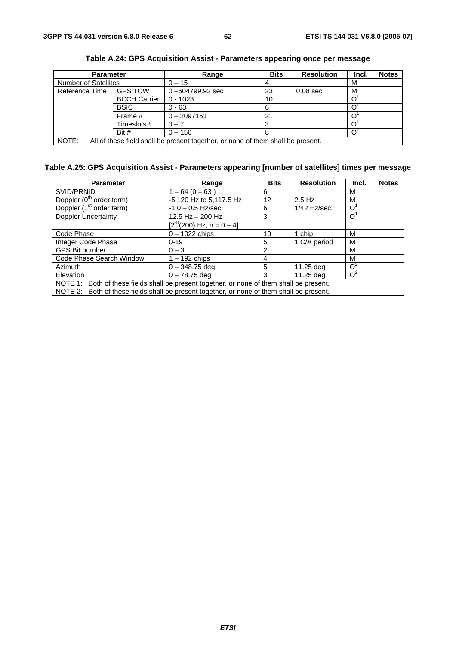| <b>Parameter</b>            |                     | Range                                                                           | <b>Bits</b> | <b>Resolution</b> | Incl. | <b>Notes</b> |
|-----------------------------|---------------------|---------------------------------------------------------------------------------|-------------|-------------------|-------|--------------|
| <b>Number of Satellites</b> |                     | $0 - 15$                                                                        |             |                   | М     |              |
| Reference Time              | <b>GPS TOW</b>      | $0 - 604799.92$ sec                                                             | 23          | $0.08$ sec        | M     |              |
|                             | <b>BCCH Carrier</b> | $0 - 1023$                                                                      | 10          |                   |       |              |
|                             | <b>BSIC</b>         | $0 - 63$                                                                        | 6           |                   |       |              |
|                             | Frame #             | $0 - 2097151$                                                                   | 21          |                   |       |              |
|                             | Timeslots #         | $0 - 7$                                                                         |             |                   |       |              |
|                             | Bit #               | $0 - 156$                                                                       |             |                   |       |              |
| NOTE:                       |                     | All of these field shall be present together, or none of them shall be present. |             |                   |       |              |

**Table A.24: GPS Acquisition Assist - Parameters appearing once per message** 

### **Table A.25: GPS Acquisition Assist - Parameters appearing [number of satellites] times per message**

| <b>Parameter</b>                                                                          | Range                      | <b>Bits</b> | <b>Resolution</b> | Incl.                 | <b>Notes</b> |
|-------------------------------------------------------------------------------------------|----------------------------|-------------|-------------------|-----------------------|--------------|
| SVID/PRNID                                                                                | $1 - 64(0 - 63)$           | 6           |                   | м                     |              |
| Doppler (0 <sup>th</sup> order term)                                                      | -5,120 Hz to 5,117.5 Hz    | 12          | $2.5$ Hz          | M                     |              |
| Doppler (1 <sup>st</sup> order term)                                                      | $-1.0 - 0.5$ Hz/sec.       | 6           | $1/42$ Hz/sec.    | Ω                     |              |
| <b>Doppler Uncertainty</b>                                                                | $12.5$ Hz $-$ 200 Hz       | 3           |                   | O                     |              |
|                                                                                           | $[2-n(200) Hz, n = 0 - 4]$ |             |                   |                       |              |
| Code Phase                                                                                | $0 - 1022$ chips           | 10          | 1 chip            | M                     |              |
| Integer Code Phase                                                                        | $0 - 19$                   | 5           | 1 C/A period      | м                     |              |
| <b>GPS Bit number</b>                                                                     | $0 - 3$                    | 2           |                   | м                     |              |
| Code Phase Search Window                                                                  | $1 - 192$ chips            | 4           |                   | м                     |              |
| Azimuth                                                                                   | $0 - 348.75$ deg           | 5           | 11.25 deg         | $\Omega$ <sup>2</sup> |              |
| Elevation                                                                                 | $0 - 78.75$ deg            | з           | 11.25 dea         | $\Omega^2$            |              |
| NOTE 1: Both of these fields shall be present together, or none of them shall be present. |                            |             |                   |                       |              |
| NOTE 2: Both of these fields shall be present together, or none of them shall be present. |                            |             |                   |                       |              |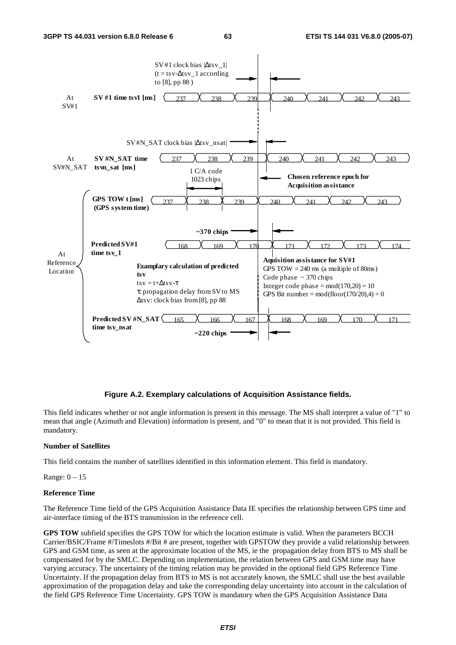

#### **Figure A.2. Exemplary calculations of Acquisition Assistance fields.**

This field indicates whether or not angle information is present in this message. The MS shall interpret a value of "1" to mean that angle (Azimuth and Elevation) information is present, and "0" to mean that it is not provided. This field is mandatory.

#### **Number of Satellites**

This field contains the number of satellites identified in this information element. This field is mandatory.

Range: 0 – 15

#### **Reference Time**

The Reference Time field of the GPS Acquisition Assistance Data IE specifies the relationship between GPS time and air-interface timing of the BTS transmission in the reference cell.

**GPS TOW** subfield specifies the GPS TOW for which the location estimate is valid. When the parameters BCCH Carrier/BSIC/Frame #/Timeslots #/Bit # are present, together with GPSTOW they provide a valid relationship between GPS and GSM time, as seen at the approximate location of the MS, ie the propagation delay from BTS to MS shall be compensated for by the SMLC. Depending on implementation, the relation between GPS and GSM time may have varying accuracy. The uncertainty of the timing relation may be provided in the optional field GPS Reference Time Uncertainty. If the propagation delay from BTS to MS is not accurately known, the SMLC shall use the best available approximation of the propagation delay and take the corresponding delay uncertainty into account in the calculation of the field GPS Reference Time Uncertainty. GPS TOW is mandatory when the GPS Acquisition Assistance Data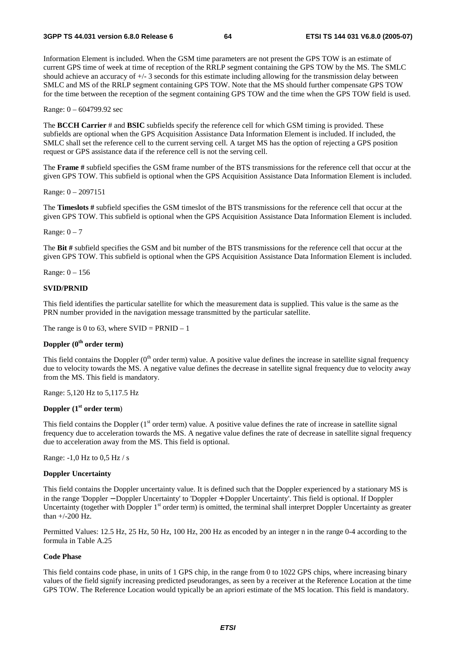Information Element is included. When the GSM time parameters are not present the GPS TOW is an estimate of current GPS time of week at time of reception of the RRLP segment containing the GPS TOW by the MS. The SMLC should achieve an accuracy of +/- 3 seconds for this estimate including allowing for the transmission delay between SMLC and MS of the RRLP segment containing GPS TOW. Note that the MS should further compensate GPS TOW for the time between the reception of the segment containing GPS TOW and the time when the GPS TOW field is used.

Range: 0 – 604799.92 sec

The **BCCH Carrier** # and **BSIC** subfields specify the reference cell for which GSM timing is provided. These subfields are optional when the GPS Acquisition Assistance Data Information Element is included. If included, the SMLC shall set the reference cell to the current serving cell. A target MS has the option of rejecting a GPS position request or GPS assistance data if the reference cell is not the serving cell.

The **Frame #** subfield specifies the GSM frame number of the BTS transmissions for the reference cell that occur at the given GPS TOW. This subfield is optional when the GPS Acquisition Assistance Data Information Element is included.

Range: 0 – 2097151

The **Timeslots #** subfield specifies the GSM timeslot of the BTS transmissions for the reference cell that occur at the given GPS TOW. This subfield is optional when the GPS Acquisition Assistance Data Information Element is included.

Range:  $0 - 7$ 

The **Bit #** subfield specifies the GSM and bit number of the BTS transmissions for the reference cell that occur at the given GPS TOW. This subfield is optional when the GPS Acquisition Assistance Data Information Element is included.

Range: 0 – 156

#### **SVID/PRNID**

This field identifies the particular satellite for which the measurement data is supplied. This value is the same as the PRN number provided in the navigation message transmitted by the particular satellite.

The range is 0 to 63, where  $SVID = PRNID - 1$ 

#### **Doppler (0th order term)**

This field contains the Doppler  $(0<sup>th</sup>$  order term) value. A positive value defines the increase in satellite signal frequency due to velocity towards the MS. A negative value defines the decrease in satellite signal frequency due to velocity away from the MS. This field is mandatory.

Range: 5,120 Hz to 5,117.5 Hz

#### **Doppler (1st order term**)

This field contains the Doppler  $(1<sup>st</sup>$  order term) value. A positive value defines the rate of increase in satellite signal frequency due to acceleration towards the MS. A negative value defines the rate of decrease in satellite signal frequency due to acceleration away from the MS. This field is optional.

Range: -1,0 Hz to 0,5 Hz / s

#### **Doppler Uncertainty**

This field contains the Doppler uncertainty value. It is defined such that the Doppler experienced by a stationary MS is in the range 'Doppler − Doppler Uncertainty' to 'Doppler + Doppler Uncertainty'. This field is optional. If Doppler Uncertainty (together with Doppler  $1<sup>st</sup>$  order term) is omitted, the terminal shall interpret Doppler Uncertainty as greater than +/-200 Hz.

Permitted Values: 12.5 Hz, 25 Hz, 50 Hz, 100 Hz, 200 Hz as encoded by an integer n in the range 0-4 according to the formula in Table A.25

#### **Code Phase**

This field contains code phase, in units of 1 GPS chip, in the range from 0 to 1022 GPS chips, where increasing binary values of the field signify increasing predicted pseudoranges, as seen by a receiver at the Reference Location at the time GPS TOW. The Reference Location would typically be an apriori estimate of the MS location. This field is mandatory.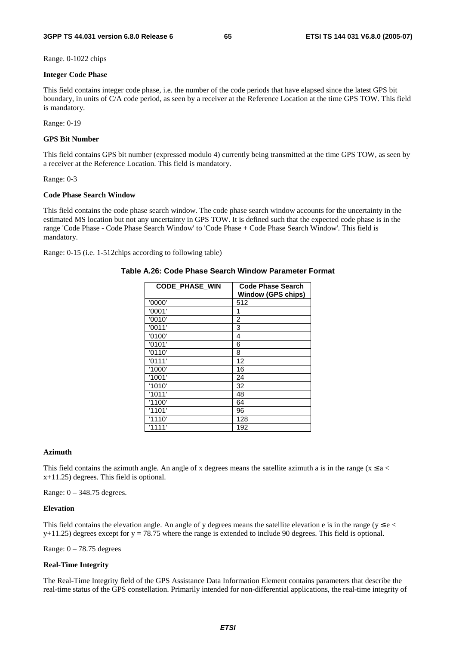Range. 0-1022 chips

#### **Integer Code Phase**

This field contains integer code phase, i.e. the number of the code periods that have elapsed since the latest GPS bit boundary, in units of C/A code period, as seen by a receiver at the Reference Location at the time GPS TOW. This field is mandatory.

Range: 0-19

#### **GPS Bit Number**

This field contains GPS bit number (expressed modulo 4) currently being transmitted at the time GPS TOW, as seen by a receiver at the Reference Location. This field is mandatory.

#### Range: 0-3

#### **Code Phase Search Window**

This field contains the code phase search window. The code phase search window accounts for the uncertainty in the estimated MS location but not any uncertainty in GPS TOW. It is defined such that the expected code phase is in the range 'Code Phase - Code Phase Search Window' to 'Code Phase + Code Phase Search Window'. This field is mandatory.

Range: 0-15 (i.e. 1-512chips according to following table)

#### **Table A.26: Code Phase Search Window Parameter Format**

| <b>CODE PHASE WIN</b> | <b>Code Phase Search</b><br><b>Window (GPS chips)</b> |
|-----------------------|-------------------------------------------------------|
| '0000'                | 512                                                   |
| '0001'                | 1                                                     |
| '0010'                | 2                                                     |
| '0011'                | 3                                                     |
| '0100'                | 4                                                     |
| '0101'                | 6                                                     |
| '0110'                | 8                                                     |
| '0111'                | 12                                                    |
| '1000'                | 16                                                    |
| '1001'                | 24                                                    |
| '1010'                | 32                                                    |
| '1011'                | 48                                                    |
| '1100'                | 64                                                    |
| '1101'                | 96                                                    |
| '1110'                | 128                                                   |
| '1111'                | 192                                                   |

#### **Azimuth**

This field contains the azimuth angle. An angle of x degrees means the satellite azimuth a is in the range ( $x \le a$  < x+11.25) degrees. This field is optional.

Range: 0 – 348.75 degrees.

#### **Elevation**

This field contains the elevation angle. An angle of y degrees means the satellite elevation e is in the range ( $y \le e$  $y+11.25$ ) degrees except for  $y = 78.75$  where the range is extended to include 90 degrees. This field is optional.

Range:  $0 - 78.75$  degrees

#### **Real-Time Integrity**

The Real-Time Integrity field of the GPS Assistance Data Information Element contains parameters that describe the real-time status of the GPS constellation. Primarily intended for non-differential applications, the real-time integrity of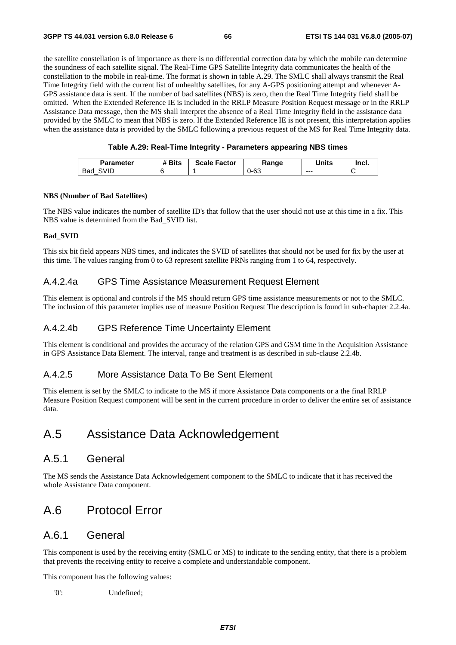#### **3GPP TS 44.031 version 6.8.0 Release 6 66 ETSI TS 144 031 V6.8.0 (2005-07)**

the satellite constellation is of importance as there is no differential correction data by which the mobile can determine the soundness of each satellite signal. The Real-Time GPS Satellite Integrity data communicates the health of the constellation to the mobile in real-time. The format is shown in table A.29. The SMLC shall always transmit the Real Time Integrity field with the current list of unhealthy satellites, for any A-GPS positioning attempt and whenever A-GPS assistance data is sent. If the number of bad satellites (NBS) is zero, then the Real Time Integrity field shall be omitted. When the Extended Reference IE is included in the RRLP Measure Position Request message or in the RRLP Assistance Data message, then the MS shall interpret the absence of a Real Time Integrity field in the assistance data provided by the SMLC to mean that NBS is zero. If the Extended Reference IE is not present, this interpretation applies when the assistance data is provided by the SMLC following a previous request of the MS for Real Time Integrity data.

#### **Table A.29: Real-Time Integrity - Parameters appearing NBS times**

| <b>Parameter</b> | <b><i>*</i></b> Bits | <b>Scale Factor</b> | Range | <b>Units</b> | lncl. |
|------------------|----------------------|---------------------|-------|--------------|-------|
| SVID<br>Bad      |                      |                     | Ე-63  | $- - -$      |       |

#### **NBS (Number of Bad Satellites)**

The NBS value indicates the number of satellite ID's that follow that the user should not use at this time in a fix. This NBS value is determined from the Bad\_SVID list.

#### **Bad\_SVID**

This six bit field appears NBS times, and indicates the SVID of satellites that should not be used for fix by the user at this time. The values ranging from 0 to 63 represent satellite PRNs ranging from 1 to 64, respectively.

#### A.4.2.4a GPS Time Assistance Measurement Request Element

This element is optional and controls if the MS should return GPS time assistance measurements or not to the SMLC. The inclusion of this parameter implies use of measure Position Request The description is found in sub-chapter 2.2.4a.

### A.4.2.4b GPS Reference Time Uncertainty Element

This element is conditional and provides the accuracy of the relation GPS and GSM time in the Acquisition Assistance in GPS Assistance Data Element. The interval, range and treatment is as described in sub-clause 2.2.4b.

#### A.4.2.5 More Assistance Data To Be Sent Element

This element is set by the SMLC to indicate to the MS if more Assistance Data components or a the final RRLP Measure Position Request component will be sent in the current procedure in order to deliver the entire set of assistance data.

# A.5 Assistance Data Acknowledgement

### A.5.1 General

The MS sends the Assistance Data Acknowledgement component to the SMLC to indicate that it has received the whole Assistance Data component.

# A.6 Protocol Error

### A.6.1 General

This component is used by the receiving entity (SMLC or MS) to indicate to the sending entity, that there is a problem that prevents the receiving entity to receive a complete and understandable component.

This component has the following values:

'0': Undefined;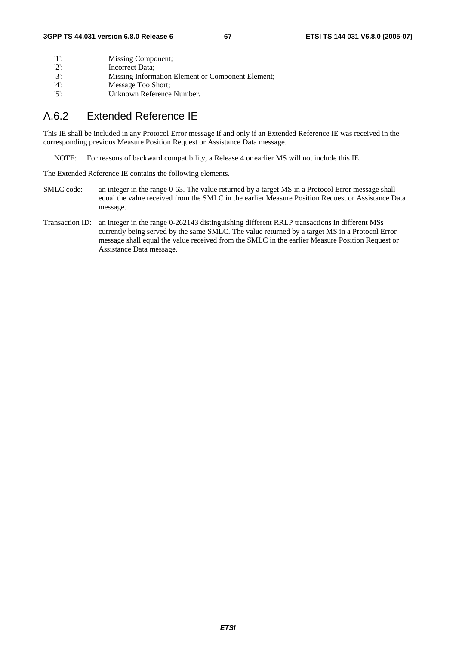| -115    | Missing Component;                                |
|---------|---------------------------------------------------|
| '2      | Incorrect Data;                                   |
| $'3'$ : | Missing Information Element or Component Element; |
| '4'     | Message Too Short:                                |
| $'5'$ : | Unknown Reference Number.                         |

### A.6.2 Extended Reference IE

This IE shall be included in any Protocol Error message if and only if an Extended Reference IE was received in the corresponding previous Measure Position Request or Assistance Data message.

NOTE: For reasons of backward compatibility, a Release 4 or earlier MS will not include this IE.

The Extended Reference IE contains the following elements.

- SMLC code: an integer in the range 0-63. The value returned by a target MS in a Protocol Error message shall equal the value received from the SMLC in the earlier Measure Position Request or Assistance Data message.
- Transaction ID: an integer in the range 0-262143 distinguishing different RRLP transactions in different MSs currently being served by the same SMLC. The value returned by a target MS in a Protocol Error message shall equal the value received from the SMLC in the earlier Measure Position Request or Assistance Data message.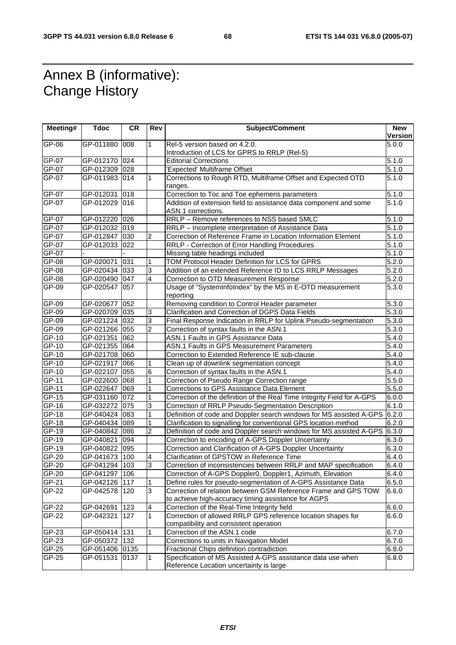# Annex B (informative): Change History

| Meeting#       | <b>Tdoc</b>                 | <b>CR</b> | Rev                              | Subject/Comment                                                                                          | <b>New</b>         |
|----------------|-----------------------------|-----------|----------------------------------|----------------------------------------------------------------------------------------------------------|--------------------|
|                |                             |           |                                  |                                                                                                          | <b>Version</b>     |
| GP-06          | GP-011880                   | 008       | 1                                | Rel-5 version based on 4.2.0.                                                                            | 5.0.0              |
|                |                             |           |                                  | Introduction of LCS for GPRS to RRLP (Rel-5)                                                             |                    |
| GP-07          | GP-012170                   | 024       |                                  | <b>Editorial Corrections</b>                                                                             | 5.1.0              |
| GP-07          | GP-012309 028               |           |                                  | 'Expected' Multiframe Offset                                                                             | $\overline{5.1.0}$ |
| $GP-07$        | GP-011983 014               |           | 1                                | Corrections to Rough RTD, Multiframe Offset and Expected OTD                                             | 5.1.0              |
|                |                             |           |                                  | ranges.                                                                                                  |                    |
| GP-07          | GP-012031                   | 018       |                                  | Correction to Toc and Toe ephemeris parameters                                                           | 5.1.0              |
| GP-07          | GP-012029 016               |           |                                  | Addition of extension field to assistance data component and some                                        | 5.1.0              |
|                |                             |           |                                  | ASN.1 corrections.                                                                                       |                    |
| GP-07          | GP-012220 026               |           |                                  | RRLP - Remove references to NSS based SMLC                                                               | 5.1.0              |
| $GP-07$        | GP-012032                   | 019       |                                  | RRLP - Incomplete interpretation of Assistance Data                                                      | 5.1.0              |
| GP-07          | GP-012847                   | 030       | $\overline{c}$                   | Correction of Reference Frame in Location Information Element                                            | $\overline{5}.1.0$ |
| GP-07          | GP-012033 022               |           |                                  | RRLP - Correction of Error Handling Procedures                                                           | 5.1.0              |
| GP-07          |                             |           |                                  | Missing table headings included                                                                          | 5.1.0              |
| GP-08          | GP-020071                   | 031       | 1                                | TOM Protocol Header Definition for LCS for GPRS                                                          | $\overline{5.2.0}$ |
| GP-08          | GP-020434 033               |           | 3                                | Addition of an extended Reference ID to LCS RRLP Messages                                                | 5.2.0              |
| GP-08          | GP-020490 047               |           | 4                                | Correction to OTD Measurement Response                                                                   | 5.2.0              |
| GP-09          | GP-020547                   | 057       |                                  | Usage of "SystemInfoIndex" by the MS in E-OTD measurement                                                | $\overline{5.3.0}$ |
|                |                             |           |                                  | reporting                                                                                                |                    |
| GP-09          | GP-020677                   | 052       |                                  | Removing condition to Control Header parameter                                                           | 5.3.0              |
| GP-09          | GP-020709 035               |           | 3                                | Clarification and Correction of DGPS Data Fields                                                         | 5.3.0              |
| GP-09          | GP-021224 032               |           | 3                                | Final Response Indication in RRLP for Uplink Pseudo-segmentation                                         | 5.3.0              |
| GP-09          | GP-021266 055               |           | 2                                | Correction of syntax faults in the ASN.1                                                                 | 5.3.0              |
| GP-10          | GP-021351                   | 062       |                                  | ASN.1 Faults in GPS Assistance Data                                                                      | 5.4.0              |
| GP-10          | GP-021355 064               |           |                                  | <b>ASN.1 Faults in GPS Measurement Parameters</b>                                                        | 5.4.0              |
| GP-10          | GP-021708 060               |           |                                  | Correction to Extended Reference IE sub-clause                                                           | 5.4.0              |
| GP-10          | GP-021917                   | 066       | 1                                | Clean up of downlink segmentation concept                                                                | $\overline{5.4.0}$ |
| GP-10          | GP-022107                   | 055       | 6                                | Correction of syntax faults in the ASN.1                                                                 | 5.4.0              |
| GP-11          | GP-022600 068               |           |                                  | Correction of Pseudo Range Correction range                                                              | 5.5.0              |
| GP-11          | GP-022647                   | 069       |                                  | Corrections to GPS Assistance Data Element                                                               | 5.5.0              |
| GP-15          | GP-031160 072               |           | 1                                | Correction of the definition of the Real Time Integrity Field for A-GPS                                  | 6.0.0              |
| GP-16          | GP-032272                   | 075       | 3                                | Correction of RRLP Pseudo-Segmentation Description                                                       | 6.1.0              |
| GP-18          | GP-040424 083               |           | 1                                | Definition of code and Doppler search windows for MS assisted A-GPS 6.2.0                                |                    |
| GP-18          | GP-040434 089               |           | $\mathbf{1}$                     | Clarification to signalling for conventional GPS location method                                         | 6.2.0              |
| $GP-19$        | GP-040842 086               |           | $\overline{c}$                   | Definition of code and Doppler search windows for MS assisted A-GPS                                      | 6.3.0              |
| GP-19          | GP-040821                   | 094       |                                  | Correction to encoding of A-GPS Doppler Uncertainty                                                      | 6.3.0              |
| GP-19          | GP-040822                   | 095       |                                  | Correction and Clarification of A-GPS Doppler Uncertainty                                                | 6.3.0              |
| GP-20          | GP-041673 100               |           | 4                                | Clarification of GPSTOW in Reference Time                                                                | 6.4.0              |
| GP-20          | GP-041294 103               |           | 3                                | Correction of inconsistencies between RRLP and MAP specification                                         | 6.4.0              |
| $GP-20$        | GP-041297 106               |           |                                  | Correction of A-GPS Doppler0, Doppler1, Azimuth, Elevation                                               | 6.4.0              |
| GP-21          | GP-042126 117               |           | 1                                | Define rules for pseudo-segmentation of A-GPS Assistance Data                                            | 6.5.0              |
| GP-22          | GP-042578                   | 120       | 3                                | Correction of relation between GSM Reference Frame and GPS TOW                                           | 6.6.0              |
|                |                             |           |                                  | to achieve high-accuracy timing assistance for AGPS                                                      |                    |
| GP-22          | GP-042691                   | 123       | $\overline{a}$<br>$\overline{1}$ | Correction of the Real-Time Integrity field                                                              | 6.6.0              |
| GP-22          | GP-042321 127               |           |                                  | Correction of allowed RRLP GPS reference location shapes for                                             | 6.6.0              |
|                |                             |           |                                  | compatibility and consistent operation                                                                   |                    |
| GP-23          | GP-050414 131               |           | 1                                | Correction of the ASN.1 code<br>Corrections to units in Navigation Model                                 | 6.7.0              |
| GP-23          | GP-050372 132               |           |                                  |                                                                                                          | 6.7.0              |
| GP-25<br>GP-25 | GP-051406 0135<br>GP-051531 | 0137      | $\mathbf{1}$                     | Fractional Chips definition contradiction<br>Specification of MS Assisted A-GPS assistance data use when | 6.8.0<br>6.8.0     |
|                |                             |           |                                  | Reference Location uncertainty is large                                                                  |                    |